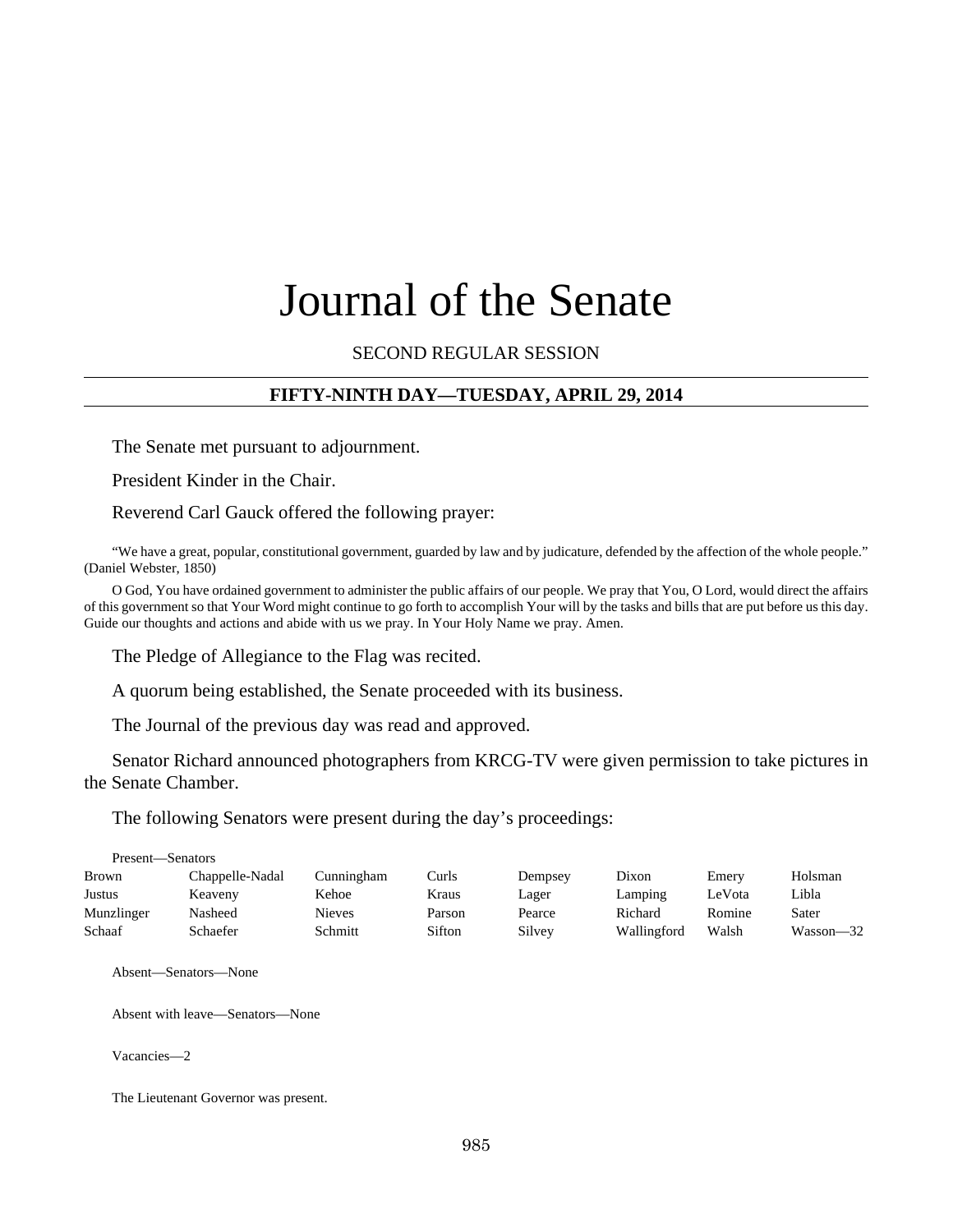# Journal of the Senate

SECOND REGULAR SESSION

## **FIFTY-NINTH DAY—TUESDAY, APRIL 29, 2014**

The Senate met pursuant to adjournment.

President Kinder in the Chair.

Reverend Carl Gauck offered the following prayer:

"We have a great, popular, constitutional government, guarded by law and by judicature, defended by the affection of the whole people." (Daniel Webster, 1850)

O God, You have ordained government to administer the public affairs of our people. We pray that You, O Lord, would direct the affairs of this government so that Your Word might continue to go forth to accomplish Your will by the tasks and bills that are put before us this day. Guide our thoughts and actions and abide with us we pray. In Your Holy Name we pray. Amen.

The Pledge of Allegiance to the Flag was recited.

A quorum being established, the Senate proceeded with its business.

The Journal of the previous day was read and approved.

Senator Richard announced photographers from KRCG-TV were given permission to take pictures in the Senate Chamber.

The following Senators were present during the day's proceedings:

| Present—Senators |                 |            |        |         |             |        |           |
|------------------|-----------------|------------|--------|---------|-------------|--------|-----------|
| <b>Brown</b>     | Chappelle-Nadal | Cunningham | Curls  | Dempsey | Dixon       | Emery  | Holsman   |
| Justus           | Keaveny         | Kehoe      | Kraus  | Lager   | Lamping     | LeVota | Libla     |
| Munzlinger       | Nasheed         | Nieves     | Parson | Pearce  | Richard     | Romine | Sater     |
| Schaaf           | Schaefer        | Schmitt    | Sifton | Silvey  | Wallingford | Walsh  | Wasson—32 |

Absent—Senators—None

Absent with leave—Senators—None

Vacancies—2

The Lieutenant Governor was present.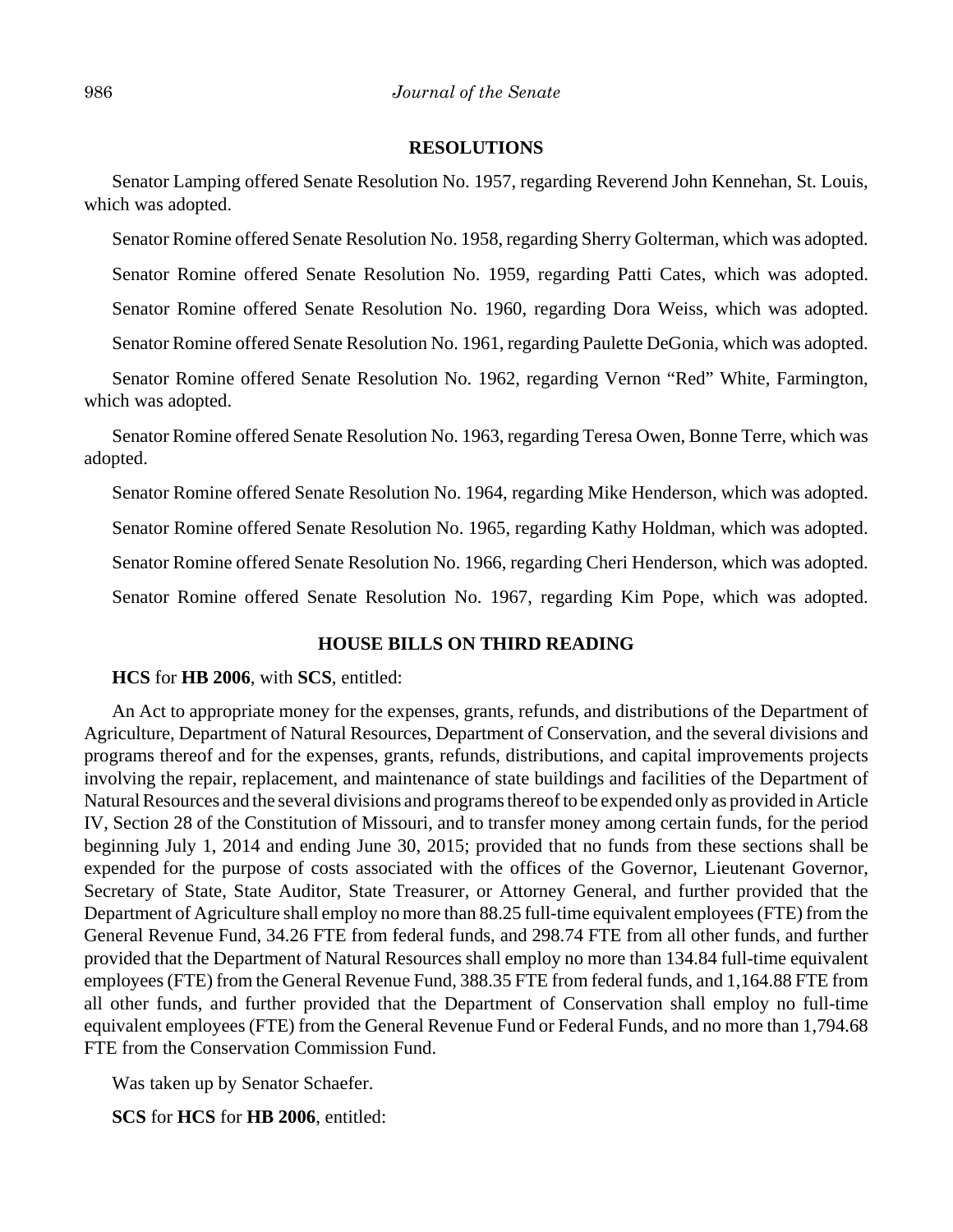#### **RESOLUTIONS**

Senator Lamping offered Senate Resolution No. 1957, regarding Reverend John Kennehan, St. Louis, which was adopted.

Senator Romine offered Senate Resolution No. 1958, regarding Sherry Golterman, which was adopted.

Senator Romine offered Senate Resolution No. 1959, regarding Patti Cates, which was adopted.

Senator Romine offered Senate Resolution No. 1960, regarding Dora Weiss, which was adopted.

Senator Romine offered Senate Resolution No. 1961, regarding Paulette DeGonia, which was adopted.

Senator Romine offered Senate Resolution No. 1962, regarding Vernon "Red" White, Farmington, which was adopted.

Senator Romine offered Senate Resolution No. 1963, regarding Teresa Owen, Bonne Terre, which was adopted.

Senator Romine offered Senate Resolution No. 1964, regarding Mike Henderson, which was adopted.

Senator Romine offered Senate Resolution No. 1965, regarding Kathy Holdman, which was adopted.

Senator Romine offered Senate Resolution No. 1966, regarding Cheri Henderson, which was adopted.

Senator Romine offered Senate Resolution No. 1967, regarding Kim Pope, which was adopted.

#### **HOUSE BILLS ON THIRD READING**

#### **HCS** for **HB 2006**, with **SCS**, entitled:

An Act to appropriate money for the expenses, grants, refunds, and distributions of the Department of Agriculture, Department of Natural Resources, Department of Conservation, and the several divisions and programs thereof and for the expenses, grants, refunds, distributions, and capital improvements projects involving the repair, replacement, and maintenance of state buildings and facilities of the Department of Natural Resources and the several divisions and programs thereof to be expended only as provided in Article IV, Section 28 of the Constitution of Missouri, and to transfer money among certain funds, for the period beginning July 1, 2014 and ending June 30, 2015; provided that no funds from these sections shall be expended for the purpose of costs associated with the offices of the Governor, Lieutenant Governor, Secretary of State, State Auditor, State Treasurer, or Attorney General, and further provided that the Department of Agriculture shall employ no more than 88.25 full-time equivalent employees (FTE) from the General Revenue Fund, 34.26 FTE from federal funds, and 298.74 FTE from all other funds, and further provided that the Department of Natural Resources shall employ no more than 134.84 full-time equivalent employees (FTE) from the General Revenue Fund, 388.35 FTE from federal funds, and 1,164.88 FTE from all other funds, and further provided that the Department of Conservation shall employ no full-time equivalent employees (FTE) from the General Revenue Fund or Federal Funds, and no more than 1,794.68 FTE from the Conservation Commission Fund.

Was taken up by Senator Schaefer.

**SCS** for **HCS** for **HB 2006**, entitled: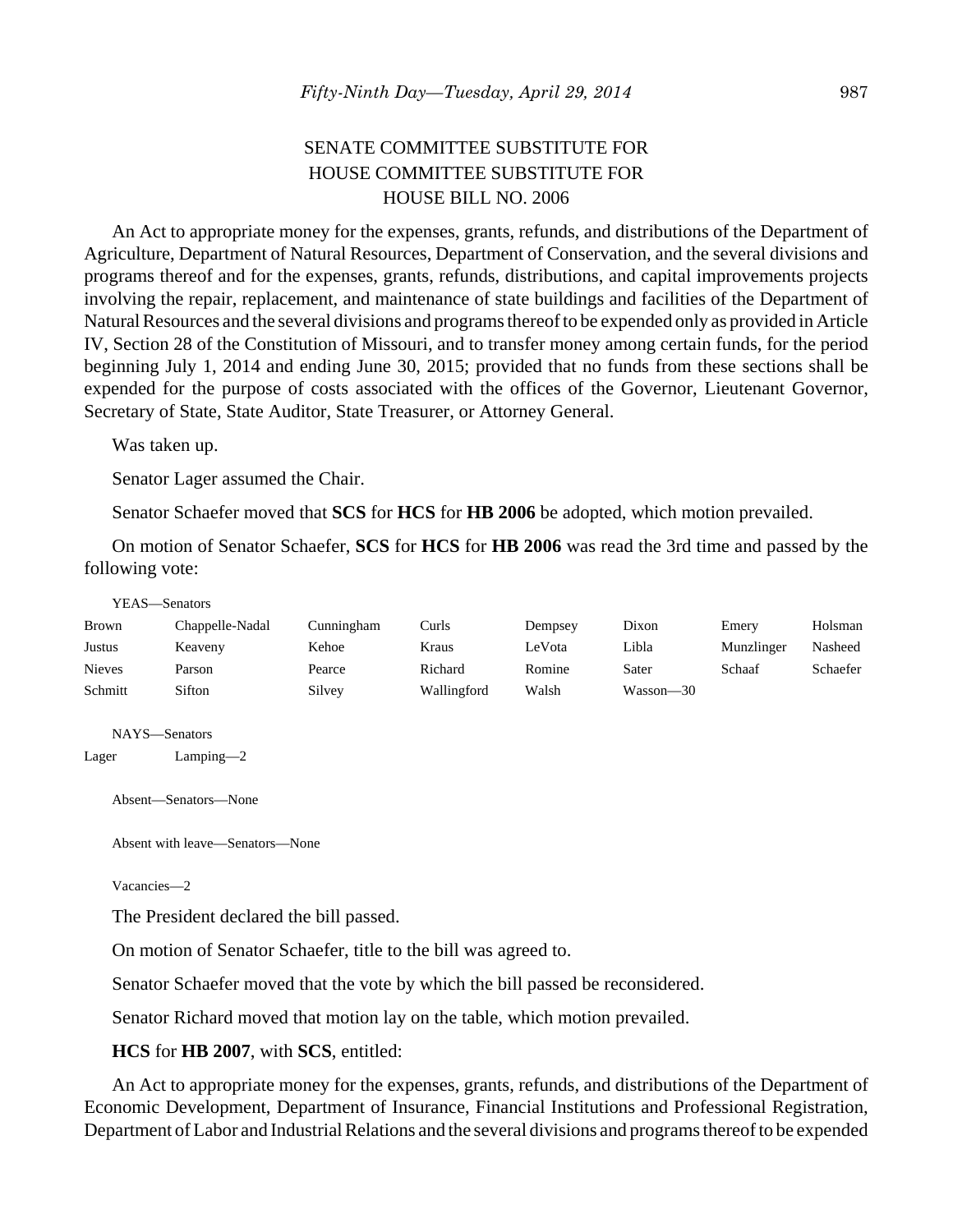## SENATE COMMITTEE SUBSTITUTE FOR HOUSE COMMITTEE SUBSTITUTE FOR HOUSE BILL NO. 2006

An Act to appropriate money for the expenses, grants, refunds, and distributions of the Department of Agriculture, Department of Natural Resources, Department of Conservation, and the several divisions and programs thereof and for the expenses, grants, refunds, distributions, and capital improvements projects involving the repair, replacement, and maintenance of state buildings and facilities of the Department of Natural Resources and the several divisions and programs thereof to be expended only as provided in Article IV, Section 28 of the Constitution of Missouri, and to transfer money among certain funds, for the period beginning July 1, 2014 and ending June 30, 2015; provided that no funds from these sections shall be expended for the purpose of costs associated with the offices of the Governor, Lieutenant Governor, Secretary of State, State Auditor, State Treasurer, or Attorney General.

Was taken up.

Senator Lager assumed the Chair.

Senator Schaefer moved that **SCS** for **HCS** for **HB 2006** be adopted, which motion prevailed.

On motion of Senator Schaefer, **SCS** for **HCS** for **HB 2006** was read the 3rd time and passed by the following vote:

#### YEAS—Senators

| Brown         | Chappelle-Nadal | Cunningham | Curls       | Dempsey | Dixon     | Emery      | Holsman  |
|---------------|-----------------|------------|-------------|---------|-----------|------------|----------|
| Justus        | Keaveny         | Kehoe      | Kraus       | LeVota  | Libla     | Munzlinger | Nasheed  |
| <b>Nieves</b> | Parson          | Pearce     | Richard     | Romine  | Sater     | Schaaf     | Schaefer |
| Schmitt       | Sifton          | Silvey     | Wallingford | Walsh   | Wasson—30 |            |          |

NAYS—Senators

Lager Lamping—2

Absent—Senators—None

Absent with leave—Senators—None

Vacancies—2

The President declared the bill passed.

On motion of Senator Schaefer, title to the bill was agreed to.

Senator Schaefer moved that the vote by which the bill passed be reconsidered.

Senator Richard moved that motion lay on the table, which motion prevailed.

#### **HCS** for **HB 2007**, with **SCS**, entitled:

An Act to appropriate money for the expenses, grants, refunds, and distributions of the Department of Economic Development, Department of Insurance, Financial Institutions and Professional Registration, Department of Labor and Industrial Relations and the several divisions and programs thereof to be expended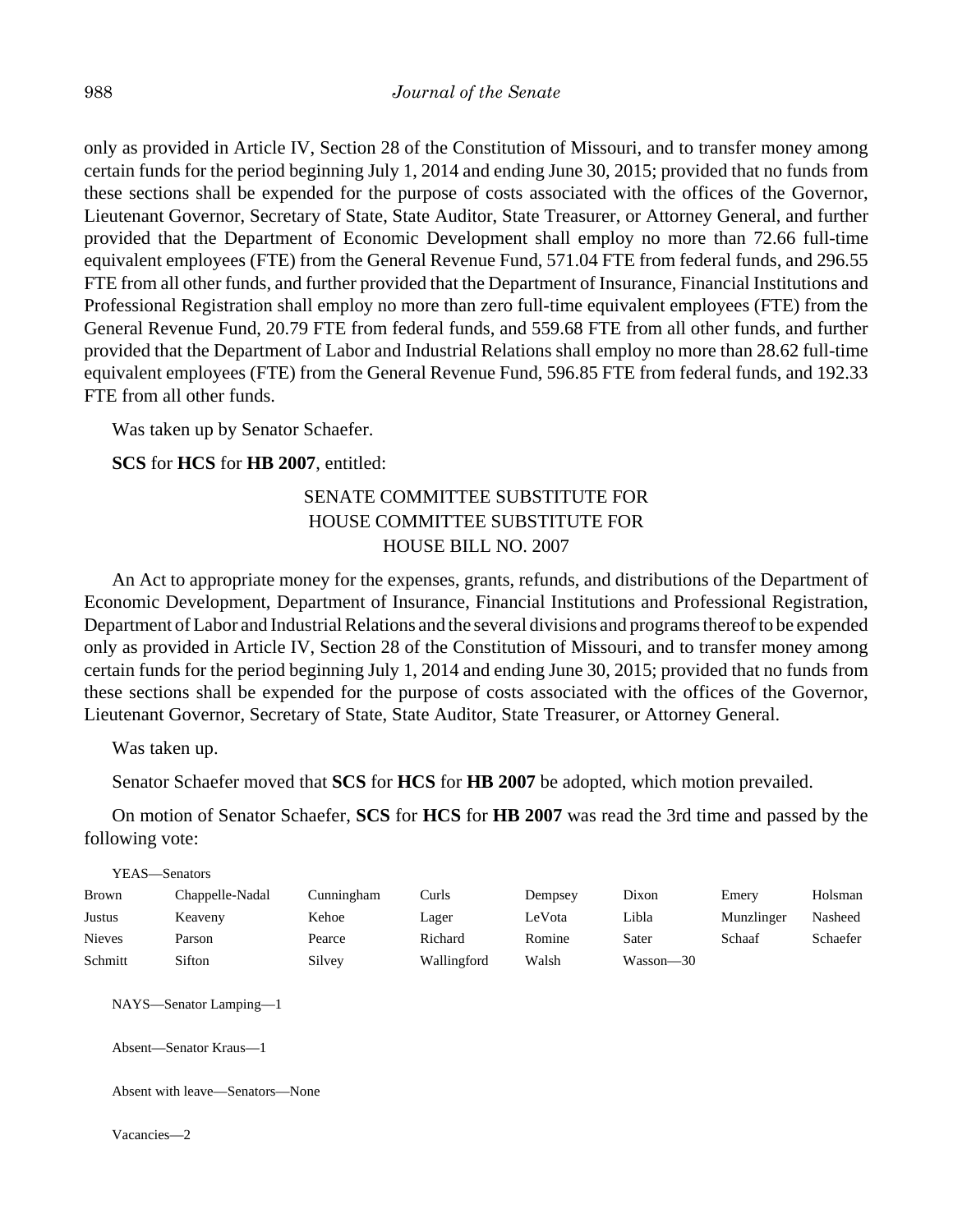only as provided in Article IV, Section 28 of the Constitution of Missouri, and to transfer money among certain funds for the period beginning July 1, 2014 and ending June 30, 2015; provided that no funds from these sections shall be expended for the purpose of costs associated with the offices of the Governor, Lieutenant Governor, Secretary of State, State Auditor, State Treasurer, or Attorney General, and further provided that the Department of Economic Development shall employ no more than 72.66 full-time equivalent employees (FTE) from the General Revenue Fund, 571.04 FTE from federal funds, and 296.55 FTE from all other funds, and further provided that the Department of Insurance, Financial Institutions and Professional Registration shall employ no more than zero full-time equivalent employees (FTE) from the General Revenue Fund, 20.79 FTE from federal funds, and 559.68 FTE from all other funds, and further provided that the Department of Labor and Industrial Relations shall employ no more than 28.62 full-time equivalent employees (FTE) from the General Revenue Fund, 596.85 FTE from federal funds, and 192.33 FTE from all other funds.

Was taken up by Senator Schaefer.

## **SCS** for **HCS** for **HB 2007**, entitled:

## SENATE COMMITTEE SUBSTITUTE FOR HOUSE COMMITTEE SUBSTITUTE FOR HOUSE BILL NO. 2007

An Act to appropriate money for the expenses, grants, refunds, and distributions of the Department of Economic Development, Department of Insurance, Financial Institutions and Professional Registration, Department of Labor and Industrial Relations and the several divisions and programs thereof to be expended only as provided in Article IV, Section 28 of the Constitution of Missouri, and to transfer money among certain funds for the period beginning July 1, 2014 and ending June 30, 2015; provided that no funds from these sections shall be expended for the purpose of costs associated with the offices of the Governor, Lieutenant Governor, Secretary of State, State Auditor, State Treasurer, or Attorney General.

Was taken up.

 $Y_{\text{H}}$   $\alpha$ 

Senator Schaefer moved that **SCS** for **HCS** for **HB 2007** be adopted, which motion prevailed.

On motion of Senator Schaefer, **SCS** for **HCS** for **HB 2007** was read the 3rd time and passed by the following vote:

| YEAS—Senators |                 |            |             |         |           |            |          |
|---------------|-----------------|------------|-------------|---------|-----------|------------|----------|
| <b>Brown</b>  | Chappelle-Nadal | Cunningham | Curls       | Dempsey | Dixon     | Emery      | Holsman  |
| Justus        | Keaveny         | Kehoe      | Lager       | LeVota  | Libla     | Munzlinger | Nasheed  |
| <b>Nieves</b> | Parson          | Pearce     | Richard     | Romine  | Sater     | Schaaf     | Schaefer |
| Schmitt       | Sifton          | Silvey     | Wallingford | Walsh   | Wasson-30 |            |          |

NAYS—Senator Lamping—1

Absent—Senator Kraus—1

Absent with leave—Senators—None

Vacancies—2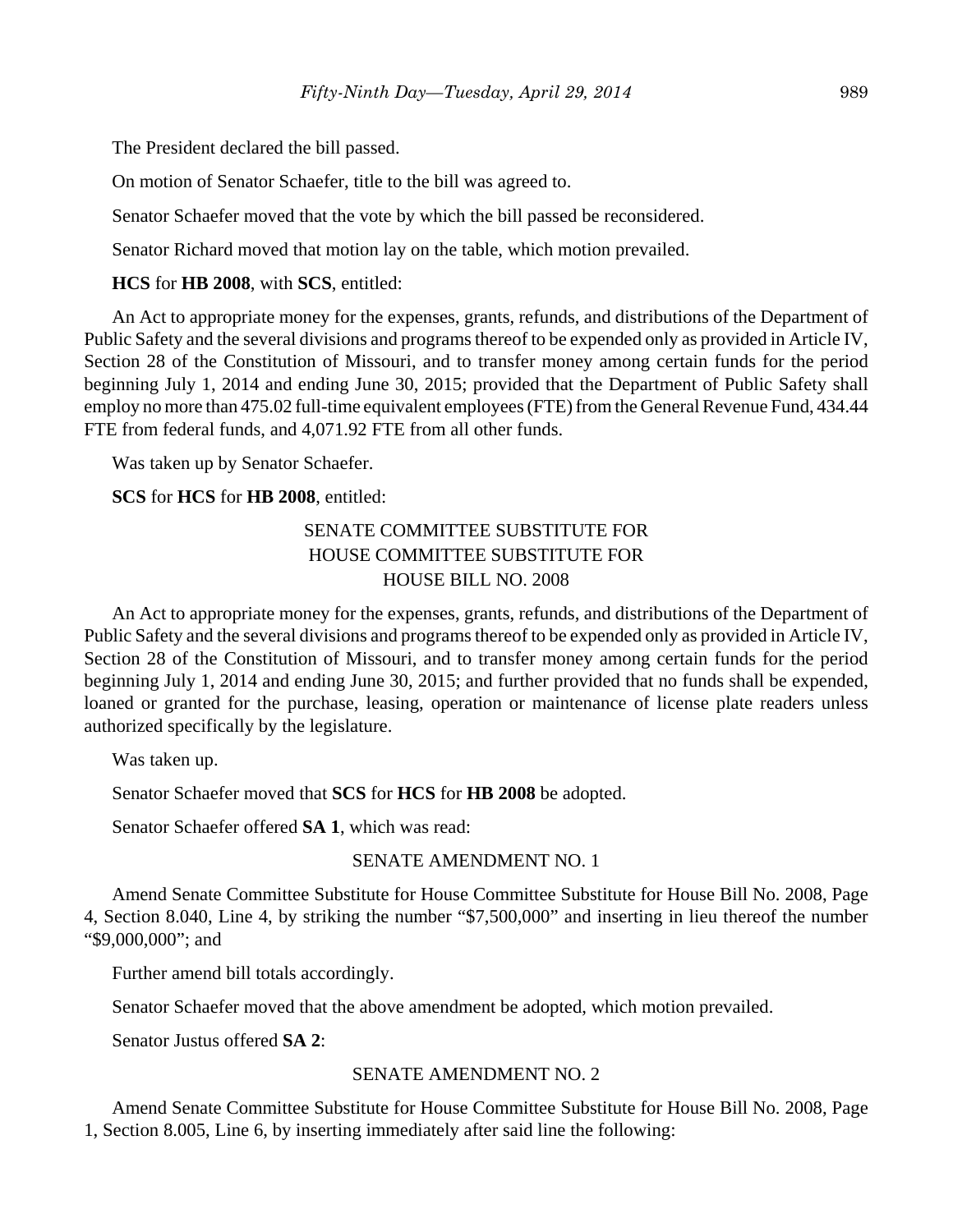The President declared the bill passed.

On motion of Senator Schaefer, title to the bill was agreed to.

Senator Schaefer moved that the vote by which the bill passed be reconsidered.

Senator Richard moved that motion lay on the table, which motion prevailed.

#### **HCS** for **HB 2008**, with **SCS**, entitled:

An Act to appropriate money for the expenses, grants, refunds, and distributions of the Department of Public Safety and the several divisions and programs thereof to be expended only as provided in Article IV, Section 28 of the Constitution of Missouri, and to transfer money among certain funds for the period beginning July 1, 2014 and ending June 30, 2015; provided that the Department of Public Safety shall employ no more than 475.02 full-time equivalent employees (FTE) from the General Revenue Fund, 434.44 FTE from federal funds, and 4,071.92 FTE from all other funds.

Was taken up by Senator Schaefer.

**SCS** for **HCS** for **HB 2008**, entitled:

## SENATE COMMITTEE SUBSTITUTE FOR HOUSE COMMITTEE SUBSTITUTE FOR HOUSE BILL NO. 2008

An Act to appropriate money for the expenses, grants, refunds, and distributions of the Department of Public Safety and the several divisions and programs thereof to be expended only as provided in Article IV, Section 28 of the Constitution of Missouri, and to transfer money among certain funds for the period beginning July 1, 2014 and ending June 30, 2015; and further provided that no funds shall be expended, loaned or granted for the purchase, leasing, operation or maintenance of license plate readers unless authorized specifically by the legislature.

Was taken up.

Senator Schaefer moved that **SCS** for **HCS** for **HB 2008** be adopted.

Senator Schaefer offered **SA 1**, which was read:

#### SENATE AMENDMENT NO. 1

Amend Senate Committee Substitute for House Committee Substitute for House Bill No. 2008, Page 4, Section 8.040, Line 4, by striking the number "\$7,500,000" and inserting in lieu thereof the number "\$9,000,000"; and

Further amend bill totals accordingly.

Senator Schaefer moved that the above amendment be adopted, which motion prevailed.

Senator Justus offered **SA 2**:

#### SENATE AMENDMENT NO. 2

Amend Senate Committee Substitute for House Committee Substitute for House Bill No. 2008, Page 1, Section 8.005, Line 6, by inserting immediately after said line the following: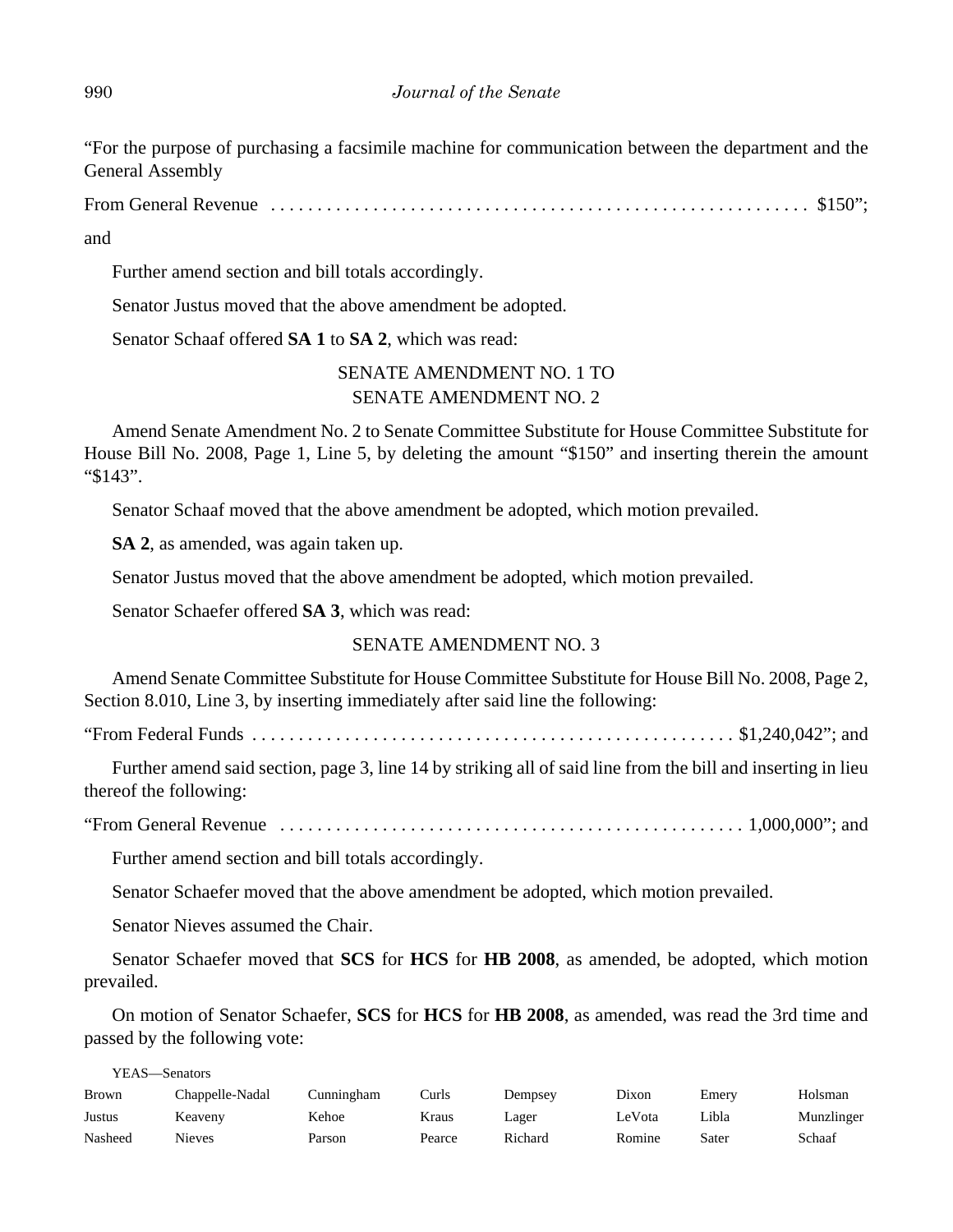"For the purpose of purchasing a facsimile machine for communication between the department and the General Assembly

From General Revenue . . . . . . . . . . . . . . . . . . . . . . . . . . . . . . . . . . . . . . . . . . . . . . . . . . . . . . . . . . \$150";

and

Further amend section and bill totals accordingly.

Senator Justus moved that the above amendment be adopted.

Senator Schaaf offered **SA 1** to **SA 2**, which was read:

## SENATE AMENDMENT NO. 1 TO SENATE AMENDMENT NO. 2

Amend Senate Amendment No. 2 to Senate Committee Substitute for House Committee Substitute for House Bill No. 2008, Page 1, Line 5, by deleting the amount "\$150" and inserting therein the amount "\$143".

Senator Schaaf moved that the above amendment be adopted, which motion prevailed.

**SA 2**, as amended, was again taken up.

Senator Justus moved that the above amendment be adopted, which motion prevailed.

Senator Schaefer offered **SA 3**, which was read:

## SENATE AMENDMENT NO. 3

Amend Senate Committee Substitute for House Committee Substitute for House Bill No. 2008, Page 2, Section 8.010, Line 3, by inserting immediately after said line the following:

"From Federal Funds .................................................... \$1,240,042"; and

Further amend said section, page 3, line 14 by striking all of said line from the bill and inserting in lieu thereof the following:

"From General Revenue . . . . . . . . . . . . . . . . . . . . . . . . . . . . . . . . . . . . . . . . . . . . . . . . . . 1,000,000"; and

Further amend section and bill totals accordingly.

Senator Schaefer moved that the above amendment be adopted, which motion prevailed.

Senator Nieves assumed the Chair.

Senator Schaefer moved that **SCS** for **HCS** for **HB 2008**, as amended, be adopted, which motion prevailed.

On motion of Senator Schaefer, **SCS** for **HCS** for **HB 2008**, as amended, was read the 3rd time and passed by the following vote:

YEAS—Senators

| Brown   | Chappelle-Nadal | Cunningham | ∑urls  | Dempsev | Dixon  | Emerv | Holsman    |
|---------|-----------------|------------|--------|---------|--------|-------|------------|
| Justus  | Keavenv         | Kehoe      | Kraus  | Lager   | LeVota | Libla | Munzlinger |
| Nasheed | Nieves          | Parson     | Pearce | Richard | Romine | Sater | Schaaf     |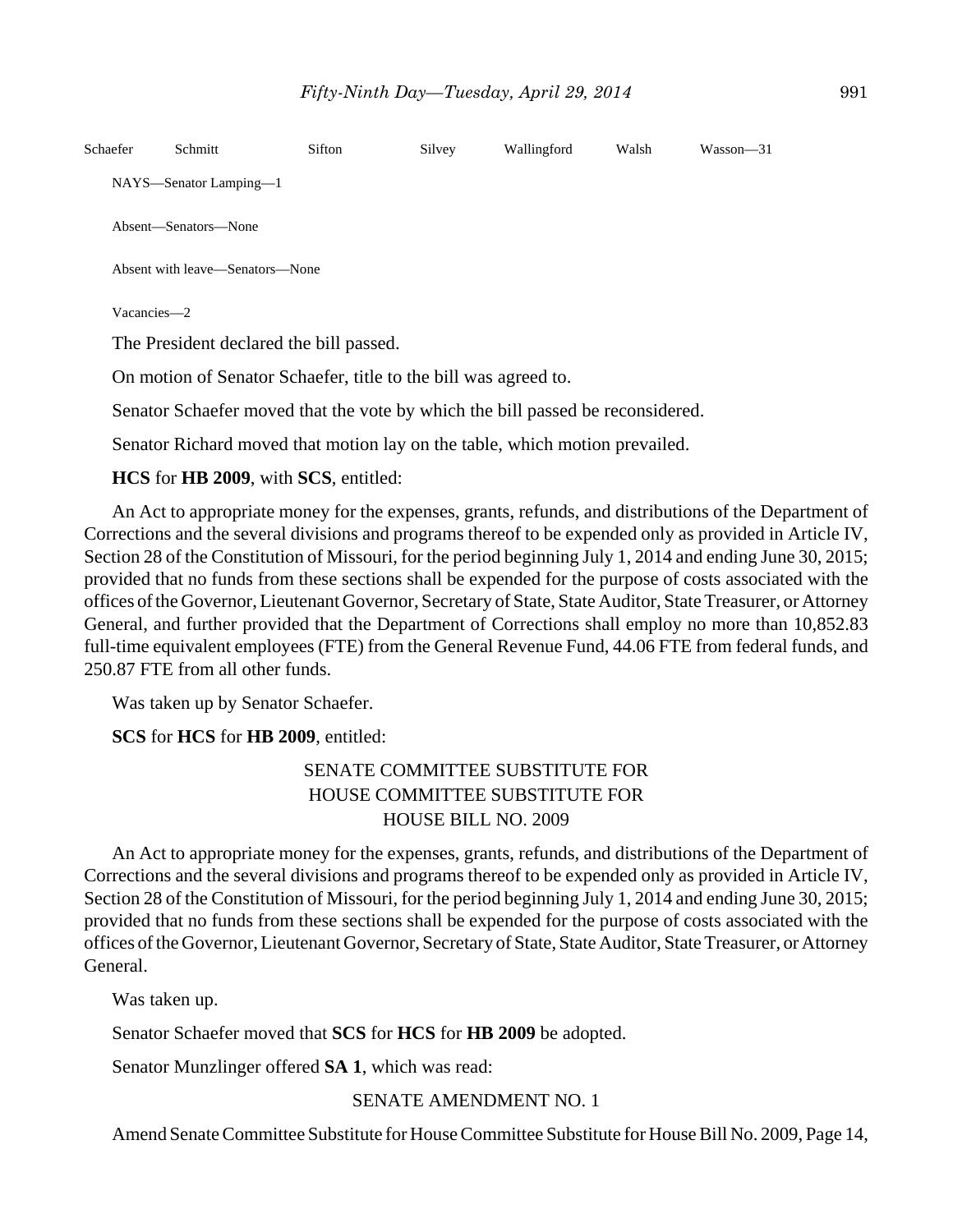| Schaefer    | Schmitt                                                         | Sifton | Silvey | Wallingford | Walsh | $Wasson - 31$ |
|-------------|-----------------------------------------------------------------|--------|--------|-------------|-------|---------------|
|             | NAYS—Senator Lamping—1                                          |        |        |             |       |               |
|             | Absent—Senators—None                                            |        |        |             |       |               |
|             | Absent with leave—Senators—None                                 |        |        |             |       |               |
| Vacancies-2 |                                                                 |        |        |             |       |               |
|             | The President declared the bill passed.                         |        |        |             |       |               |
|             | On motion of Senator Schaefer, title to the bill was agreed to. |        |        |             |       |               |

Senator Schaefer moved that the vote by which the bill passed be reconsidered.

Senator Richard moved that motion lay on the table, which motion prevailed.

## **HCS** for **HB 2009**, with **SCS**, entitled:

An Act to appropriate money for the expenses, grants, refunds, and distributions of the Department of Corrections and the several divisions and programs thereof to be expended only as provided in Article IV, Section 28 of the Constitution of Missouri, for the period beginning July 1, 2014 and ending June 30, 2015; provided that no funds from these sections shall be expended for the purpose of costs associated with the offices of the Governor, Lieutenant Governor, Secretary of State, State Auditor, State Treasurer, or Attorney General, and further provided that the Department of Corrections shall employ no more than 10,852.83 full-time equivalent employees (FTE) from the General Revenue Fund, 44.06 FTE from federal funds, and 250.87 FTE from all other funds.

Was taken up by Senator Schaefer.

**SCS** for **HCS** for **HB 2009**, entitled:

## SENATE COMMITTEE SUBSTITUTE FOR HOUSE COMMITTEE SUBSTITUTE FOR HOUSE BILL NO. 2009

An Act to appropriate money for the expenses, grants, refunds, and distributions of the Department of Corrections and the several divisions and programs thereof to be expended only as provided in Article IV, Section 28 of the Constitution of Missouri, for the period beginning July 1, 2014 and ending June 30, 2015; provided that no funds from these sections shall be expended for the purpose of costs associated with the offices of the Governor, Lieutenant Governor, Secretary of State, State Auditor, State Treasurer, or Attorney General.

Was taken up.

Senator Schaefer moved that **SCS** for **HCS** for **HB 2009** be adopted.

Senator Munzlinger offered **SA 1**, which was read:

## SENATE AMENDMENT NO. 1

Amend Senate Committee Substitute for House Committee Substitute for House Bill No. 2009, Page 14,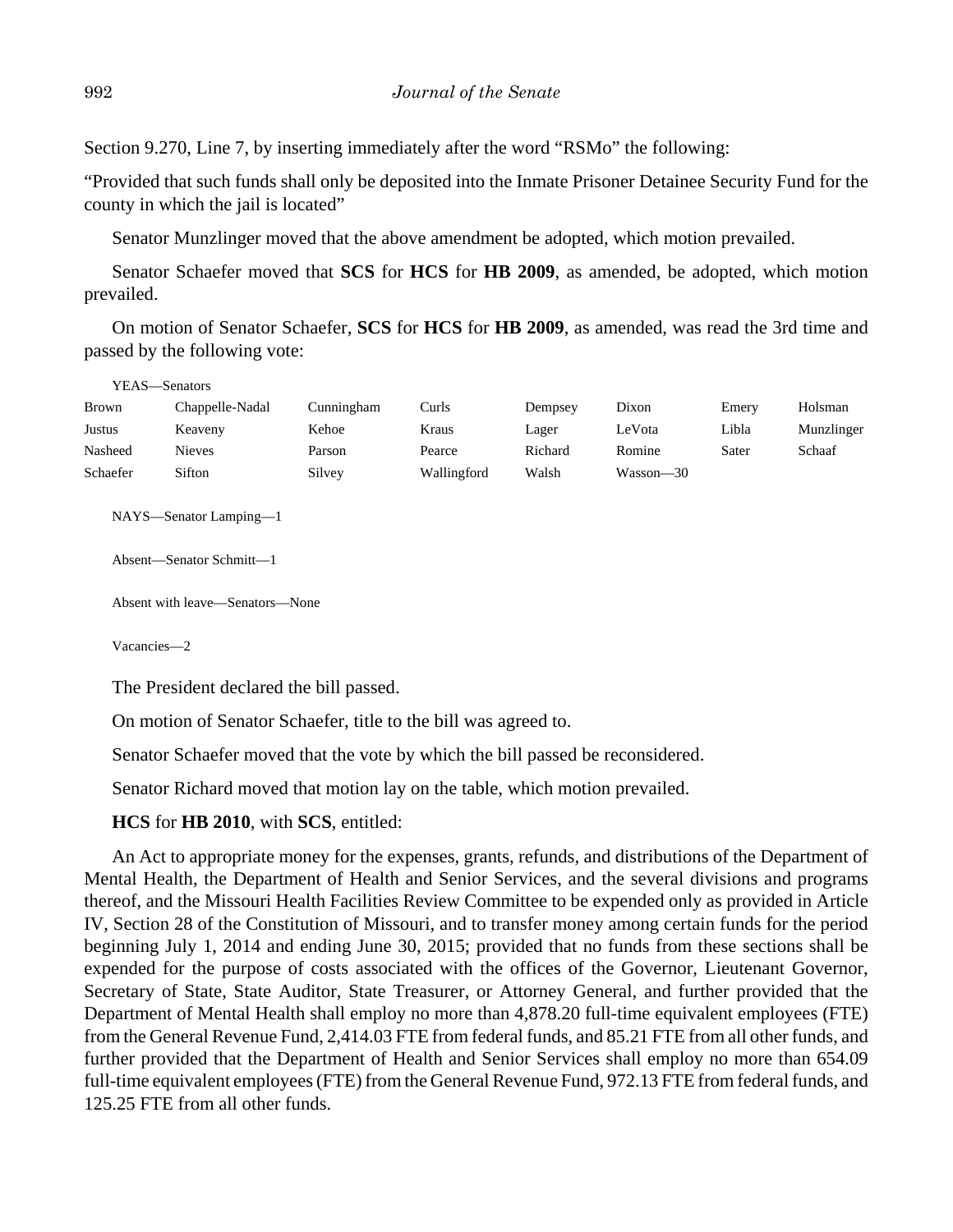Section 9.270, Line 7, by inserting immediately after the word "RSMo" the following:

"Provided that such funds shall only be deposited into the Inmate Prisoner Detainee Security Fund for the county in which the jail is located"

Senator Munzlinger moved that the above amendment be adopted, which motion prevailed.

Senator Schaefer moved that **SCS** for **HCS** for **HB 2009**, as amended, be adopted, which motion prevailed.

On motion of Senator Schaefer, **SCS** for **HCS** for **HB 2009**, as amended, was read the 3rd time and passed by the following vote:

| YEAS—Senators |                 |            |             |         |           |       |            |
|---------------|-----------------|------------|-------------|---------|-----------|-------|------------|
| <b>Brown</b>  | Chappelle-Nadal | Cunningham | Curls       | Dempsey | Dixon     | Emery | Holsman    |
| Justus        | Keaveny         | Kehoe      | Kraus       | Lager   | LeVota    | Libla | Munzlinger |
| Nasheed       | <b>Nieves</b>   | Parson     | Pearce      | Richard | Romine    | Sater | Schaaf     |
| Schaefer      | Sifton          | Silvey     | Wallingford | Walsh   | Wasson—30 |       |            |

NAYS—Senator Lamping—1

Absent—Senator Schmitt—1

Absent with leave—Senators—None

Vacancies—2

The President declared the bill passed.

On motion of Senator Schaefer, title to the bill was agreed to.

Senator Schaefer moved that the vote by which the bill passed be reconsidered.

Senator Richard moved that motion lay on the table, which motion prevailed.

#### **HCS** for **HB 2010**, with **SCS**, entitled:

An Act to appropriate money for the expenses, grants, refunds, and distributions of the Department of Mental Health, the Department of Health and Senior Services, and the several divisions and programs thereof, and the Missouri Health Facilities Review Committee to be expended only as provided in Article IV, Section 28 of the Constitution of Missouri, and to transfer money among certain funds for the period beginning July 1, 2014 and ending June 30, 2015; provided that no funds from these sections shall be expended for the purpose of costs associated with the offices of the Governor, Lieutenant Governor, Secretary of State, State Auditor, State Treasurer, or Attorney General, and further provided that the Department of Mental Health shall employ no more than 4,878.20 full-time equivalent employees (FTE) from the General Revenue Fund, 2,414.03 FTE from federal funds, and 85.21 FTE from all other funds, and further provided that the Department of Health and Senior Services shall employ no more than 654.09 full-time equivalent employees (FTE) from the General Revenue Fund, 972.13 FTE from federal funds, and 125.25 FTE from all other funds.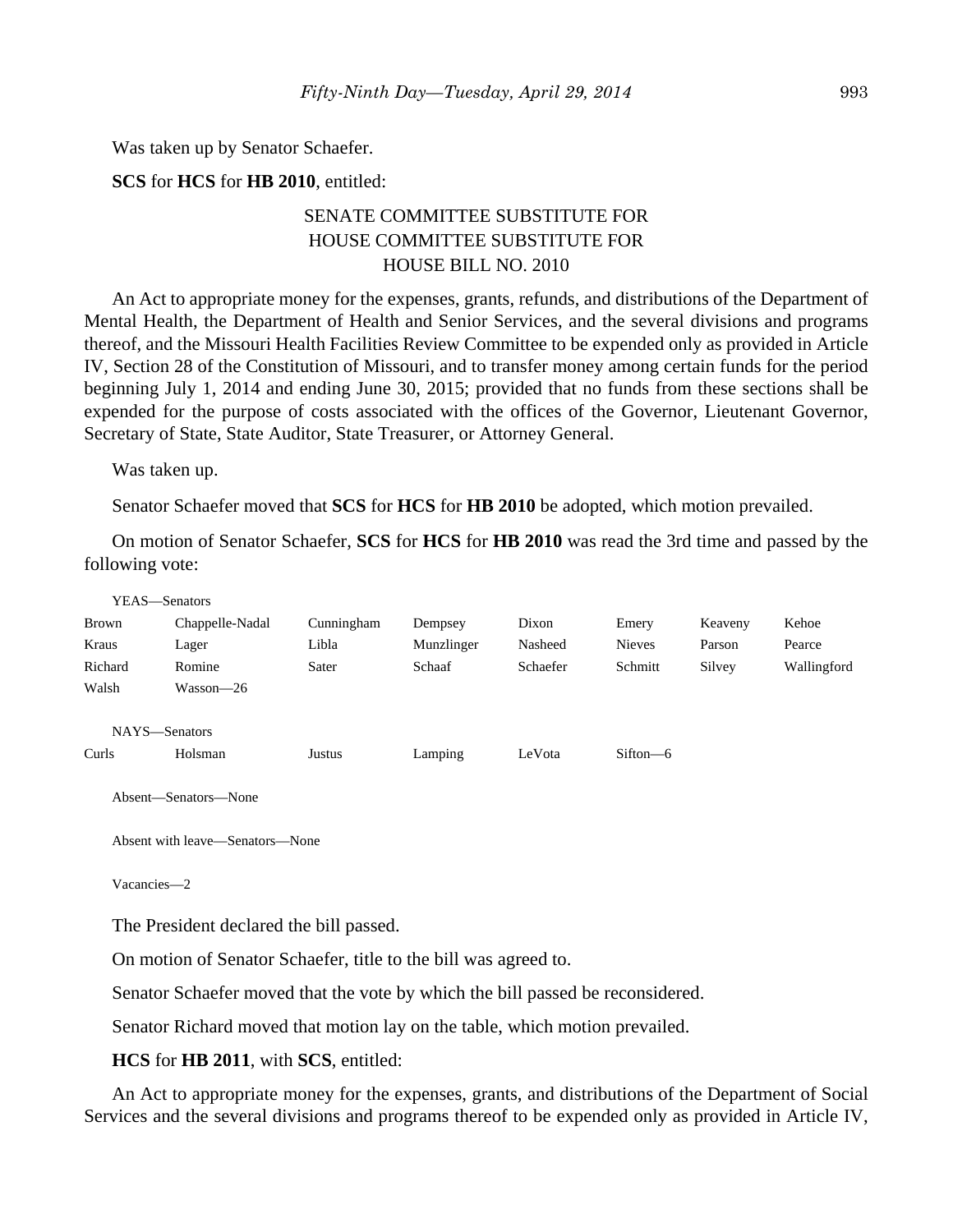Was taken up by Senator Schaefer.

**SCS** for **HCS** for **HB 2010**, entitled:

## SENATE COMMITTEE SUBSTITUTE FOR HOUSE COMMITTEE SUBSTITUTE FOR HOUSE BILL NO. 2010

An Act to appropriate money for the expenses, grants, refunds, and distributions of the Department of Mental Health, the Department of Health and Senior Services, and the several divisions and programs thereof, and the Missouri Health Facilities Review Committee to be expended only as provided in Article IV, Section 28 of the Constitution of Missouri, and to transfer money among certain funds for the period beginning July 1, 2014 and ending June 30, 2015; provided that no funds from these sections shall be expended for the purpose of costs associated with the offices of the Governor, Lieutenant Governor, Secretary of State, State Auditor, State Treasurer, or Attorney General.

Was taken up.

Senator Schaefer moved that **SCS** for **HCS** for **HB 2010** be adopted, which motion prevailed.

On motion of Senator Schaefer, **SCS** for **HCS** for **HB 2010** was read the 3rd time and passed by the following vote:

| YEAS—Senators |                      |            |            |          |               |         |             |
|---------------|----------------------|------------|------------|----------|---------------|---------|-------------|
| Brown         | Chappelle-Nadal      | Cunningham | Dempsey    | Dixon    | Emery         | Keaveny | Kehoe       |
| Kraus         | Lager                | Libla      | Munzlinger | Nasheed  | <b>Nieves</b> | Parson  | Pearce      |
| Richard       | Romine               | Sater      | Schaaf     | Schaefer | Schmitt       | Silvey  | Wallingford |
| Walsh         | Wasson-26            |            |            |          |               |         |             |
|               |                      |            |            |          |               |         |             |
| NAYS-Senators |                      |            |            |          |               |         |             |
| Curls         | Holsman              | Justus     | Lamping    | LeVota   | $Sifton - 6$  |         |             |
|               |                      |            |            |          |               |         |             |
|               | Absent—Senators—None |            |            |          |               |         |             |

Absent with leave—Senators—None

Vacancies—2

The President declared the bill passed.

On motion of Senator Schaefer, title to the bill was agreed to.

Senator Schaefer moved that the vote by which the bill passed be reconsidered.

Senator Richard moved that motion lay on the table, which motion prevailed.

**HCS** for **HB 2011**, with **SCS**, entitled:

An Act to appropriate money for the expenses, grants, and distributions of the Department of Social Services and the several divisions and programs thereof to be expended only as provided in Article IV,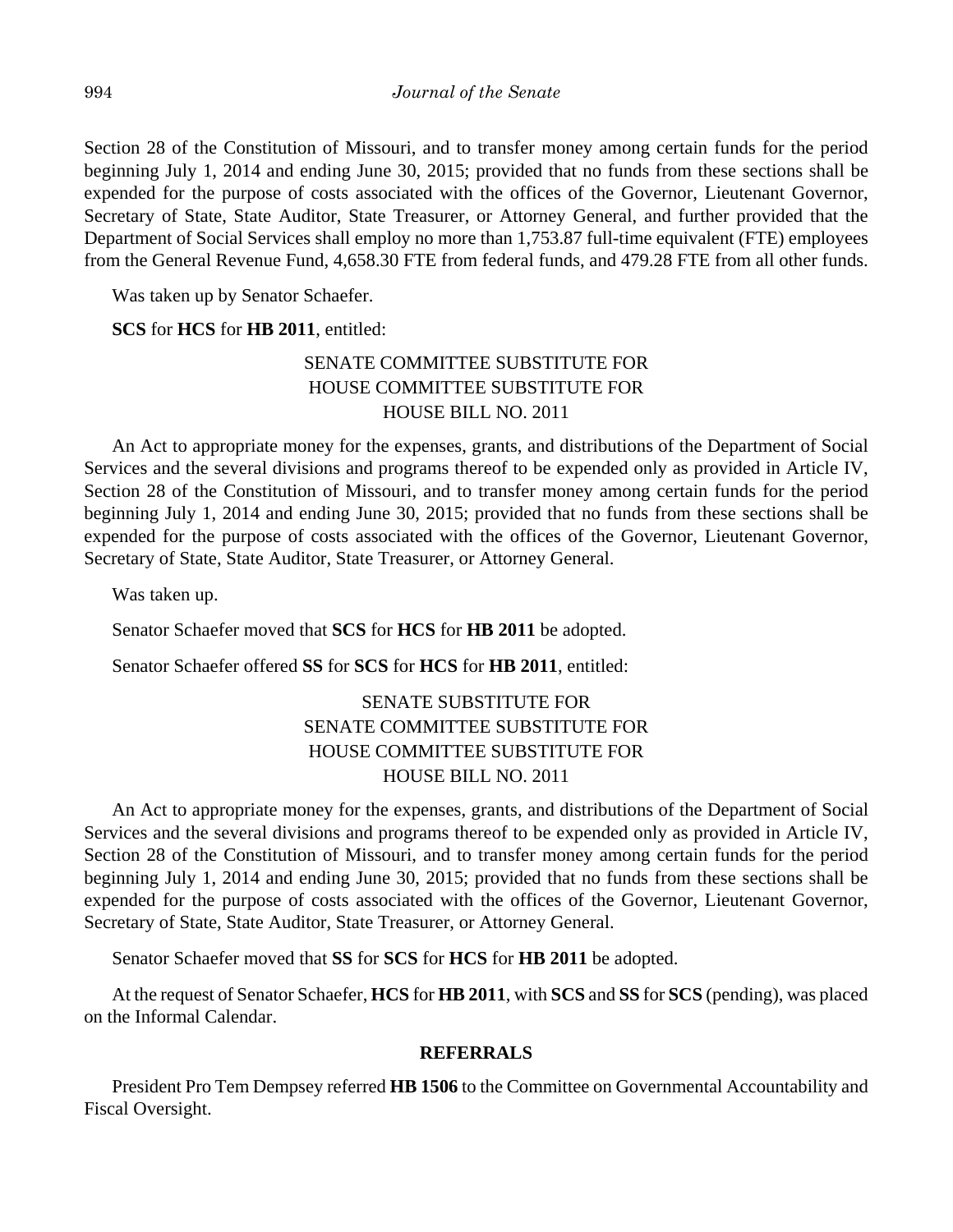Section 28 of the Constitution of Missouri, and to transfer money among certain funds for the period beginning July 1, 2014 and ending June 30, 2015; provided that no funds from these sections shall be expended for the purpose of costs associated with the offices of the Governor, Lieutenant Governor, Secretary of State, State Auditor, State Treasurer, or Attorney General, and further provided that the Department of Social Services shall employ no more than 1,753.87 full-time equivalent (FTE) employees from the General Revenue Fund, 4,658.30 FTE from federal funds, and 479.28 FTE from all other funds.

Was taken up by Senator Schaefer.

## **SCS** for **HCS** for **HB 2011**, entitled:

## SENATE COMMITTEE SUBSTITUTE FOR HOUSE COMMITTEE SUBSTITUTE FOR HOUSE BILL NO. 2011

An Act to appropriate money for the expenses, grants, and distributions of the Department of Social Services and the several divisions and programs thereof to be expended only as provided in Article IV, Section 28 of the Constitution of Missouri, and to transfer money among certain funds for the period beginning July 1, 2014 and ending June 30, 2015; provided that no funds from these sections shall be expended for the purpose of costs associated with the offices of the Governor, Lieutenant Governor, Secretary of State, State Auditor, State Treasurer, or Attorney General.

Was taken up.

Senator Schaefer moved that **SCS** for **HCS** for **HB 2011** be adopted.

Senator Schaefer offered **SS** for **SCS** for **HCS** for **HB 2011**, entitled:

## SENATE SUBSTITUTE FOR SENATE COMMITTEE SUBSTITUTE FOR HOUSE COMMITTEE SUBSTITUTE FOR HOUSE BILL NO. 2011

An Act to appropriate money for the expenses, grants, and distributions of the Department of Social Services and the several divisions and programs thereof to be expended only as provided in Article IV, Section 28 of the Constitution of Missouri, and to transfer money among certain funds for the period beginning July 1, 2014 and ending June 30, 2015; provided that no funds from these sections shall be expended for the purpose of costs associated with the offices of the Governor, Lieutenant Governor, Secretary of State, State Auditor, State Treasurer, or Attorney General.

Senator Schaefer moved that **SS** for **SCS** for **HCS** for **HB 2011** be adopted.

At the request of Senator Schaefer, **HCS** for **HB 2011**, with **SCS** and **SS** for **SCS** (pending), was placed on the Informal Calendar.

## **REFERRALS**

President Pro Tem Dempsey referred **HB 1506** to the Committee on Governmental Accountability and Fiscal Oversight.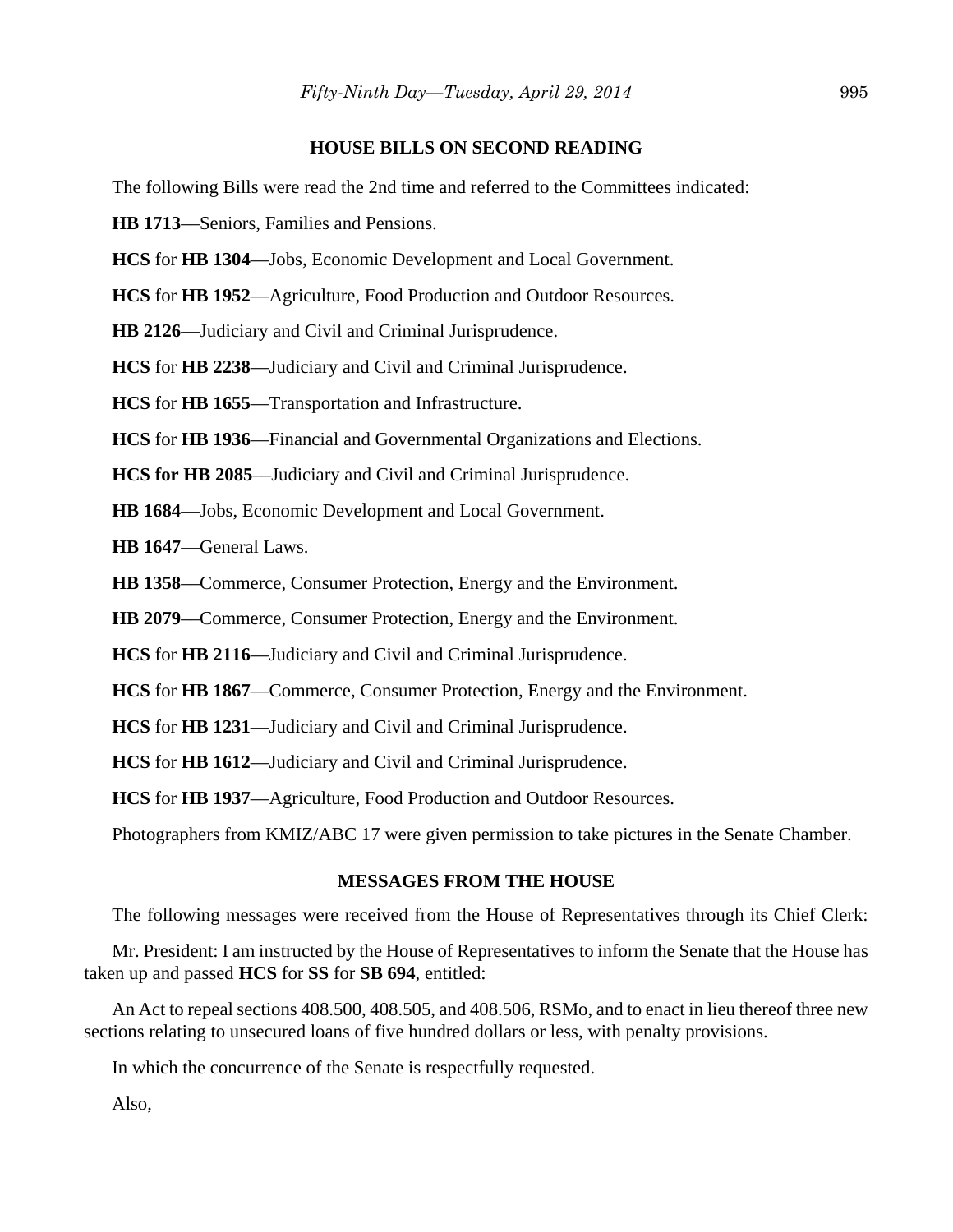## **HOUSE BILLS ON SECOND READING**

The following Bills were read the 2nd time and referred to the Committees indicated:

**HB 1713**––Seniors, Families and Pensions.

**HCS** for **HB 1304**––Jobs, Economic Development and Local Government.

**HCS** for **HB 1952**––Agriculture, Food Production and Outdoor Resources.

**HB 2126**––Judiciary and Civil and Criminal Jurisprudence.

**HCS** for **HB 2238**––Judiciary and Civil and Criminal Jurisprudence.

**HCS** for **HB 1655**––Transportation and Infrastructure.

**HCS** for **HB 1936**––Financial and Governmental Organizations and Elections.

**HCS for HB 2085**––Judiciary and Civil and Criminal Jurisprudence.

**HB 1684**––Jobs, Economic Development and Local Government.

**HB 1647**––General Laws.

**HB 1358**––Commerce, Consumer Protection, Energy and the Environment.

**HB 2079**––Commerce, Consumer Protection, Energy and the Environment.

**HCS** for **HB 2116**––Judiciary and Civil and Criminal Jurisprudence.

**HCS** for **HB 1867**––Commerce, Consumer Protection, Energy and the Environment.

**HCS** for **HB 1231**––Judiciary and Civil and Criminal Jurisprudence.

**HCS** for **HB 1612**––Judiciary and Civil and Criminal Jurisprudence.

**HCS** for **HB 1937**––Agriculture, Food Production and Outdoor Resources.

Photographers from KMIZ/ABC 17 were given permission to take pictures in the Senate Chamber.

## **MESSAGES FROM THE HOUSE**

The following messages were received from the House of Representatives through its Chief Clerk:

Mr. President: I am instructed by the House of Representatives to inform the Senate that the House has taken up and passed **HCS** for **SS** for **SB 694**, entitled:

An Act to repeal sections 408.500, 408.505, and 408.506, RSMo, and to enact in lieu thereof three new sections relating to unsecured loans of five hundred dollars or less, with penalty provisions.

In which the concurrence of the Senate is respectfully requested.

Also,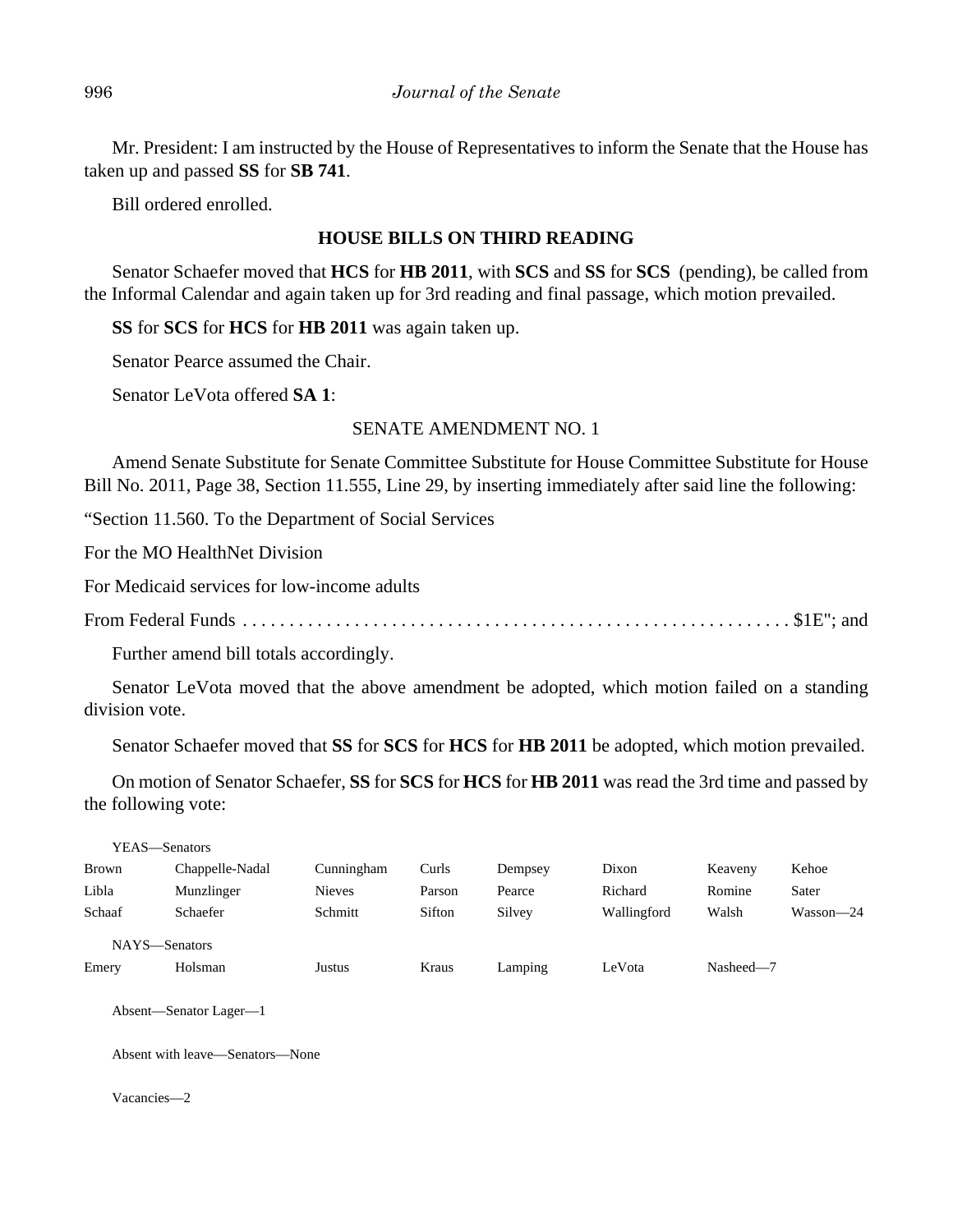Mr. President: I am instructed by the House of Representatives to inform the Senate that the House has taken up and passed **SS** for **SB 741**.

Bill ordered enrolled.

## **HOUSE BILLS ON THIRD READING**

Senator Schaefer moved that **HCS** for **HB 2011**, with **SCS** and **SS** for **SCS** (pending), be called from the Informal Calendar and again taken up for 3rd reading and final passage, which motion prevailed.

**SS** for **SCS** for **HCS** for **HB 2011** was again taken up.

Senator Pearce assumed the Chair.

Senator LeVota offered **SA 1**:

## SENATE AMENDMENT NO. 1

Amend Senate Substitute for Senate Committee Substitute for House Committee Substitute for House Bill No. 2011, Page 38, Section 11.555, Line 29, by inserting immediately after said line the following:

"Section 11.560. To the Department of Social Services

For the MO HealthNet Division

For Medicaid services for low-income adults

From Federal Funds . . . . . . . . . . . . . . . . . . . . . . . . . . . . . . . . . . . . . . . . . . . . . . . . . . . . . . . . . . . \$1E"; and

Further amend bill totals accordingly.

Senator LeVota moved that the above amendment be adopted, which motion failed on a standing division vote.

Senator Schaefer moved that **SS** for **SCS** for **HCS** for **HB 2011** be adopted, which motion prevailed.

On motion of Senator Schaefer, **SS** for **SCS** for **HCS** for **HB 2011** was read the 3rd time and passed by the following vote:

| YEAS—Senators |                        |               |        |         |             |           |           |
|---------------|------------------------|---------------|--------|---------|-------------|-----------|-----------|
| Brown         | Chappelle-Nadal        | Cunningham    | Curls  | Dempsey | Dixon       | Keaveny   | Kehoe     |
| Libla         | Munzlinger             | <b>Nieves</b> | Parson | Pearce  | Richard     | Romine    | Sater     |
| Schaaf        | Schaefer               | Schmitt       | Sifton | Silvey  | Wallingford | Walsh     | Wasson-24 |
| NAYS-Senators |                        |               |        |         |             |           |           |
| Emery         | Holsman                | Justus        | Kraus  | Lamping | LeVota      | Nasheed-7 |           |
|               |                        |               |        |         |             |           |           |
|               | Absent—Senator Lager—1 |               |        |         |             |           |           |

Absent with leave—Senators—None

Vacancies—2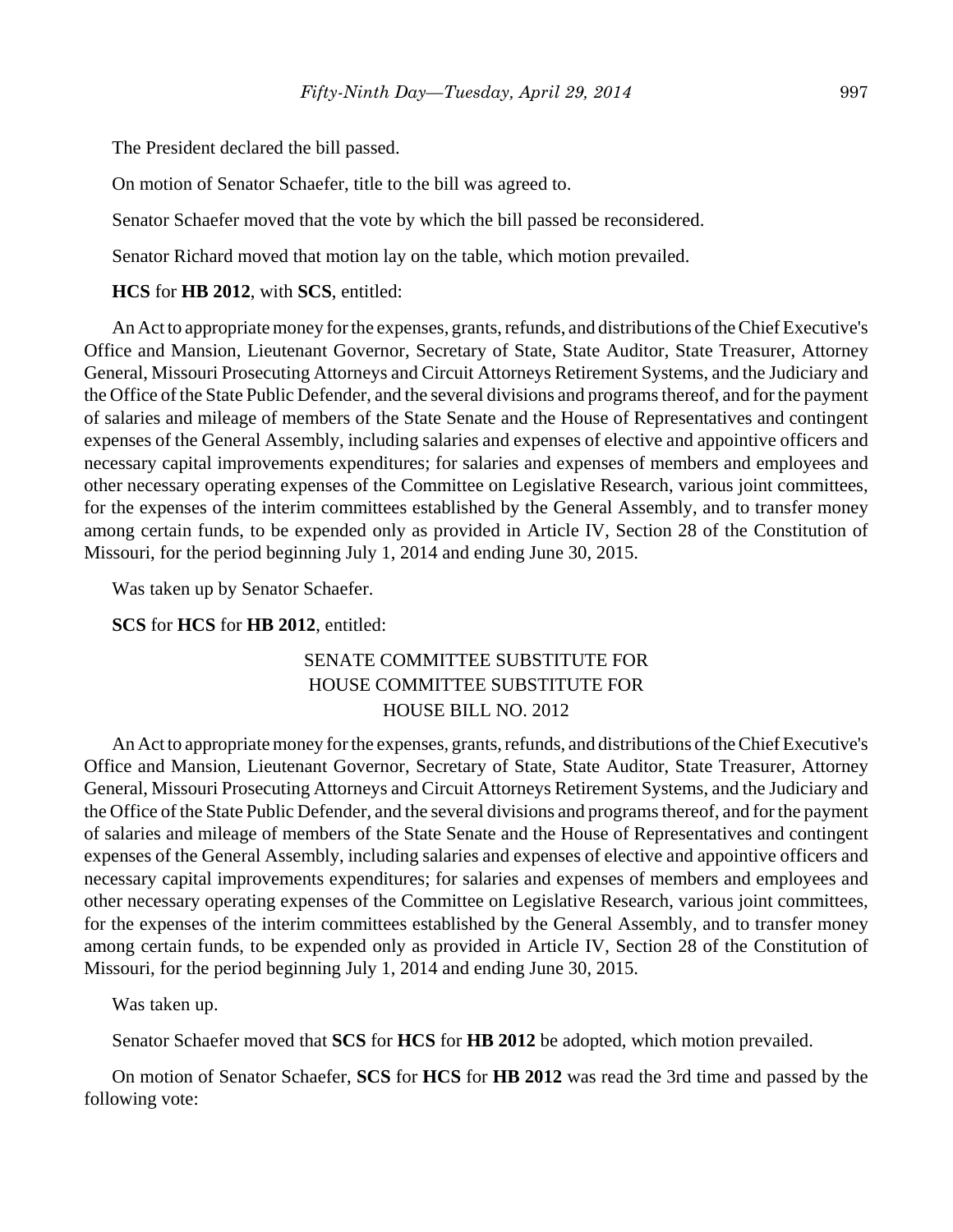The President declared the bill passed.

On motion of Senator Schaefer, title to the bill was agreed to.

Senator Schaefer moved that the vote by which the bill passed be reconsidered.

Senator Richard moved that motion lay on the table, which motion prevailed.

#### **HCS** for **HB 2012**, with **SCS**, entitled:

An Act to appropriate money for the expenses, grants, refunds, and distributions of the Chief Executive's Office and Mansion, Lieutenant Governor, Secretary of State, State Auditor, State Treasurer, Attorney General, Missouri Prosecuting Attorneys and Circuit Attorneys Retirement Systems, and the Judiciary and the Office of the State Public Defender, and the several divisions and programs thereof, and for the payment of salaries and mileage of members of the State Senate and the House of Representatives and contingent expenses of the General Assembly, including salaries and expenses of elective and appointive officers and necessary capital improvements expenditures; for salaries and expenses of members and employees and other necessary operating expenses of the Committee on Legislative Research, various joint committees, for the expenses of the interim committees established by the General Assembly, and to transfer money among certain funds, to be expended only as provided in Article IV, Section 28 of the Constitution of Missouri, for the period beginning July 1, 2014 and ending June 30, 2015.

Was taken up by Senator Schaefer.

## **SCS** for **HCS** for **HB 2012**, entitled:

## SENATE COMMITTEE SUBSTITUTE FOR HOUSE COMMITTEE SUBSTITUTE FOR HOUSE BILL NO. 2012

An Act to appropriate money for the expenses, grants, refunds, and distributions of the Chief Executive's Office and Mansion, Lieutenant Governor, Secretary of State, State Auditor, State Treasurer, Attorney General, Missouri Prosecuting Attorneys and Circuit Attorneys Retirement Systems, and the Judiciary and the Office of the State Public Defender, and the several divisions and programs thereof, and for the payment of salaries and mileage of members of the State Senate and the House of Representatives and contingent expenses of the General Assembly, including salaries and expenses of elective and appointive officers and necessary capital improvements expenditures; for salaries and expenses of members and employees and other necessary operating expenses of the Committee on Legislative Research, various joint committees, for the expenses of the interim committees established by the General Assembly, and to transfer money among certain funds, to be expended only as provided in Article IV, Section 28 of the Constitution of Missouri, for the period beginning July 1, 2014 and ending June 30, 2015.

Was taken up.

Senator Schaefer moved that **SCS** for **HCS** for **HB 2012** be adopted, which motion prevailed.

On motion of Senator Schaefer, **SCS** for **HCS** for **HB 2012** was read the 3rd time and passed by the following vote: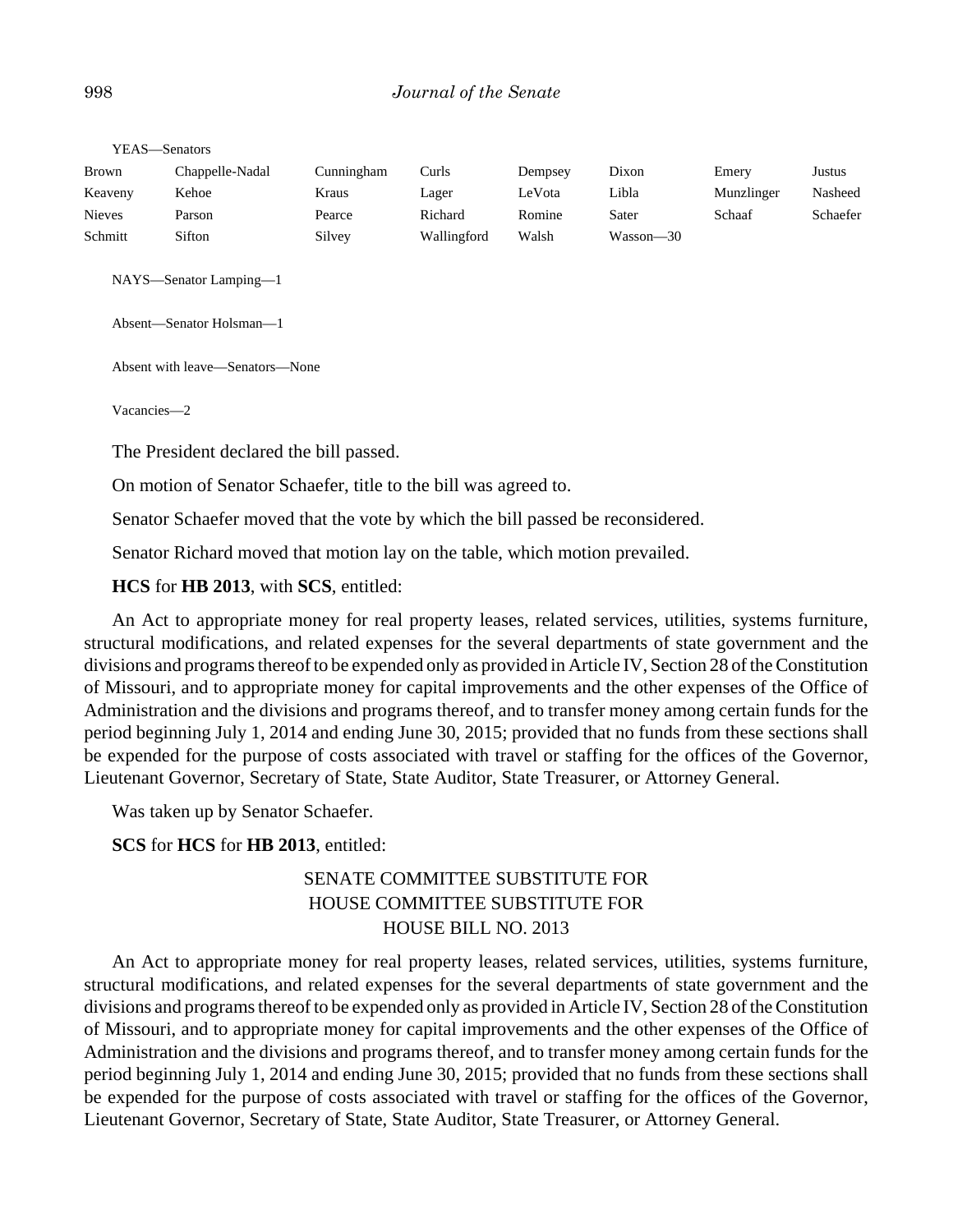| Chappelle-Nadal | Cunningham | Curls       | Dempsey | Dixon     | Emery      | Justus   |
|-----------------|------------|-------------|---------|-----------|------------|----------|
| Kehoe           | Kraus      | Lager       | LeVota  | Libla     | Munzlinger | Nasheed  |
| Parson          | Pearce     | Richard     | Romine  | Sater     | Schaaf     | Schaefer |
| Sifton          | Silvey     | Wallingford | Walsh   | Wasson—30 |            |          |
|                 |            |             |         |           |            |          |

YEAS—Senators

NAYS—Senator Lamping—1

Absent—Senator Holsman—1

Absent with leave—Senators—None

Vacancies—2

The President declared the bill passed.

On motion of Senator Schaefer, title to the bill was agreed to.

Senator Schaefer moved that the vote by which the bill passed be reconsidered.

Senator Richard moved that motion lay on the table, which motion prevailed.

**HCS** for **HB 2013**, with **SCS**, entitled:

An Act to appropriate money for real property leases, related services, utilities, systems furniture, structural modifications, and related expenses for the several departments of state government and the divisions and programs thereof to be expended only as provided in Article IV, Section 28 of the Constitution of Missouri, and to appropriate money for capital improvements and the other expenses of the Office of Administration and the divisions and programs thereof, and to transfer money among certain funds for the period beginning July 1, 2014 and ending June 30, 2015; provided that no funds from these sections shall be expended for the purpose of costs associated with travel or staffing for the offices of the Governor, Lieutenant Governor, Secretary of State, State Auditor, State Treasurer, or Attorney General.

Was taken up by Senator Schaefer.

**SCS** for **HCS** for **HB 2013**, entitled:

## SENATE COMMITTEE SUBSTITUTE FOR HOUSE COMMITTEE SUBSTITUTE FOR HOUSE BILL NO. 2013

An Act to appropriate money for real property leases, related services, utilities, systems furniture, structural modifications, and related expenses for the several departments of state government and the divisions and programs thereof to be expended only as provided in Article IV, Section 28 of the Constitution of Missouri, and to appropriate money for capital improvements and the other expenses of the Office of Administration and the divisions and programs thereof, and to transfer money among certain funds for the period beginning July 1, 2014 and ending June 30, 2015; provided that no funds from these sections shall be expended for the purpose of costs associated with travel or staffing for the offices of the Governor, Lieutenant Governor, Secretary of State, State Auditor, State Treasurer, or Attorney General.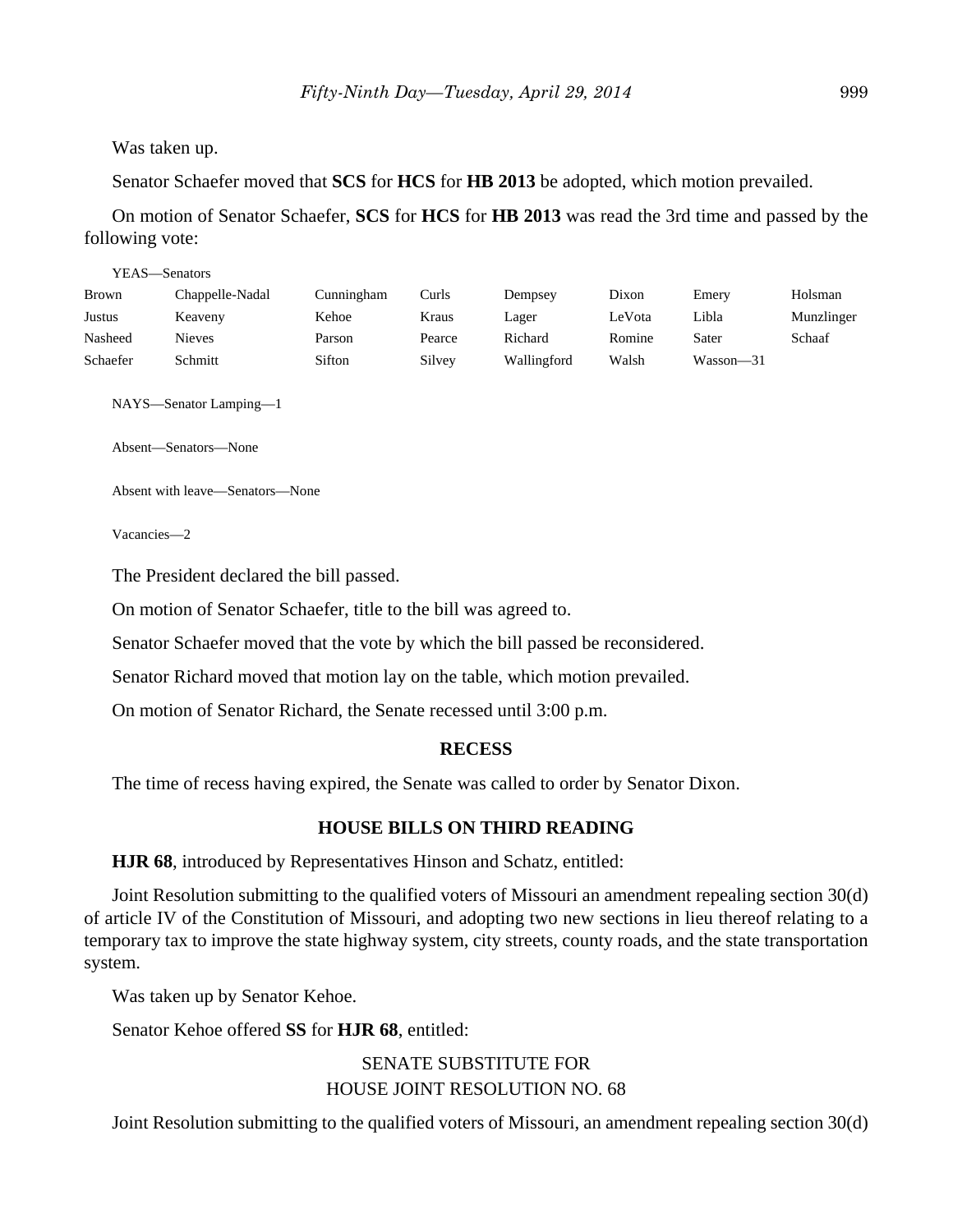Was taken up.

Senator Schaefer moved that **SCS** for **HCS** for **HB 2013** be adopted, which motion prevailed.

On motion of Senator Schaefer, **SCS** for **HCS** for **HB 2013** was read the 3rd time and passed by the following vote:

| YEAS—Senators |                 |            |        |             |        |               |            |
|---------------|-----------------|------------|--------|-------------|--------|---------------|------------|
| Brown         | Chappelle-Nadal | Cunningham | Curls  | Dempsey     | Dixon  | Emery         | Holsman    |
| Justus        | Keaveny         | Kehoe      | Kraus  | Lager       | LeVota | Libla         | Munzlinger |
| Nasheed       | <b>Nieves</b>   | Parson     | Pearce | Richard     | Romine | Sater         | Schaaf     |
| Schaefer      | Schmitt         | Sifton     | Silvey | Wallingford | Walsh  | $Wasson - 31$ |            |

NAYS—Senator Lamping—1

Absent—Senators—None

Absent with leave—Senators—None

Vacancies—2

The President declared the bill passed.

On motion of Senator Schaefer, title to the bill was agreed to.

Senator Schaefer moved that the vote by which the bill passed be reconsidered.

Senator Richard moved that motion lay on the table, which motion prevailed.

On motion of Senator Richard, the Senate recessed until 3:00 p.m.

#### **RECESS**

The time of recess having expired, the Senate was called to order by Senator Dixon.

## **HOUSE BILLS ON THIRD READING**

**HJR 68**, introduced by Representatives Hinson and Schatz, entitled:

Joint Resolution submitting to the qualified voters of Missouri an amendment repealing section 30(d) of article IV of the Constitution of Missouri, and adopting two new sections in lieu thereof relating to a temporary tax to improve the state highway system, city streets, county roads, and the state transportation system.

Was taken up by Senator Kehoe.

Senator Kehoe offered **SS** for **HJR 68**, entitled:

SENATE SUBSTITUTE FOR HOUSE JOINT RESOLUTION NO. 68

Joint Resolution submitting to the qualified voters of Missouri, an amendment repealing section 30(d)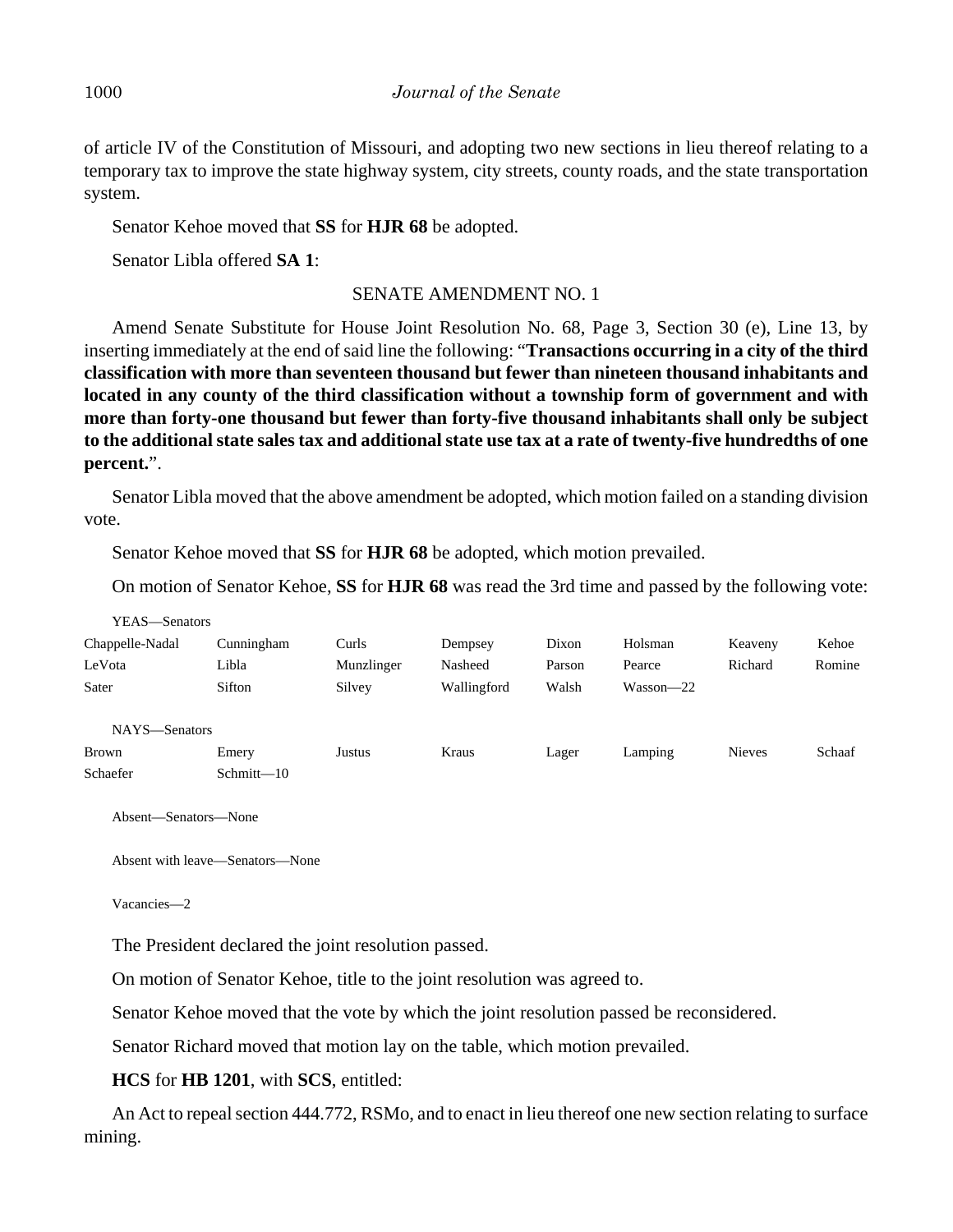of article IV of the Constitution of Missouri, and adopting two new sections in lieu thereof relating to a temporary tax to improve the state highway system, city streets, county roads, and the state transportation system.

Senator Kehoe moved that **SS** for **HJR 68** be adopted.

Senator Libla offered **SA 1**:

## SENATE AMENDMENT NO. 1

Amend Senate Substitute for House Joint Resolution No. 68, Page 3, Section 30 (e), Line 13, by inserting immediately at the end of said line the following: "**Transactions occurring in a city of the third classification with more than seventeen thousand but fewer than nineteen thousand inhabitants and located in any county of the third classification without a township form of government and with more than forty-one thousand but fewer than forty-five thousand inhabitants shall only be subject to the additional state sales tax and additional state use tax at a rate of twenty-five hundredths of one percent.**".

Senator Libla moved that the above amendment be adopted, which motion failed on a standing division vote.

Senator Kehoe moved that **SS** for **HJR 68** be adopted, which motion prevailed.

On motion of Senator Kehoe, **SS** for **HJR 68** was read the 3rd time and passed by the following vote:

| YEAS—Senators   |            |            |             |        |               |               |        |
|-----------------|------------|------------|-------------|--------|---------------|---------------|--------|
| Chappelle-Nadal | Cunningham | Curls      | Dempsey     | Dixon  | Holsman       | Keaveny       | Kehoe  |
| LeVota          | Libla      | Munzlinger | Nasheed     | Parson | Pearce        | Richard       | Romine |
| Sater           | Sifton     | Silvey     | Wallingford | Walsh  | $Wasson - 22$ |               |        |
|                 |            |            |             |        |               |               |        |
| NAYS-Senators   |            |            |             |        |               |               |        |
| <b>Brown</b>    | Emery      | Justus     | Kraus       | Lager  | Lamping       | <b>Nieves</b> | Schaaf |
| Schaefer        | Schmitt-10 |            |             |        |               |               |        |

Absent—Senators—None

Absent with leave—Senators—None

Vacancies—2

The President declared the joint resolution passed.

On motion of Senator Kehoe, title to the joint resolution was agreed to.

Senator Kehoe moved that the vote by which the joint resolution passed be reconsidered.

Senator Richard moved that motion lay on the table, which motion prevailed.

## **HCS** for **HB 1201**, with **SCS**, entitled:

An Act to repeal section 444.772, RSMo, and to enact in lieu thereof one new section relating to surface mining.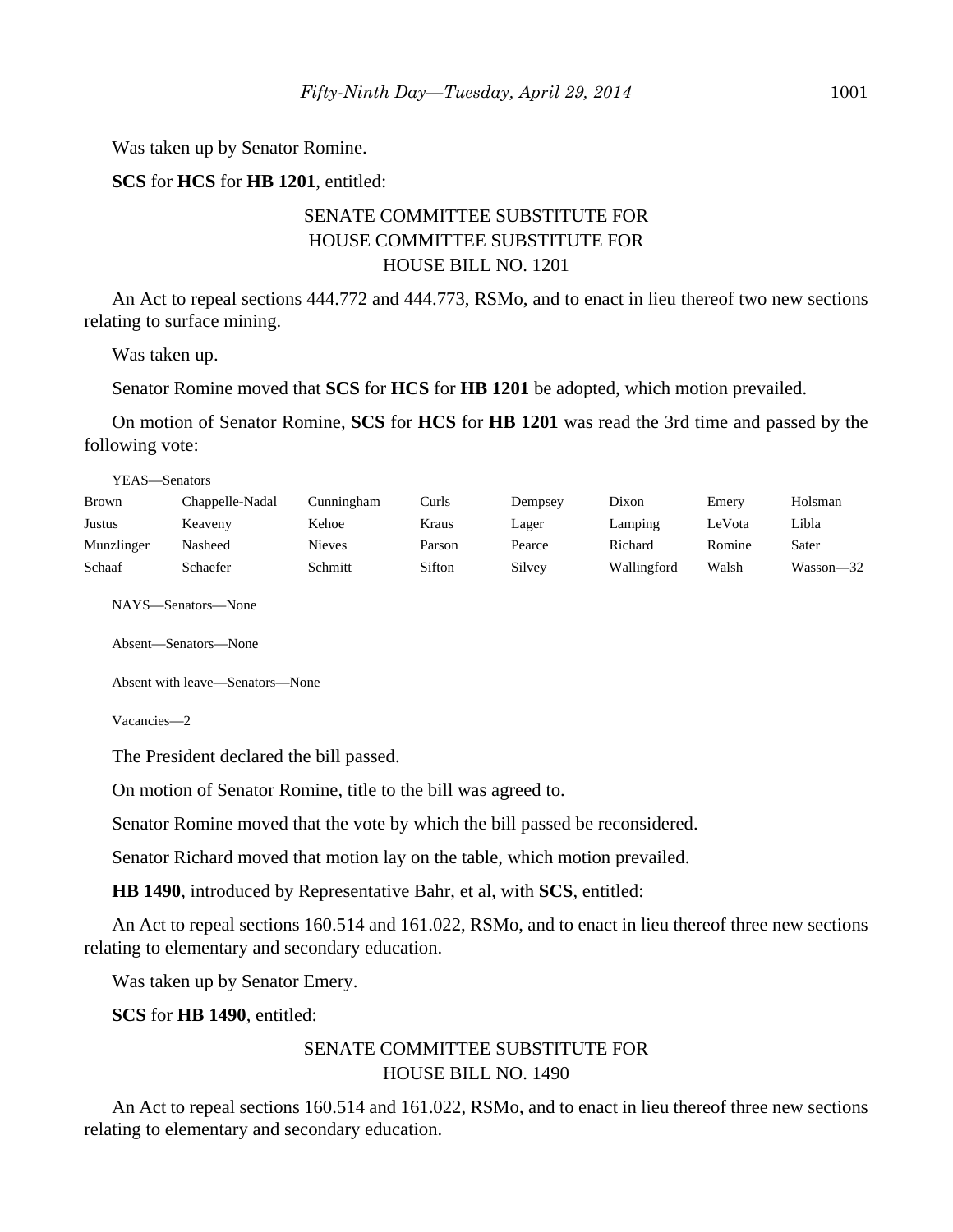Was taken up by Senator Romine.

**SCS** for **HCS** for **HB 1201**, entitled:

## SENATE COMMITTEE SUBSTITUTE FOR HOUSE COMMITTEE SUBSTITUTE FOR HOUSE BILL NO. 1201

An Act to repeal sections 444.772 and 444.773, RSMo, and to enact in lieu thereof two new sections relating to surface mining.

Was taken up.

Senator Romine moved that **SCS** for **HCS** for **HB 1201** be adopted, which motion prevailed.

On motion of Senator Romine, **SCS** for **HCS** for **HB 1201** was read the 3rd time and passed by the following vote:

YEAS—Senators

| <b>Brown</b> | Chappelle-Nadal | Cunningham    | Curls  | Dempsey | Dixon       | Emery  | Holsman   |
|--------------|-----------------|---------------|--------|---------|-------------|--------|-----------|
| Justus       | Keaveny         | Kehoe         | Kraus  | Lager   | Lamping     | LeVota | Libla     |
| Munzlinger   | Nasheed         | <b>Nieves</b> | Parson | Pearce  | Richard     | Romine | Sater     |
| Schaaf       | Schaefer        | Schmitt       | Sifton | Silvey  | Wallingford | Walsh  | Wasson—32 |

NAYS—Senators—None

Absent—Senators—None

Absent with leave—Senators—None

Vacancies—2

The President declared the bill passed.

On motion of Senator Romine, title to the bill was agreed to.

Senator Romine moved that the vote by which the bill passed be reconsidered.

Senator Richard moved that motion lay on the table, which motion prevailed.

**HB 1490**, introduced by Representative Bahr, et al, with **SCS**, entitled:

An Act to repeal sections 160.514 and 161.022, RSMo, and to enact in lieu thereof three new sections relating to elementary and secondary education.

Was taken up by Senator Emery.

**SCS** for **HB 1490**, entitled:

## SENATE COMMITTEE SUBSTITUTE FOR HOUSE BILL NO. 1490

An Act to repeal sections 160.514 and 161.022, RSMo, and to enact in lieu thereof three new sections relating to elementary and secondary education.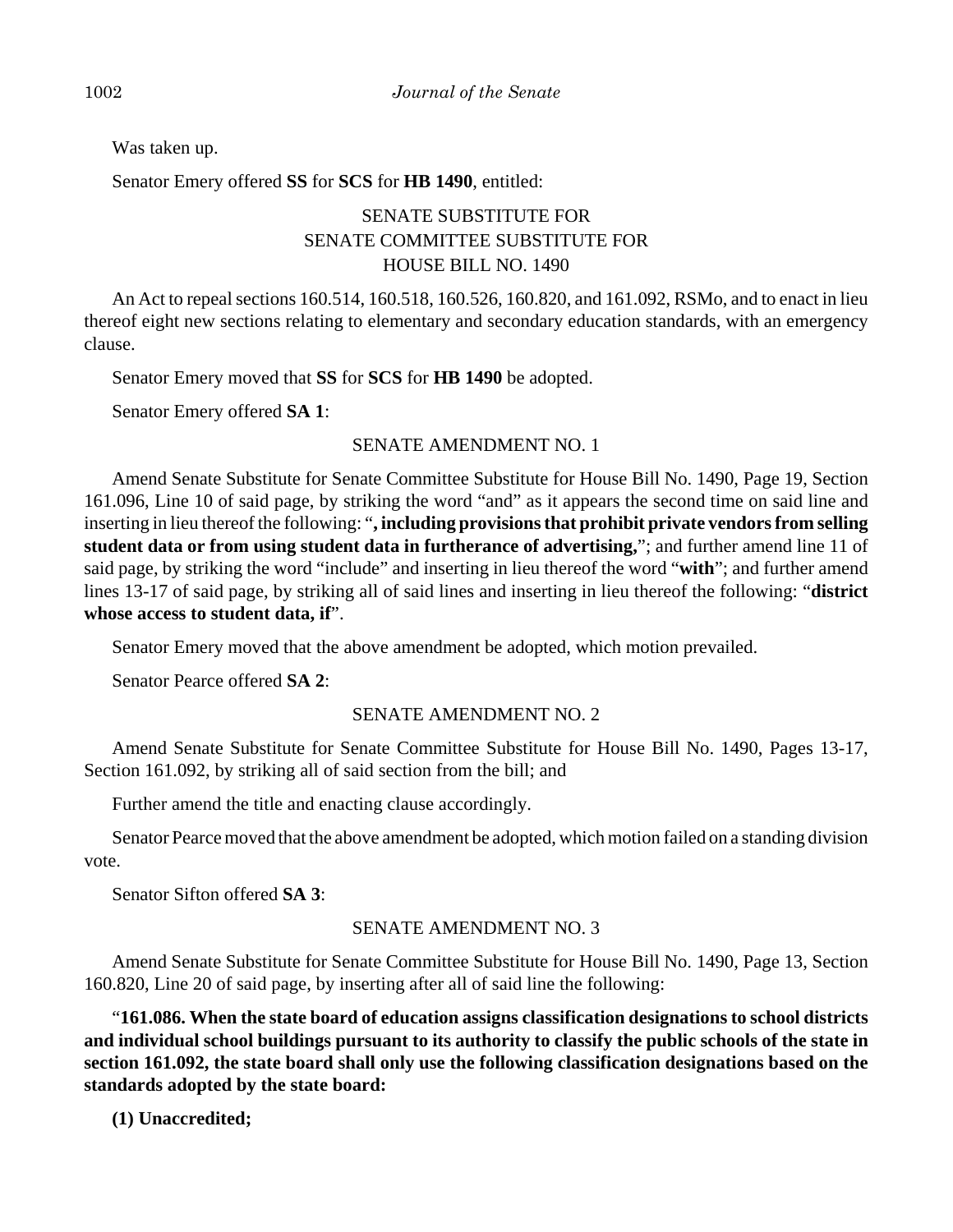Was taken up.

Senator Emery offered **SS** for **SCS** for **HB 1490**, entitled:

# SENATE SUBSTITUTE FOR SENATE COMMITTEE SUBSTITUTE FOR HOUSE BILL NO. 1490

An Act to repeal sections 160.514, 160.518, 160.526, 160.820, and 161.092, RSMo, and to enact in lieu thereof eight new sections relating to elementary and secondary education standards, with an emergency clause.

Senator Emery moved that **SS** for **SCS** for **HB 1490** be adopted.

Senator Emery offered **SA 1**:

## SENATE AMENDMENT NO. 1

Amend Senate Substitute for Senate Committee Substitute for House Bill No. 1490, Page 19, Section 161.096, Line 10 of said page, by striking the word "and" as it appears the second time on said line and inserting in lieu thereof the following: "**, including provisions that prohibit private vendors from selling student data or from using student data in furtherance of advertising,**"; and further amend line 11 of said page, by striking the word "include" and inserting in lieu thereof the word "**with**"; and further amend lines 13-17 of said page, by striking all of said lines and inserting in lieu thereof the following: "**district whose access to student data, if**".

Senator Emery moved that the above amendment be adopted, which motion prevailed.

Senator Pearce offered **SA 2**:

## SENATE AMENDMENT NO. 2

Amend Senate Substitute for Senate Committee Substitute for House Bill No. 1490, Pages 13-17, Section 161.092, by striking all of said section from the bill; and

Further amend the title and enacting clause accordingly.

Senator Pearce moved that the above amendment be adopted, which motion failed on a standing division vote.

Senator Sifton offered **SA 3**:

## SENATE AMENDMENT NO. 3

Amend Senate Substitute for Senate Committee Substitute for House Bill No. 1490, Page 13, Section 160.820, Line 20 of said page, by inserting after all of said line the following:

"**161.086. When the state board of education assigns classification designations to school districts and individual school buildings pursuant to its authority to classify the public schools of the state in section 161.092, the state board shall only use the following classification designations based on the standards adopted by the state board:**

**(1) Unaccredited;**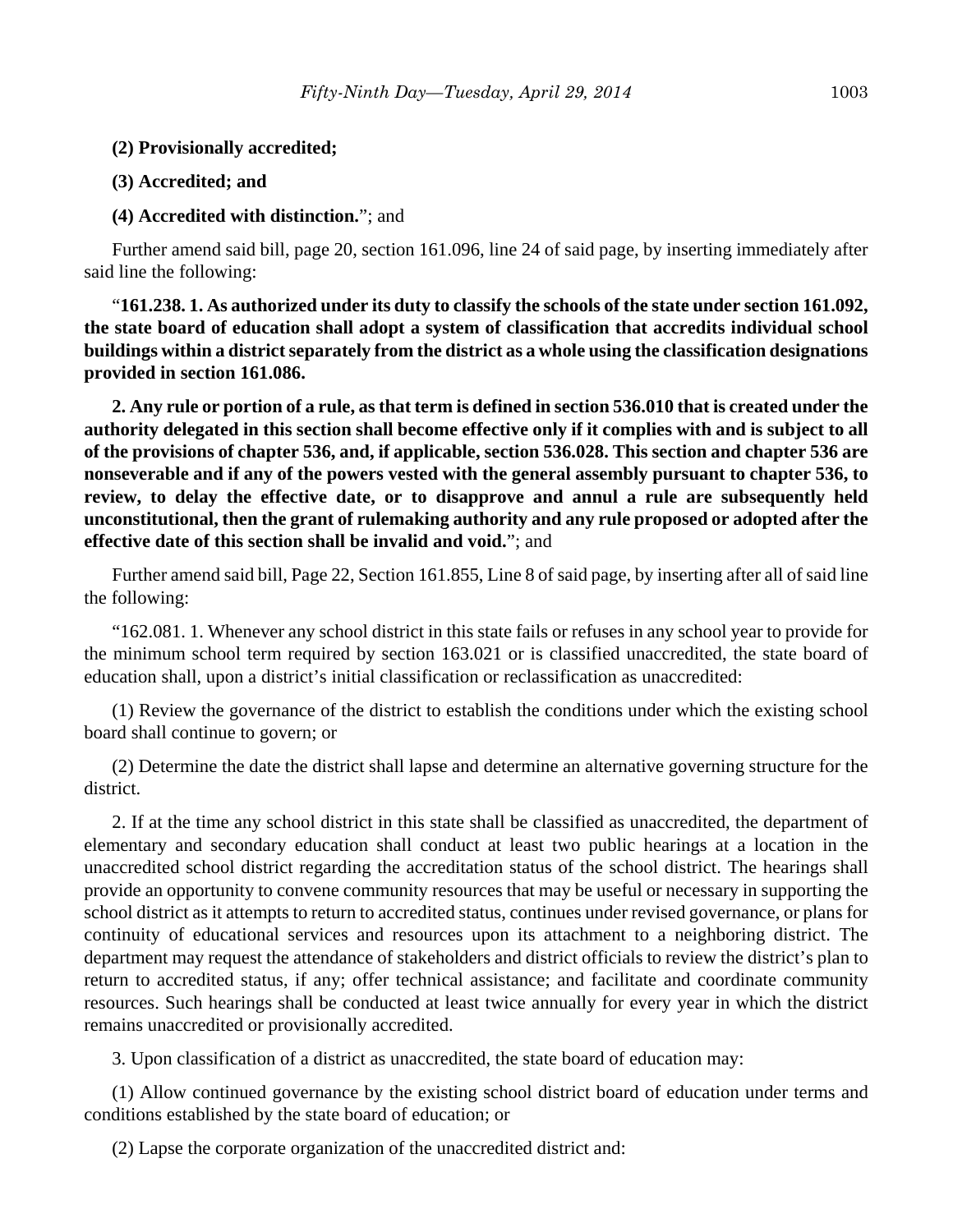- **(2) Provisionally accredited;**
- **(3) Accredited; and**

#### **(4) Accredited with distinction.**"; and

Further amend said bill, page 20, section 161.096, line 24 of said page, by inserting immediately after said line the following:

"**161.238. 1. As authorized under its duty to classify the schools of the state under section 161.092, the state board of education shall adopt a system of classification that accredits individual school buildings within a district separately from the district as a whole using the classification designations provided in section 161.086.**

**2. Any rule or portion of a rule, as that term is defined in section 536.010 that is created under the authority delegated in this section shall become effective only if it complies with and is subject to all of the provisions of chapter 536, and, if applicable, section 536.028. This section and chapter 536 are nonseverable and if any of the powers vested with the general assembly pursuant to chapter 536, to review, to delay the effective date, or to disapprove and annul a rule are subsequently held unconstitutional, then the grant of rulemaking authority and any rule proposed or adopted after the effective date of this section shall be invalid and void.**"; and

Further amend said bill, Page 22, Section 161.855, Line 8 of said page, by inserting after all of said line the following:

"162.081. 1. Whenever any school district in this state fails or refuses in any school year to provide for the minimum school term required by section 163.021 or is classified unaccredited, the state board of education shall, upon a district's initial classification or reclassification as unaccredited:

(1) Review the governance of the district to establish the conditions under which the existing school board shall continue to govern; or

(2) Determine the date the district shall lapse and determine an alternative governing structure for the district.

2. If at the time any school district in this state shall be classified as unaccredited, the department of elementary and secondary education shall conduct at least two public hearings at a location in the unaccredited school district regarding the accreditation status of the school district. The hearings shall provide an opportunity to convene community resources that may be useful or necessary in supporting the school district as it attempts to return to accredited status, continues under revised governance, or plans for continuity of educational services and resources upon its attachment to a neighboring district. The department may request the attendance of stakeholders and district officials to review the district's plan to return to accredited status, if any; offer technical assistance; and facilitate and coordinate community resources. Such hearings shall be conducted at least twice annually for every year in which the district remains unaccredited or provisionally accredited.

3. Upon classification of a district as unaccredited, the state board of education may:

(1) Allow continued governance by the existing school district board of education under terms and conditions established by the state board of education; or

(2) Lapse the corporate organization of the unaccredited district and: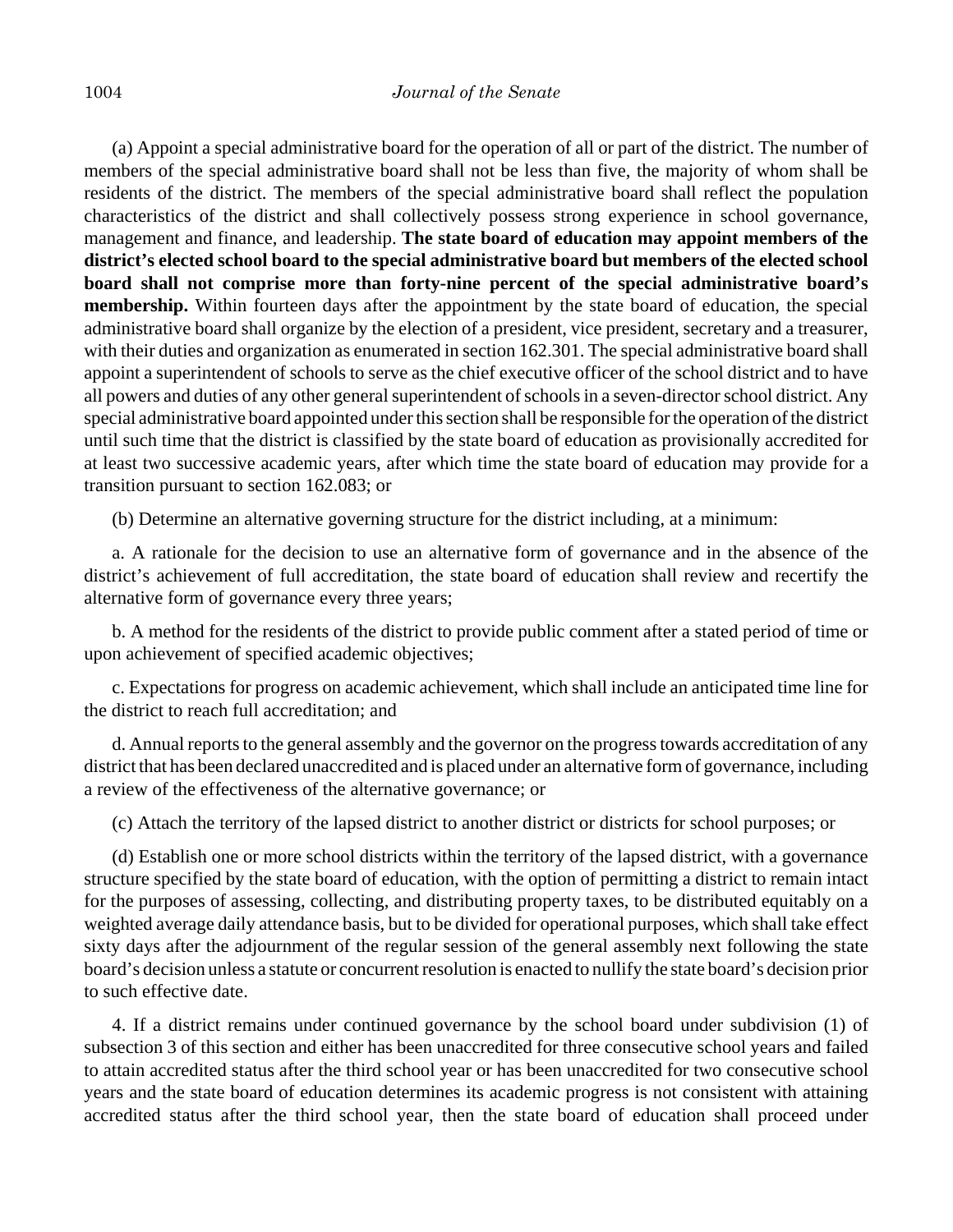(a) Appoint a special administrative board for the operation of all or part of the district. The number of members of the special administrative board shall not be less than five, the majority of whom shall be residents of the district. The members of the special administrative board shall reflect the population characteristics of the district and shall collectively possess strong experience in school governance, management and finance, and leadership. **The state board of education may appoint members of the district's elected school board to the special administrative board but members of the elected school board shall not comprise more than forty-nine percent of the special administrative board's membership.** Within fourteen days after the appointment by the state board of education, the special administrative board shall organize by the election of a president, vice president, secretary and a treasurer, with their duties and organization as enumerated in section 162.301. The special administrative board shall appoint a superintendent of schools to serve as the chief executive officer of the school district and to have all powers and duties of any other general superintendent of schools in a seven-director school district. Any special administrative board appointed under this section shall be responsible for the operation of the district until such time that the district is classified by the state board of education as provisionally accredited for at least two successive academic years, after which time the state board of education may provide for a transition pursuant to section 162.083; or

(b) Determine an alternative governing structure for the district including, at a minimum:

a. A rationale for the decision to use an alternative form of governance and in the absence of the district's achievement of full accreditation, the state board of education shall review and recertify the alternative form of governance every three years;

b. A method for the residents of the district to provide public comment after a stated period of time or upon achievement of specified academic objectives;

c. Expectations for progress on academic achievement, which shall include an anticipated time line for the district to reach full accreditation; and

d. Annual reports to the general assembly and the governor on the progress towards accreditation of any district that has been declared unaccredited and is placed under an alternative form of governance, including a review of the effectiveness of the alternative governance; or

(c) Attach the territory of the lapsed district to another district or districts for school purposes; or

(d) Establish one or more school districts within the territory of the lapsed district, with a governance structure specified by the state board of education, with the option of permitting a district to remain intact for the purposes of assessing, collecting, and distributing property taxes, to be distributed equitably on a weighted average daily attendance basis, but to be divided for operational purposes, which shall take effect sixty days after the adjournment of the regular session of the general assembly next following the state board's decision unless a statute or concurrent resolution is enacted to nullify the state board's decision prior to such effective date.

4. If a district remains under continued governance by the school board under subdivision (1) of subsection 3 of this section and either has been unaccredited for three consecutive school years and failed to attain accredited status after the third school year or has been unaccredited for two consecutive school years and the state board of education determines its academic progress is not consistent with attaining accredited status after the third school year, then the state board of education shall proceed under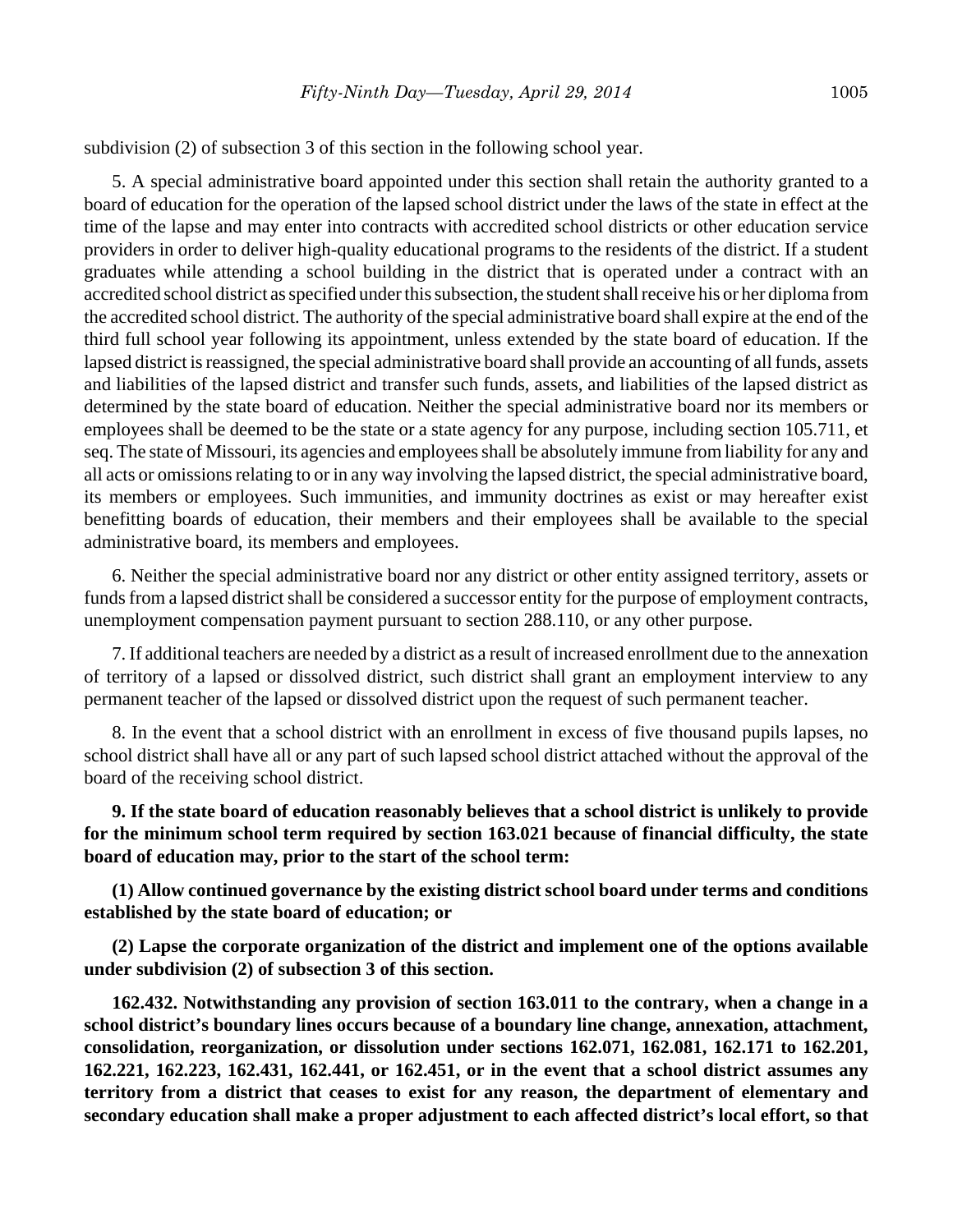subdivision (2) of subsection 3 of this section in the following school year.

5. A special administrative board appointed under this section shall retain the authority granted to a board of education for the operation of the lapsed school district under the laws of the state in effect at the time of the lapse and may enter into contracts with accredited school districts or other education service providers in order to deliver high-quality educational programs to the residents of the district. If a student graduates while attending a school building in the district that is operated under a contract with an accredited school district as specified under this subsection, the student shall receive his or her diploma from the accredited school district. The authority of the special administrative board shall expire at the end of the third full school year following its appointment, unless extended by the state board of education. If the lapsed district is reassigned, the special administrative board shall provide an accounting of all funds, assets and liabilities of the lapsed district and transfer such funds, assets, and liabilities of the lapsed district as determined by the state board of education. Neither the special administrative board nor its members or employees shall be deemed to be the state or a state agency for any purpose, including section 105.711, et seq. The state of Missouri, its agencies and employees shall be absolutely immune from liability for any and all acts or omissions relating to or in any way involving the lapsed district, the special administrative board, its members or employees. Such immunities, and immunity doctrines as exist or may hereafter exist benefitting boards of education, their members and their employees shall be available to the special administrative board, its members and employees.

6. Neither the special administrative board nor any district or other entity assigned territory, assets or funds from a lapsed district shall be considered a successor entity for the purpose of employment contracts, unemployment compensation payment pursuant to section 288.110, or any other purpose.

7. If additional teachers are needed by a district as a result of increased enrollment due to the annexation of territory of a lapsed or dissolved district, such district shall grant an employment interview to any permanent teacher of the lapsed or dissolved district upon the request of such permanent teacher.

8. In the event that a school district with an enrollment in excess of five thousand pupils lapses, no school district shall have all or any part of such lapsed school district attached without the approval of the board of the receiving school district.

**9. If the state board of education reasonably believes that a school district is unlikely to provide for the minimum school term required by section 163.021 because of financial difficulty, the state board of education may, prior to the start of the school term:**

**(1) Allow continued governance by the existing district school board under terms and conditions established by the state board of education; or**

**(2) Lapse the corporate organization of the district and implement one of the options available under subdivision (2) of subsection 3 of this section.**

**162.432. Notwithstanding any provision of section 163.011 to the contrary, when a change in a school district's boundary lines occurs because of a boundary line change, annexation, attachment, consolidation, reorganization, or dissolution under sections 162.071, 162.081, 162.171 to 162.201, 162.221, 162.223, 162.431, 162.441, or 162.451, or in the event that a school district assumes any territory from a district that ceases to exist for any reason, the department of elementary and secondary education shall make a proper adjustment to each affected district's local effort, so that**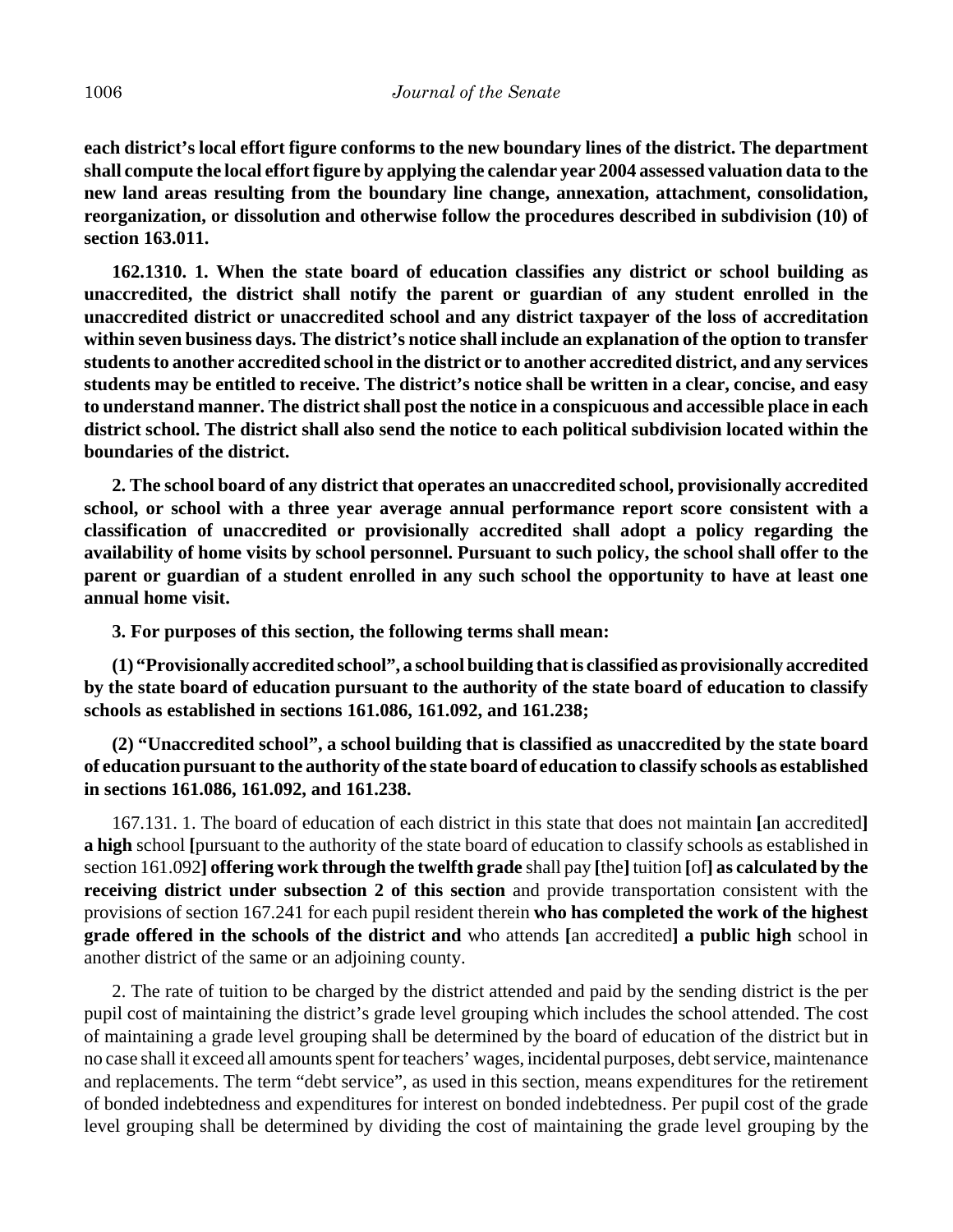**each district's local effort figure conforms to the new boundary lines of the district. The department shall compute the local effort figure by applying the calendar year 2004 assessed valuation data to the new land areas resulting from the boundary line change, annexation, attachment, consolidation, reorganization, or dissolution and otherwise follow the procedures described in subdivision (10) of section 163.011.**

**162.1310. 1. When the state board of education classifies any district or school building as unaccredited, the district shall notify the parent or guardian of any student enrolled in the unaccredited district or unaccredited school and any district taxpayer of the loss of accreditation within seven business days. The district's notice shall include an explanation of the option to transfer students to another accredited school in the district or to another accredited district, and any services students may be entitled to receive. The district's notice shall be written in a clear, concise, and easy to understand manner. The district shall post the notice in a conspicuous and accessible place in each district school. The district shall also send the notice to each political subdivision located within the boundaries of the district.**

**2. The school board of any district that operates an unaccredited school, provisionally accredited school, or school with a three year average annual performance report score consistent with a classification of unaccredited or provisionally accredited shall adopt a policy regarding the availability of home visits by school personnel. Pursuant to such policy, the school shall offer to the parent or guardian of a student enrolled in any such school the opportunity to have at least one annual home visit.**

**3. For purposes of this section, the following terms shall mean:**

**(1) "Provisionally accredited school", a school building that is classified as provisionally accredited by the state board of education pursuant to the authority of the state board of education to classify schools as established in sections 161.086, 161.092, and 161.238;**

**(2) "Unaccredited school", a school building that is classified as unaccredited by the state board of education pursuant to the authority of the state board of education to classify schools as established in sections 161.086, 161.092, and 161.238.**

 167.131. 1. The board of education of each district in this state that does not maintain **[**an accredited**] a high** school **[**pursuant to the authority of the state board of education to classify schools as established in section 161.092**] offering work through the twelfth grade** shall pay **[**the**]** tuition **[**of**] as calculated by the receiving district under subsection 2 of this section** and provide transportation consistent with the provisions of section 167.241 for each pupil resident therein **who has completed the work of the highest grade offered in the schools of the district and** who attends **[**an accredited**] a public high** school in another district of the same or an adjoining county.

2. The rate of tuition to be charged by the district attended and paid by the sending district is the per pupil cost of maintaining the district's grade level grouping which includes the school attended. The cost of maintaining a grade level grouping shall be determined by the board of education of the district but in no case shall it exceed all amounts spent for teachers' wages, incidental purposes, debt service, maintenance and replacements. The term "debt service", as used in this section, means expenditures for the retirement of bonded indebtedness and expenditures for interest on bonded indebtedness. Per pupil cost of the grade level grouping shall be determined by dividing the cost of maintaining the grade level grouping by the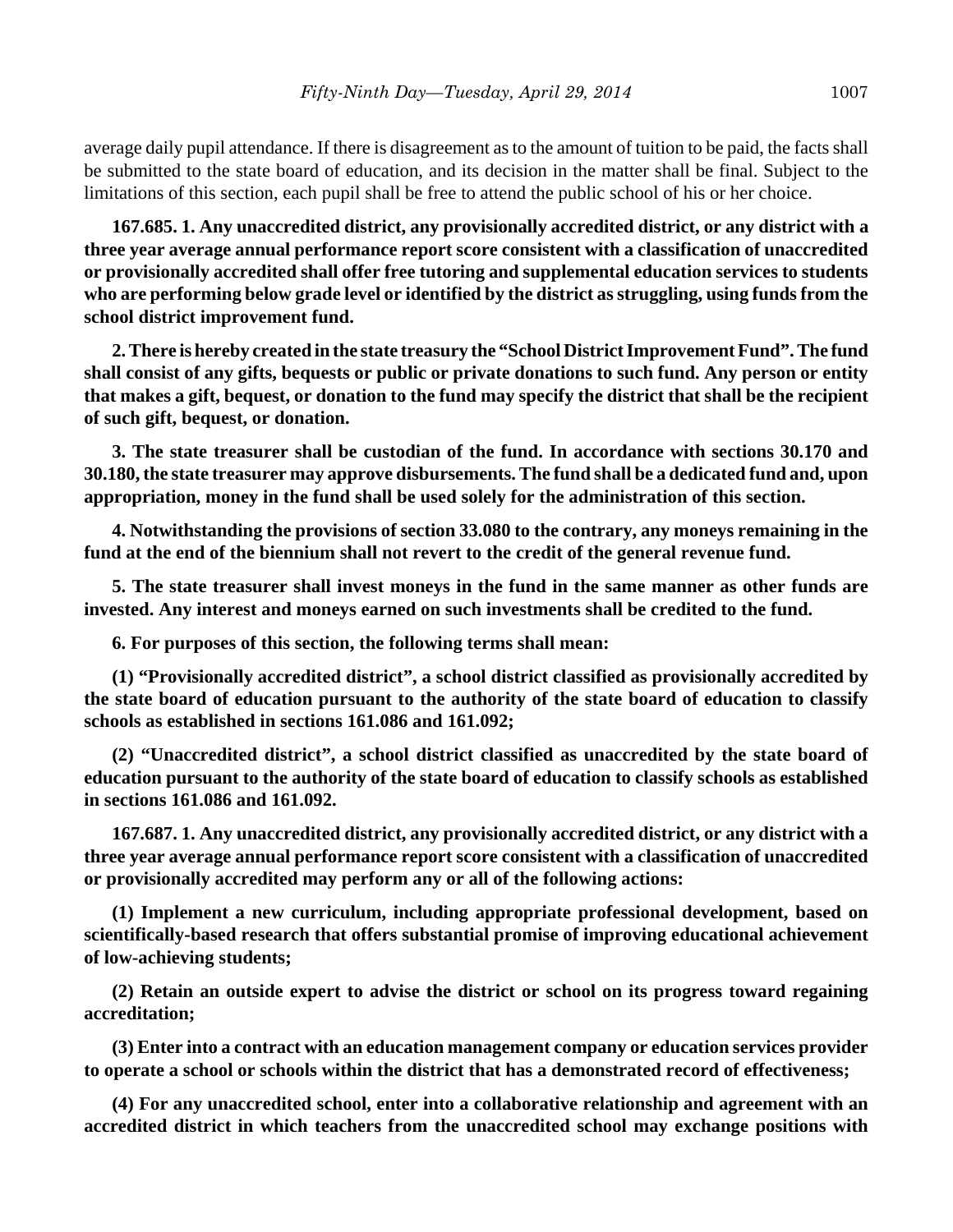average daily pupil attendance. If there is disagreement as to the amount of tuition to be paid, the facts shall be submitted to the state board of education, and its decision in the matter shall be final. Subject to the limitations of this section, each pupil shall be free to attend the public school of his or her choice.

**167.685. 1. Any unaccredited district, any provisionally accredited district, or any district with a three year average annual performance report score consistent with a classification of unaccredited or provisionally accredited shall offer free tutoring and supplemental education services to students who are performing below grade level or identified by the district as struggling, using funds from the school district improvement fund.**

**2. There is hereby created in the state treasury the "School District Improvement Fund". The fund shall consist of any gifts, bequests or public or private donations to such fund. Any person or entity that makes a gift, bequest, or donation to the fund may specify the district that shall be the recipient of such gift, bequest, or donation.**

**3. The state treasurer shall be custodian of the fund. In accordance with sections 30.170 and 30.180, the state treasurer may approve disbursements. The fund shall be a dedicated fund and, upon appropriation, money in the fund shall be used solely for the administration of this section.**

**4. Notwithstanding the provisions of section 33.080 to the contrary, any moneys remaining in the fund at the end of the biennium shall not revert to the credit of the general revenue fund.**

**5. The state treasurer shall invest moneys in the fund in the same manner as other funds are invested. Any interest and moneys earned on such investments shall be credited to the fund.**

**6. For purposes of this section, the following terms shall mean:**

**(1) "Provisionally accredited district", a school district classified as provisionally accredited by the state board of education pursuant to the authority of the state board of education to classify schools as established in sections 161.086 and 161.092;**

**(2) "Unaccredited district", a school district classified as unaccredited by the state board of education pursuant to the authority of the state board of education to classify schools as established in sections 161.086 and 161.092.**

**167.687. 1. Any unaccredited district, any provisionally accredited district, or any district with a three year average annual performance report score consistent with a classification of unaccredited or provisionally accredited may perform any or all of the following actions:**

**(1) Implement a new curriculum, including appropriate professional development, based on scientifically-based research that offers substantial promise of improving educational achievement of low-achieving students;**

**(2) Retain an outside expert to advise the district or school on its progress toward regaining accreditation;**

**(3) Enter into a contract with an education management company or education services provider to operate a school or schools within the district that has a demonstrated record of effectiveness;**

**(4) For any unaccredited school, enter into a collaborative relationship and agreement with an accredited district in which teachers from the unaccredited school may exchange positions with**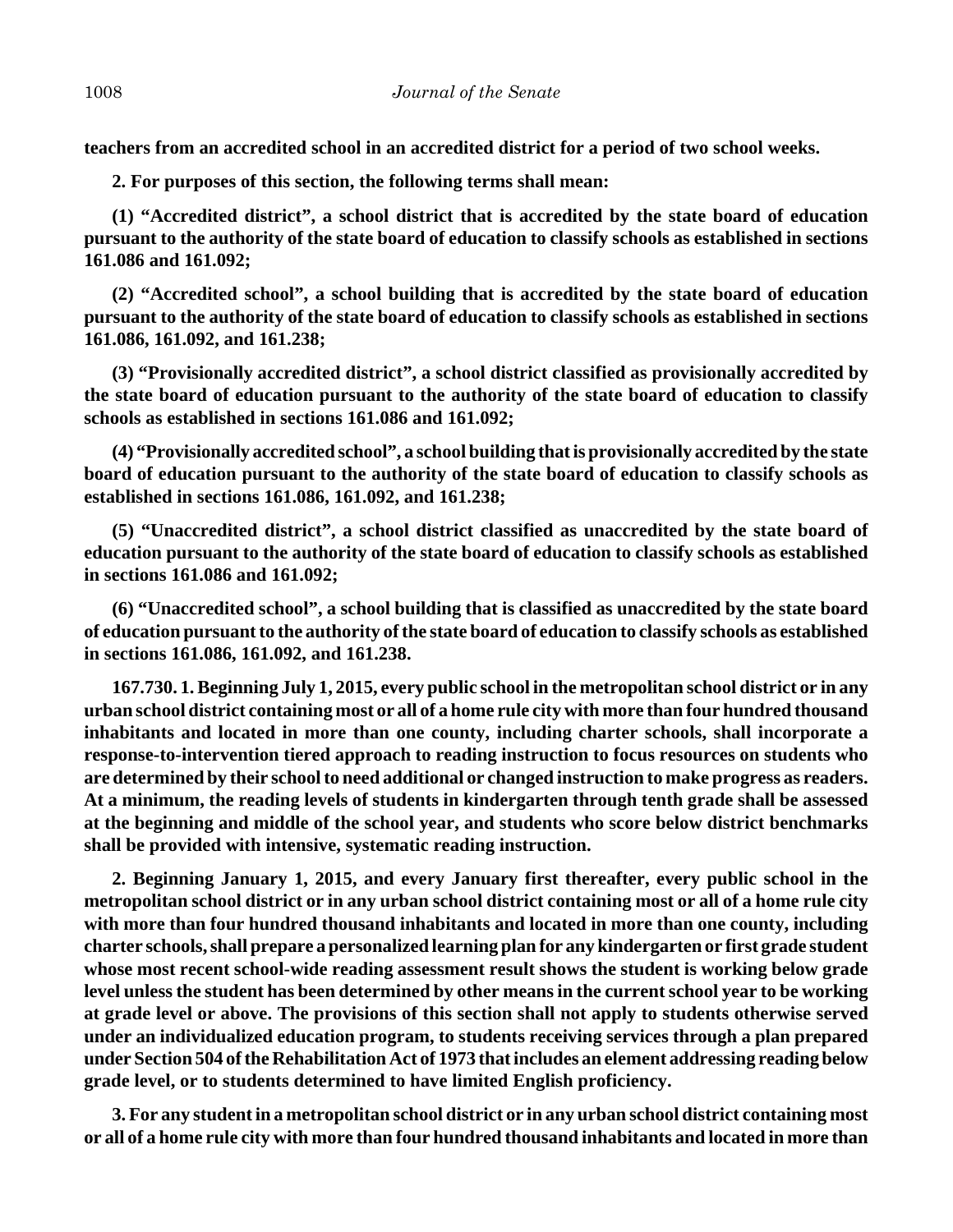**teachers from an accredited school in an accredited district for a period of two school weeks.**

**2. For purposes of this section, the following terms shall mean:**

**(1) "Accredited district", a school district that is accredited by the state board of education pursuant to the authority of the state board of education to classify schools as established in sections 161.086 and 161.092;**

**(2) "Accredited school", a school building that is accredited by the state board of education pursuant to the authority of the state board of education to classify schools as established in sections 161.086, 161.092, and 161.238;**

**(3) "Provisionally accredited district", a school district classified as provisionally accredited by the state board of education pursuant to the authority of the state board of education to classify schools as established in sections 161.086 and 161.092;**

**(4) "Provisionally accredited school", a school building that is provisionally accredited by the state board of education pursuant to the authority of the state board of education to classify schools as established in sections 161.086, 161.092, and 161.238;**

**(5) "Unaccredited district", a school district classified as unaccredited by the state board of education pursuant to the authority of the state board of education to classify schools as established in sections 161.086 and 161.092;**

**(6) "Unaccredited school", a school building that is classified as unaccredited by the state board of education pursuant to the authority of the state board of education to classify schools as established in sections 161.086, 161.092, and 161.238.**

**167.730. 1. Beginning July 1, 2015, every public school in the metropolitan school district or in any urban school district containing most or all of a home rule city with more than four hundred thousand inhabitants and located in more than one county, including charter schools, shall incorporate a response-to-intervention tiered approach to reading instruction to focus resources on students who are determined by their school to need additional or changed instruction to make progress as readers. At a minimum, the reading levels of students in kindergarten through tenth grade shall be assessed at the beginning and middle of the school year, and students who score below district benchmarks shall be provided with intensive, systematic reading instruction.**

**2. Beginning January 1, 2015, and every January first thereafter, every public school in the metropolitan school district or in any urban school district containing most or all of a home rule city with more than four hundred thousand inhabitants and located in more than one county, including charter schools, shall prepare a personalized learning plan for any kindergarten or first grade student whose most recent school-wide reading assessment result shows the student is working below grade level unless the student has been determined by other means in the current school year to be working at grade level or above. The provisions of this section shall not apply to students otherwise served under an individualized education program, to students receiving services through a plan prepared under Section 504 of the Rehabilitation Act of 1973 that includes an element addressing reading below grade level, or to students determined to have limited English proficiency.**

**3. For any student in a metropolitan school district or in any urban school district containing most or all of a home rule city with more than four hundred thousand inhabitants and located in more than**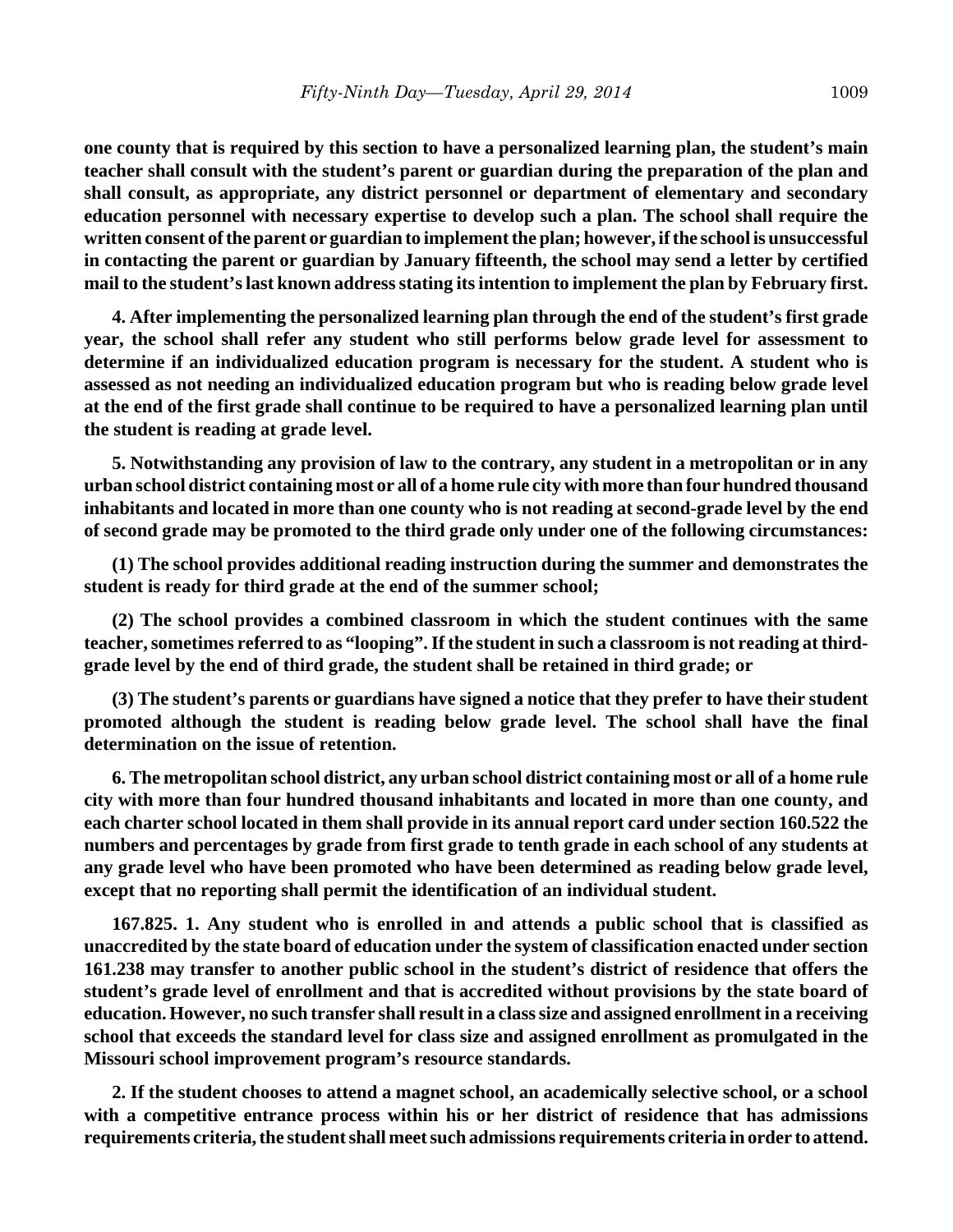**one county that is required by this section to have a personalized learning plan, the student's main teacher shall consult with the student's parent or guardian during the preparation of the plan and shall consult, as appropriate, any district personnel or department of elementary and secondary education personnel with necessary expertise to develop such a plan. The school shall require the written consent of the parent or guardian to implement the plan; however, if the school is unsuccessful in contacting the parent or guardian by January fifteenth, the school may send a letter by certified mail to the student's last known address stating its intention to implement the plan by February first.**

**4. After implementing the personalized learning plan through the end of the student's first grade year, the school shall refer any student who still performs below grade level for assessment to determine if an individualized education program is necessary for the student. A student who is assessed as not needing an individualized education program but who is reading below grade level at the end of the first grade shall continue to be required to have a personalized learning plan until the student is reading at grade level.**

**5. Notwithstanding any provision of law to the contrary, any student in a metropolitan or in any urban school district containing most or all of a home rule city with more than four hundred thousand inhabitants and located in more than one county who is not reading at second-grade level by the end of second grade may be promoted to the third grade only under one of the following circumstances:**

**(1) The school provides additional reading instruction during the summer and demonstrates the student is ready for third grade at the end of the summer school;**

**(2) The school provides a combined classroom in which the student continues with the same teacher, sometimes referred to as "looping". If the student in such a classroom is not reading at thirdgrade level by the end of third grade, the student shall be retained in third grade; or**

**(3) The student's parents or guardians have signed a notice that they prefer to have their student promoted although the student is reading below grade level. The school shall have the final determination on the issue of retention.**

**6. The metropolitan school district, any urban school district containing most or all of a home rule city with more than four hundred thousand inhabitants and located in more than one county, and each charter school located in them shall provide in its annual report card under section 160.522 the numbers and percentages by grade from first grade to tenth grade in each school of any students at any grade level who have been promoted who have been determined as reading below grade level, except that no reporting shall permit the identification of an individual student.**

**167.825. 1. Any student who is enrolled in and attends a public school that is classified as unaccredited by the state board of education under the system of classification enacted under section 161.238 may transfer to another public school in the student's district of residence that offers the student's grade level of enrollment and that is accredited without provisions by the state board of education. However, no such transfer shall result in a class size and assigned enrollment in a receiving school that exceeds the standard level for class size and assigned enrollment as promulgated in the Missouri school improvement program's resource standards.**

**2. If the student chooses to attend a magnet school, an academically selective school, or a school with a competitive entrance process within his or her district of residence that has admissions requirements criteria, the student shall meet such admissions requirements criteria in order to attend.**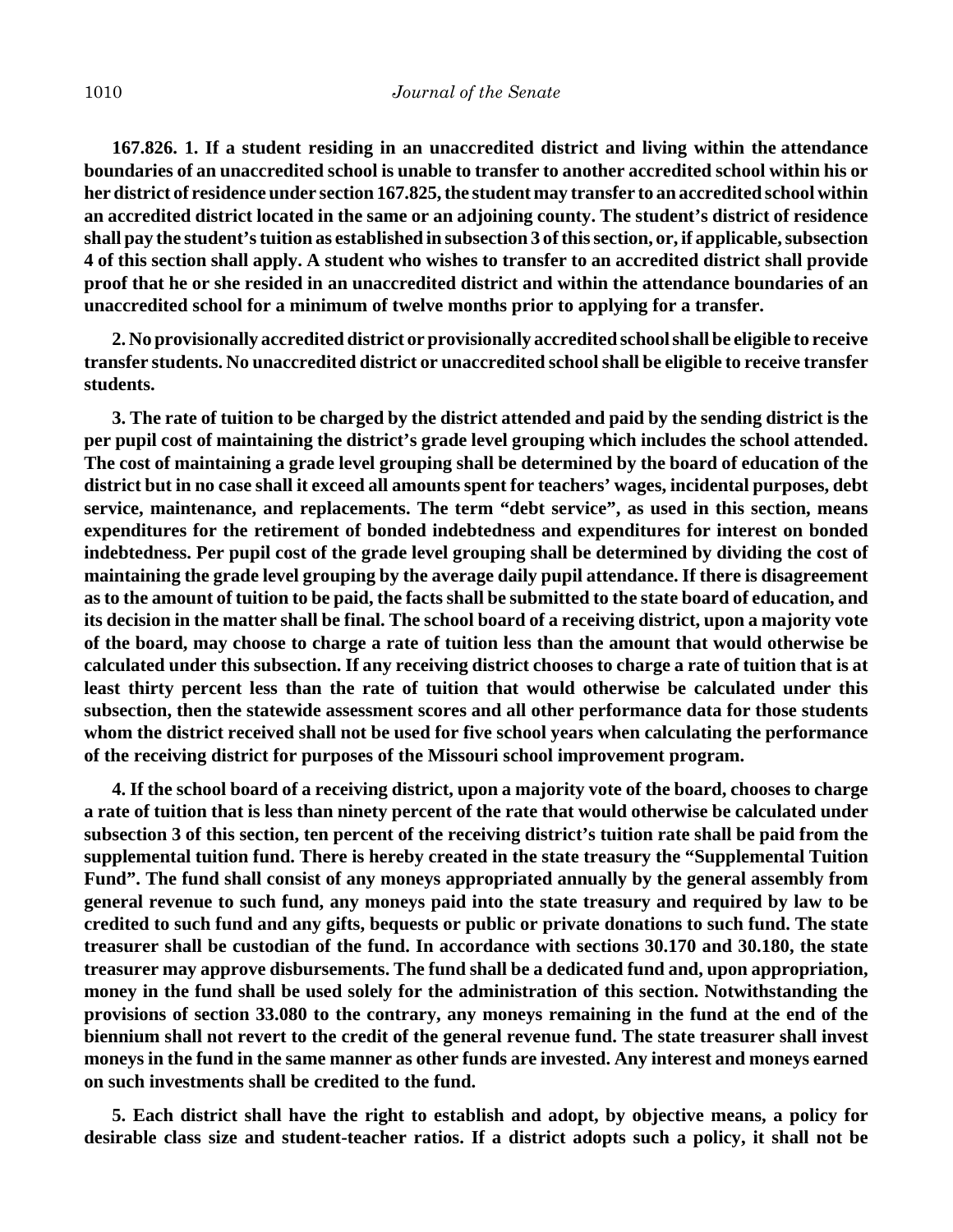**167.826. 1. If a student residing in an unaccredited district and living within the attendance boundaries of an unaccredited school is unable to transfer to another accredited school within his or her district of residence under section 167.825, the student may transfer to an accredited school within an accredited district located in the same or an adjoining county. The student's district of residence shall pay the student's tuition as established in subsection 3 of this section, or, if applicable, subsection 4 of this section shall apply. A student who wishes to transfer to an accredited district shall provide proof that he or she resided in an unaccredited district and within the attendance boundaries of an unaccredited school for a minimum of twelve months prior to applying for a transfer.**

**2. No provisionally accredited district or provisionally accredited school shall be eligible to receive transfer students. No unaccredited district or unaccredited school shall be eligible to receive transfer students.**

**3. The rate of tuition to be charged by the district attended and paid by the sending district is the per pupil cost of maintaining the district's grade level grouping which includes the school attended. The cost of maintaining a grade level grouping shall be determined by the board of education of the district but in no case shall it exceed all amounts spent for teachers' wages, incidental purposes, debt service, maintenance, and replacements. The term "debt service", as used in this section, means expenditures for the retirement of bonded indebtedness and expenditures for interest on bonded indebtedness. Per pupil cost of the grade level grouping shall be determined by dividing the cost of maintaining the grade level grouping by the average daily pupil attendance. If there is disagreement as to the amount of tuition to be paid, the facts shall be submitted to the state board of education, and its decision in the matter shall be final. The school board of a receiving district, upon a majority vote of the board, may choose to charge a rate of tuition less than the amount that would otherwise be calculated under this subsection. If any receiving district chooses to charge a rate of tuition that is at least thirty percent less than the rate of tuition that would otherwise be calculated under this subsection, then the statewide assessment scores and all other performance data for those students whom the district received shall not be used for five school years when calculating the performance of the receiving district for purposes of the Missouri school improvement program.**

**4. If the school board of a receiving district, upon a majority vote of the board, chooses to charge a rate of tuition that is less than ninety percent of the rate that would otherwise be calculated under subsection 3 of this section, ten percent of the receiving district's tuition rate shall be paid from the supplemental tuition fund. There is hereby created in the state treasury the "Supplemental Tuition Fund". The fund shall consist of any moneys appropriated annually by the general assembly from general revenue to such fund, any moneys paid into the state treasury and required by law to be credited to such fund and any gifts, bequests or public or private donations to such fund. The state treasurer shall be custodian of the fund. In accordance with sections 30.170 and 30.180, the state treasurer may approve disbursements. The fund shall be a dedicated fund and, upon appropriation, money in the fund shall be used solely for the administration of this section. Notwithstanding the provisions of section 33.080 to the contrary, any moneys remaining in the fund at the end of the biennium shall not revert to the credit of the general revenue fund. The state treasurer shall invest moneys in the fund in the same manner as other funds are invested. Any interest and moneys earned on such investments shall be credited to the fund.**

**5. Each district shall have the right to establish and adopt, by objective means, a policy for desirable class size and student-teacher ratios. If a district adopts such a policy, it shall not be**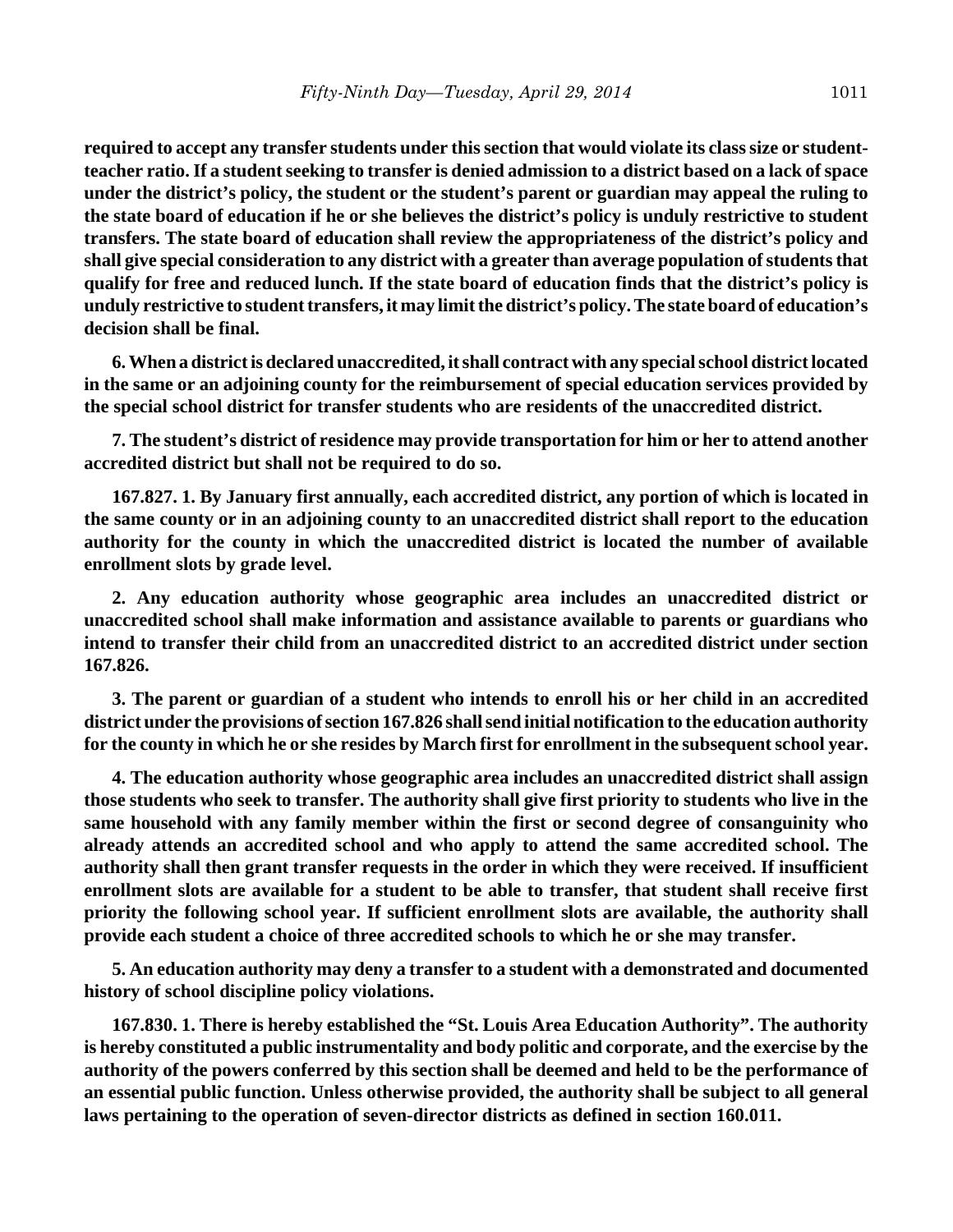**required to accept any transfer students under this section that would violate its class size or studentteacher ratio. If a student seeking to transfer is denied admission to a district based on a lack of space under the district's policy, the student or the student's parent or guardian may appeal the ruling to the state board of education if he or she believes the district's policy is unduly restrictive to student transfers. The state board of education shall review the appropriateness of the district's policy and shall give special consideration to any district with a greater than average population of students that qualify for free and reduced lunch. If the state board of education finds that the district's policy is unduly restrictive to student transfers, it may limit the district's policy. The state board of education's decision shall be final.**

**6. When a district is declared unaccredited, it shall contract with any special school district located in the same or an adjoining county for the reimbursement of special education services provided by the special school district for transfer students who are residents of the unaccredited district.**

**7. The student's district of residence may provide transportation for him or her to attend another accredited district but shall not be required to do so.**

**167.827. 1. By January first annually, each accredited district, any portion of which is located in the same county or in an adjoining county to an unaccredited district shall report to the education authority for the county in which the unaccredited district is located the number of available enrollment slots by grade level.**

**2. Any education authority whose geographic area includes an unaccredited district or unaccredited school shall make information and assistance available to parents or guardians who intend to transfer their child from an unaccredited district to an accredited district under section 167.826.**

**3. The parent or guardian of a student who intends to enroll his or her child in an accredited district under the provisions of section 167.826 shall send initial notification to the education authority for the county in which he or she resides by March first for enrollment in the subsequent school year.**

**4. The education authority whose geographic area includes an unaccredited district shall assign those students who seek to transfer. The authority shall give first priority to students who live in the same household with any family member within the first or second degree of consanguinity who already attends an accredited school and who apply to attend the same accredited school. The authority shall then grant transfer requests in the order in which they were received. If insufficient enrollment slots are available for a student to be able to transfer, that student shall receive first priority the following school year. If sufficient enrollment slots are available, the authority shall provide each student a choice of three accredited schools to which he or she may transfer.**

**5. An education authority may deny a transfer to a student with a demonstrated and documented history of school discipline policy violations.**

**167.830. 1. There is hereby established the "St. Louis Area Education Authority". The authority is hereby constituted a public instrumentality and body politic and corporate, and the exercise by the authority of the powers conferred by this section shall be deemed and held to be the performance of an essential public function. Unless otherwise provided, the authority shall be subject to all general laws pertaining to the operation of seven-director districts as defined in section 160.011.**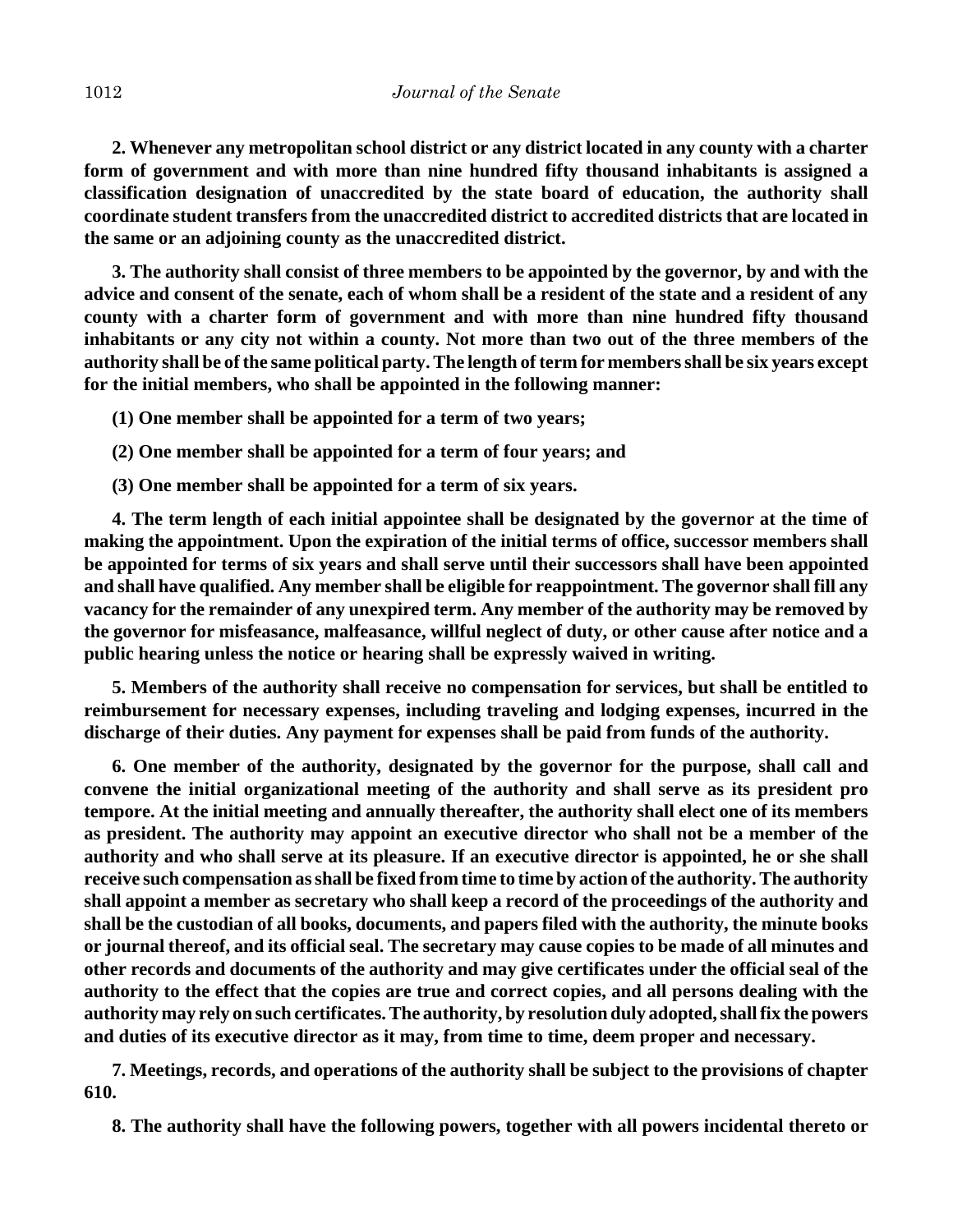**2. Whenever any metropolitan school district or any district located in any county with a charter form of government and with more than nine hundred fifty thousand inhabitants is assigned a classification designation of unaccredited by the state board of education, the authority shall coordinate student transfers from the unaccredited district to accredited districts that are located in the same or an adjoining county as the unaccredited district.**

**3. The authority shall consist of three members to be appointed by the governor, by and with the advice and consent of the senate, each of whom shall be a resident of the state and a resident of any county with a charter form of government and with more than nine hundred fifty thousand inhabitants or any city not within a county. Not more than two out of the three members of the authority shall be of the same political party. The length of term for members shall be six years except for the initial members, who shall be appointed in the following manner:**

**(1) One member shall be appointed for a term of two years;**

**(2) One member shall be appointed for a term of four years; and**

**(3) One member shall be appointed for a term of six years.**

**4. The term length of each initial appointee shall be designated by the governor at the time of making the appointment. Upon the expiration of the initial terms of office, successor members shall be appointed for terms of six years and shall serve until their successors shall have been appointed and shall have qualified. Any member shall be eligible for reappointment. The governor shall fill any vacancy for the remainder of any unexpired term. Any member of the authority may be removed by the governor for misfeasance, malfeasance, willful neglect of duty, or other cause after notice and a public hearing unless the notice or hearing shall be expressly waived in writing.**

**5. Members of the authority shall receive no compensation for services, but shall be entitled to reimbursement for necessary expenses, including traveling and lodging expenses, incurred in the discharge of their duties. Any payment for expenses shall be paid from funds of the authority.**

**6. One member of the authority, designated by the governor for the purpose, shall call and convene the initial organizational meeting of the authority and shall serve as its president pro tempore. At the initial meeting and annually thereafter, the authority shall elect one of its members as president. The authority may appoint an executive director who shall not be a member of the authority and who shall serve at its pleasure. If an executive director is appointed, he or she shall receive such compensation as shall be fixed from time to time by action of the authority. The authority shall appoint a member as secretary who shall keep a record of the proceedings of the authority and shall be the custodian of all books, documents, and papers filed with the authority, the minute books or journal thereof, and its official seal. The secretary may cause copies to be made of all minutes and other records and documents of the authority and may give certificates under the official seal of the authority to the effect that the copies are true and correct copies, and all persons dealing with the authority may rely on such certificates. The authority, by resolution duly adopted, shall fix the powers and duties of its executive director as it may, from time to time, deem proper and necessary.**

**7. Meetings, records, and operations of the authority shall be subject to the provisions of chapter 610.**

**8. The authority shall have the following powers, together with all powers incidental thereto or**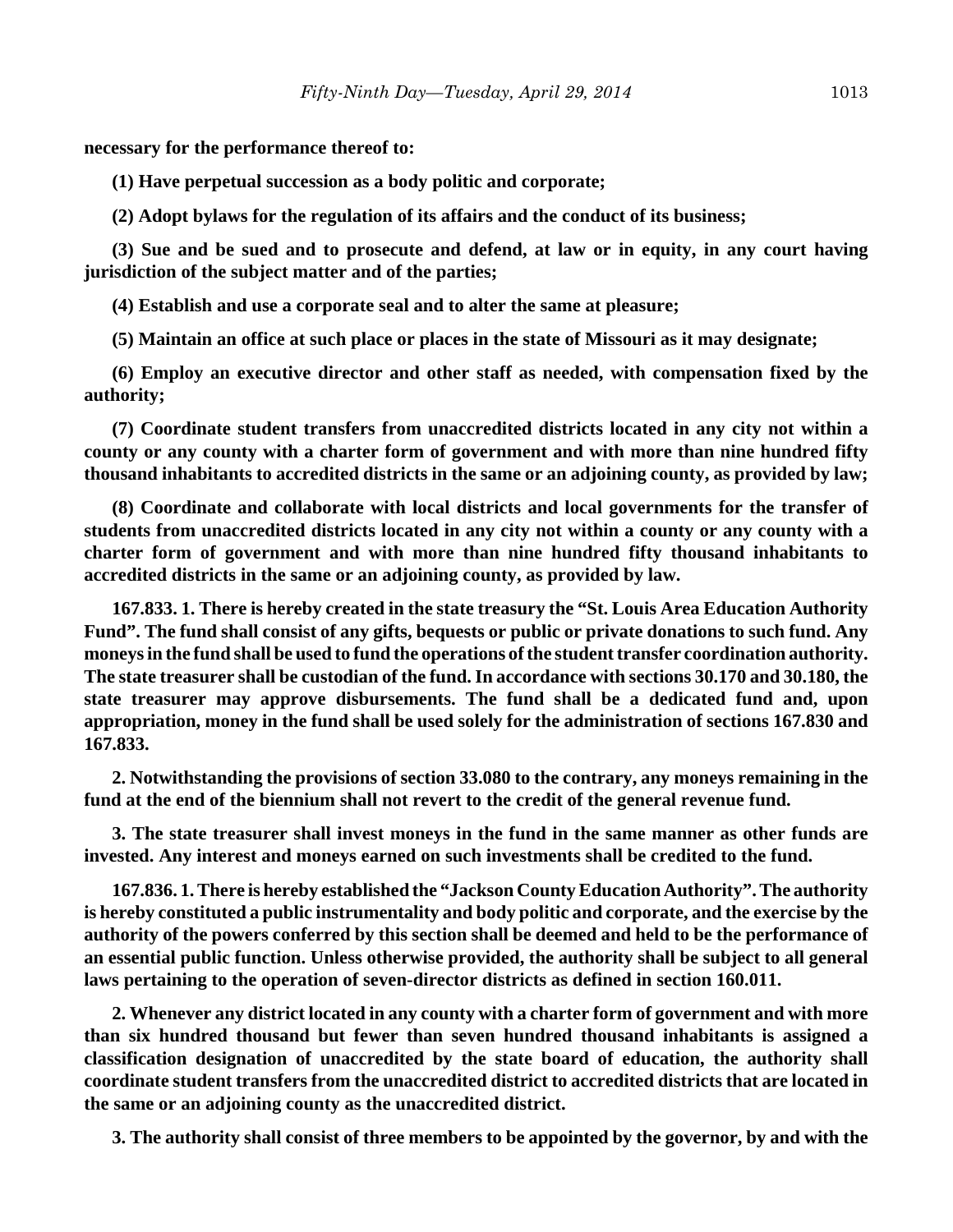**necessary for the performance thereof to:**

**(1) Have perpetual succession as a body politic and corporate;**

**(2) Adopt bylaws for the regulation of its affairs and the conduct of its business;**

**(3) Sue and be sued and to prosecute and defend, at law or in equity, in any court having jurisdiction of the subject matter and of the parties;**

**(4) Establish and use a corporate seal and to alter the same at pleasure;**

**(5) Maintain an office at such place or places in the state of Missouri as it may designate;**

**(6) Employ an executive director and other staff as needed, with compensation fixed by the authority;**

**(7) Coordinate student transfers from unaccredited districts located in any city not within a county or any county with a charter form of government and with more than nine hundred fifty thousand inhabitants to accredited districts in the same or an adjoining county, as provided by law;**

**(8) Coordinate and collaborate with local districts and local governments for the transfer of students from unaccredited districts located in any city not within a county or any county with a charter form of government and with more than nine hundred fifty thousand inhabitants to accredited districts in the same or an adjoining county, as provided by law.**

**167.833. 1. There is hereby created in the state treasury the "St. Louis Area Education Authority Fund". The fund shall consist of any gifts, bequests or public or private donations to such fund. Any moneys in the fund shall be used to fund the operations of the student transfer coordination authority. The state treasurer shall be custodian of the fund. In accordance with sections 30.170 and 30.180, the state treasurer may approve disbursements. The fund shall be a dedicated fund and, upon appropriation, money in the fund shall be used solely for the administration of sections 167.830 and 167.833.**

**2. Notwithstanding the provisions of section 33.080 to the contrary, any moneys remaining in the fund at the end of the biennium shall not revert to the credit of the general revenue fund.**

**3. The state treasurer shall invest moneys in the fund in the same manner as other funds are invested. Any interest and moneys earned on such investments shall be credited to the fund.**

**167.836. 1. There is hereby established the "Jackson County Education Authority". The authority is hereby constituted a public instrumentality and body politic and corporate, and the exercise by the authority of the powers conferred by this section shall be deemed and held to be the performance of an essential public function. Unless otherwise provided, the authority shall be subject to all general laws pertaining to the operation of seven-director districts as defined in section 160.011.**

**2. Whenever any district located in any county with a charter form of government and with more than six hundred thousand but fewer than seven hundred thousand inhabitants is assigned a classification designation of unaccredited by the state board of education, the authority shall coordinate student transfers from the unaccredited district to accredited districts that are located in the same or an adjoining county as the unaccredited district.**

**3. The authority shall consist of three members to be appointed by the governor, by and with the**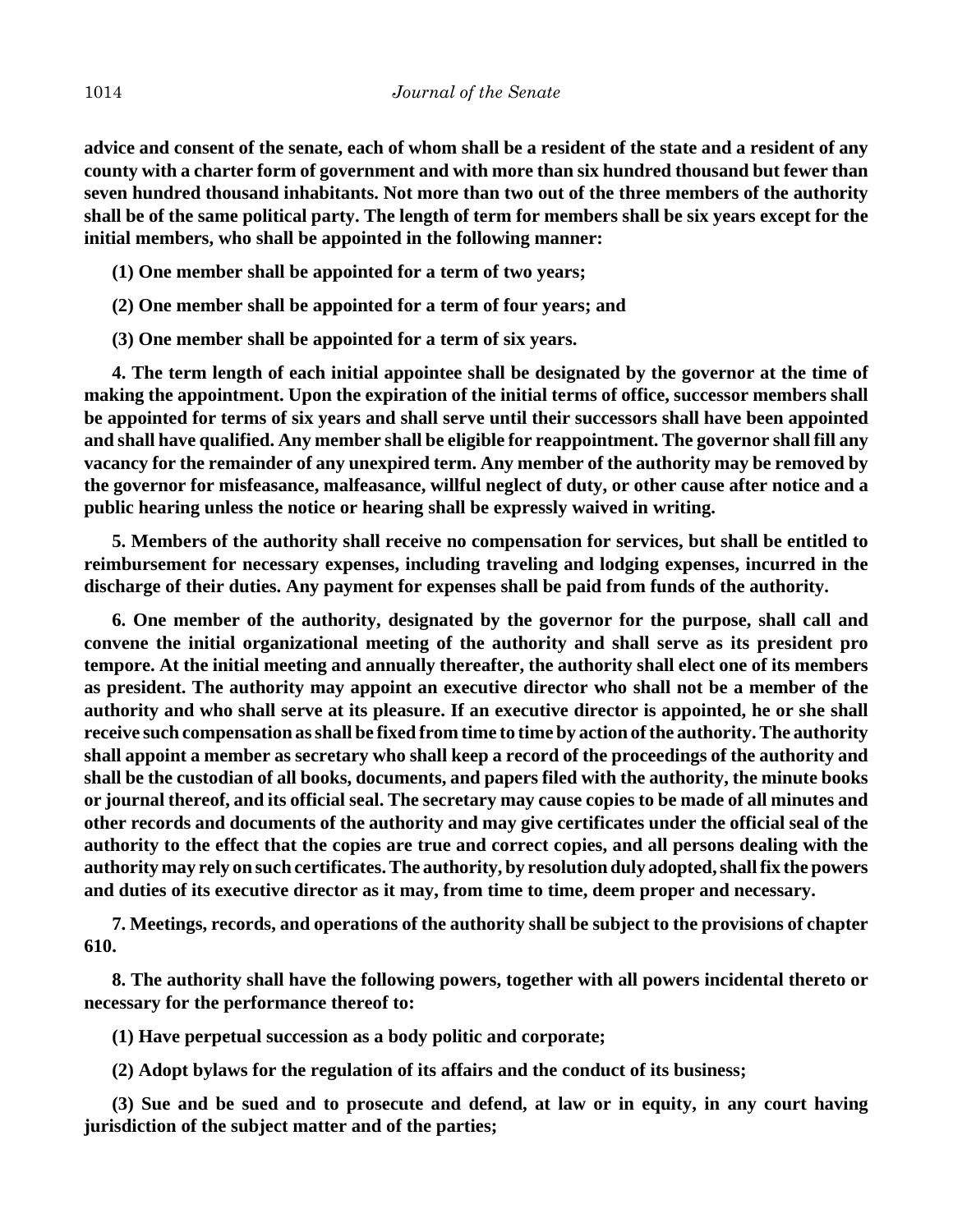**advice and consent of the senate, each of whom shall be a resident of the state and a resident of any county with a charter form of government and with more than six hundred thousand but fewer than seven hundred thousand inhabitants. Not more than two out of the three members of the authority shall be of the same political party. The length of term for members shall be six years except for the initial members, who shall be appointed in the following manner:**

- **(1) One member shall be appointed for a term of two years;**
- **(2) One member shall be appointed for a term of four years; and**
- **(3) One member shall be appointed for a term of six years.**

**4. The term length of each initial appointee shall be designated by the governor at the time of making the appointment. Upon the expiration of the initial terms of office, successor members shall be appointed for terms of six years and shall serve until their successors shall have been appointed and shall have qualified. Any member shall be eligible for reappointment. The governor shall fill any vacancy for the remainder of any unexpired term. Any member of the authority may be removed by the governor for misfeasance, malfeasance, willful neglect of duty, or other cause after notice and a public hearing unless the notice or hearing shall be expressly waived in writing.**

**5. Members of the authority shall receive no compensation for services, but shall be entitled to reimbursement for necessary expenses, including traveling and lodging expenses, incurred in the discharge of their duties. Any payment for expenses shall be paid from funds of the authority.**

**6. One member of the authority, designated by the governor for the purpose, shall call and convene the initial organizational meeting of the authority and shall serve as its president pro tempore. At the initial meeting and annually thereafter, the authority shall elect one of its members as president. The authority may appoint an executive director who shall not be a member of the authority and who shall serve at its pleasure. If an executive director is appointed, he or she shall receive such compensation as shall be fixed from time to time by action of the authority. The authority shall appoint a member as secretary who shall keep a record of the proceedings of the authority and shall be the custodian of all books, documents, and papers filed with the authority, the minute books or journal thereof, and its official seal. The secretary may cause copies to be made of all minutes and other records and documents of the authority and may give certificates under the official seal of the authority to the effect that the copies are true and correct copies, and all persons dealing with the authority may rely on such certificates. The authority, by resolution duly adopted, shall fix the powers and duties of its executive director as it may, from time to time, deem proper and necessary.**

**7. Meetings, records, and operations of the authority shall be subject to the provisions of chapter 610.**

**8. The authority shall have the following powers, together with all powers incidental thereto or necessary for the performance thereof to:**

**(1) Have perpetual succession as a body politic and corporate;**

**(2) Adopt bylaws for the regulation of its affairs and the conduct of its business;**

**(3) Sue and be sued and to prosecute and defend, at law or in equity, in any court having jurisdiction of the subject matter and of the parties;**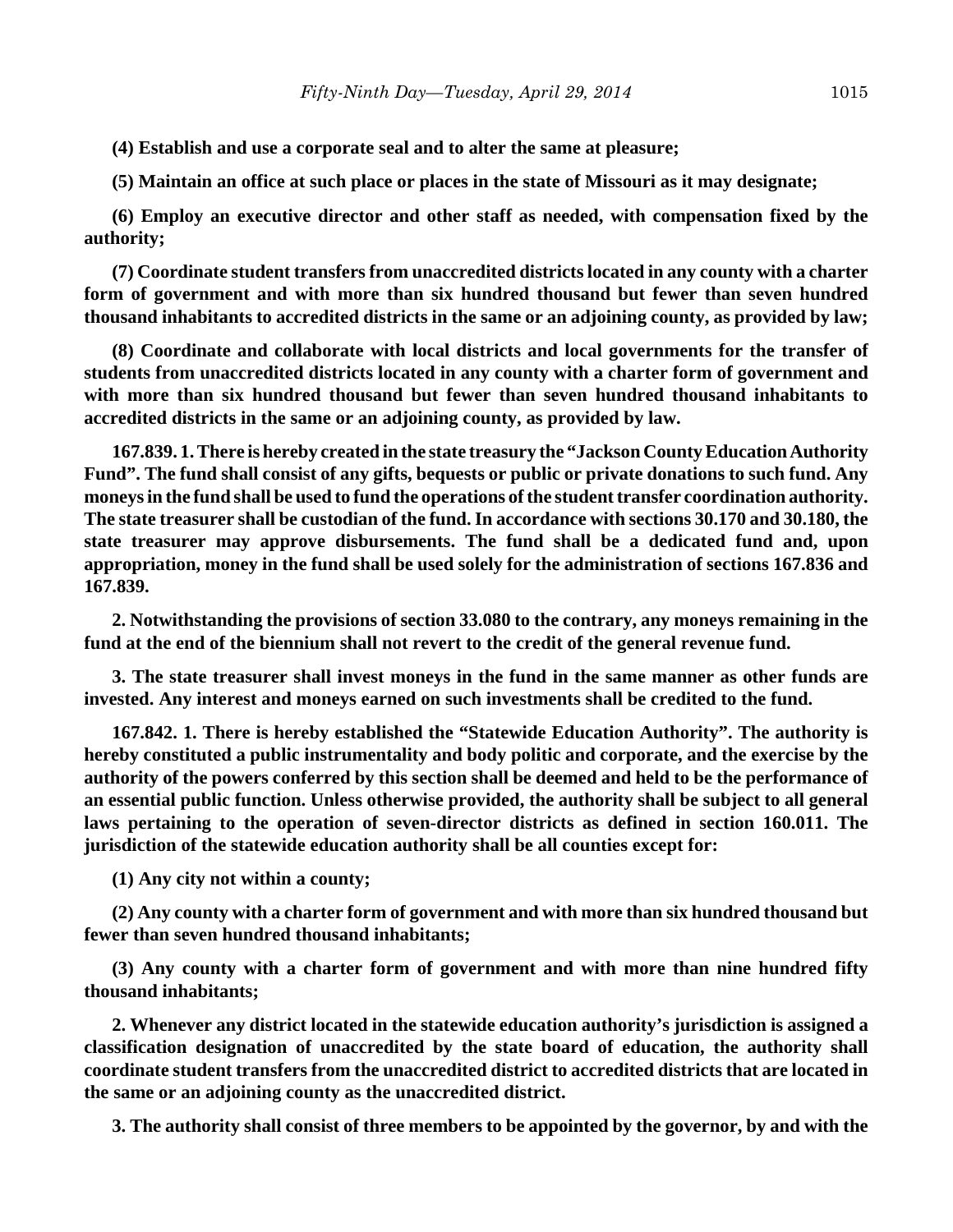**(4) Establish and use a corporate seal and to alter the same at pleasure;**

**(5) Maintain an office at such place or places in the state of Missouri as it may designate;**

**(6) Employ an executive director and other staff as needed, with compensation fixed by the authority;**

**(7) Coordinate student transfers from unaccredited districts located in any county with a charter form of government and with more than six hundred thousand but fewer than seven hundred thousand inhabitants to accredited districts in the same or an adjoining county, as provided by law;**

**(8) Coordinate and collaborate with local districts and local governments for the transfer of students from unaccredited districts located in any county with a charter form of government and with more than six hundred thousand but fewer than seven hundred thousand inhabitants to accredited districts in the same or an adjoining county, as provided by law.**

**167.839. 1. There is hereby created in the state treasury the "Jackson County Education Authority Fund". The fund shall consist of any gifts, bequests or public or private donations to such fund. Any moneys in the fund shall be used to fund the operations of the student transfer coordination authority. The state treasurer shall be custodian of the fund. In accordance with sections 30.170 and 30.180, the state treasurer may approve disbursements. The fund shall be a dedicated fund and, upon appropriation, money in the fund shall be used solely for the administration of sections 167.836 and 167.839.**

**2. Notwithstanding the provisions of section 33.080 to the contrary, any moneys remaining in the fund at the end of the biennium shall not revert to the credit of the general revenue fund.**

**3. The state treasurer shall invest moneys in the fund in the same manner as other funds are invested. Any interest and moneys earned on such investments shall be credited to the fund.**

**167.842. 1. There is hereby established the "Statewide Education Authority". The authority is hereby constituted a public instrumentality and body politic and corporate, and the exercise by the authority of the powers conferred by this section shall be deemed and held to be the performance of an essential public function. Unless otherwise provided, the authority shall be subject to all general laws pertaining to the operation of seven-director districts as defined in section 160.011. The jurisdiction of the statewide education authority shall be all counties except for:**

**(1) Any city not within a county;**

**(2) Any county with a charter form of government and with more than six hundred thousand but fewer than seven hundred thousand inhabitants;**

**(3) Any county with a charter form of government and with more than nine hundred fifty thousand inhabitants;**

**2. Whenever any district located in the statewide education authority's jurisdiction is assigned a classification designation of unaccredited by the state board of education, the authority shall coordinate student transfers from the unaccredited district to accredited districts that are located in the same or an adjoining county as the unaccredited district.**

**3. The authority shall consist of three members to be appointed by the governor, by and with the**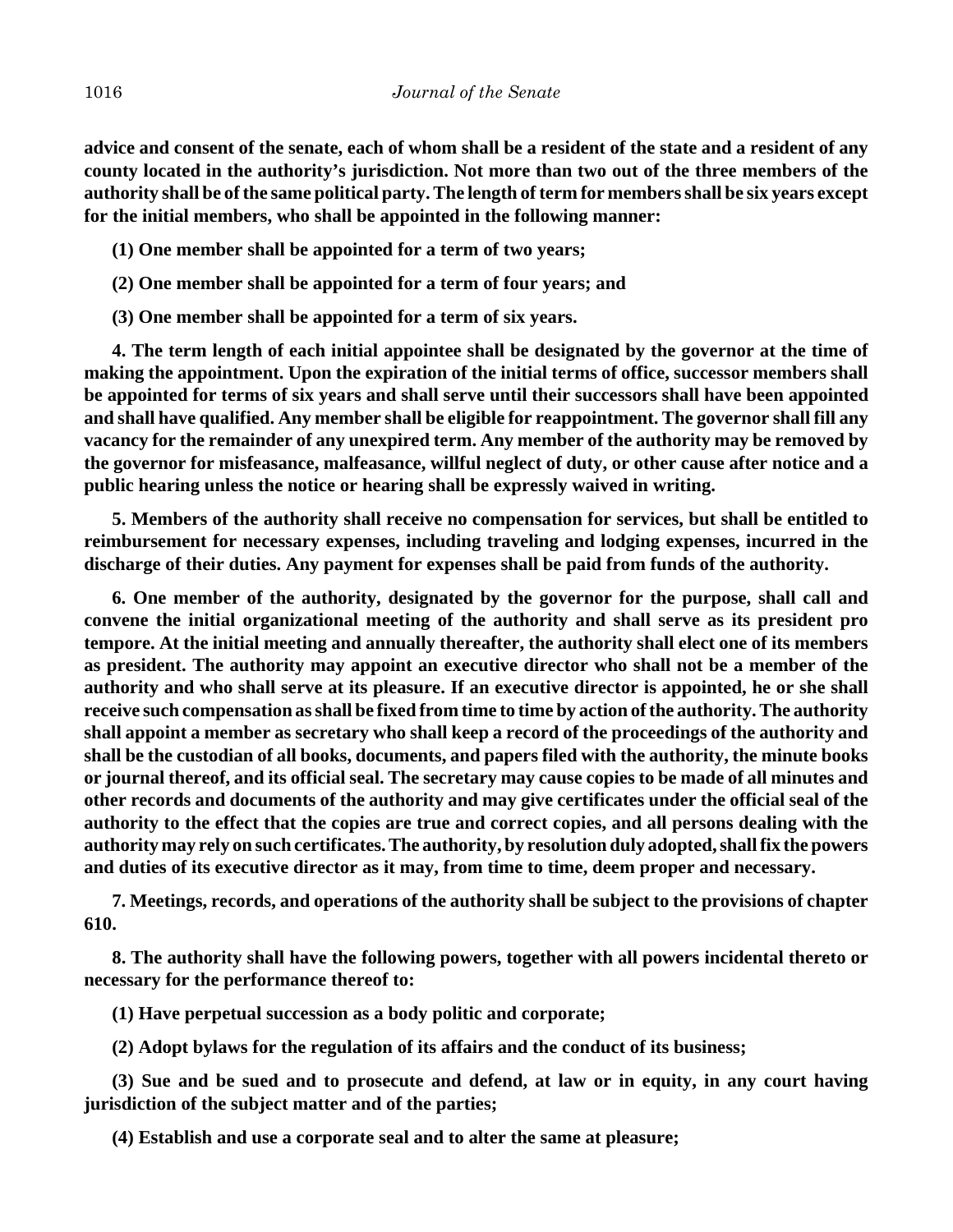**advice and consent of the senate, each of whom shall be a resident of the state and a resident of any county located in the authority's jurisdiction. Not more than two out of the three members of the authority shall be of the same political party. The length of term for members shall be six years except for the initial members, who shall be appointed in the following manner:**

- **(1) One member shall be appointed for a term of two years;**
- **(2) One member shall be appointed for a term of four years; and**
- **(3) One member shall be appointed for a term of six years.**

**4. The term length of each initial appointee shall be designated by the governor at the time of making the appointment. Upon the expiration of the initial terms of office, successor members shall be appointed for terms of six years and shall serve until their successors shall have been appointed and shall have qualified. Any member shall be eligible for reappointment. The governor shall fill any vacancy for the remainder of any unexpired term. Any member of the authority may be removed by the governor for misfeasance, malfeasance, willful neglect of duty, or other cause after notice and a public hearing unless the notice or hearing shall be expressly waived in writing.**

**5. Members of the authority shall receive no compensation for services, but shall be entitled to reimbursement for necessary expenses, including traveling and lodging expenses, incurred in the discharge of their duties. Any payment for expenses shall be paid from funds of the authority.**

**6. One member of the authority, designated by the governor for the purpose, shall call and convene the initial organizational meeting of the authority and shall serve as its president pro tempore. At the initial meeting and annually thereafter, the authority shall elect one of its members as president. The authority may appoint an executive director who shall not be a member of the authority and who shall serve at its pleasure. If an executive director is appointed, he or she shall receive such compensation as shall be fixed from time to time by action of the authority. The authority shall appoint a member as secretary who shall keep a record of the proceedings of the authority and shall be the custodian of all books, documents, and papers filed with the authority, the minute books or journal thereof, and its official seal. The secretary may cause copies to be made of all minutes and other records and documents of the authority and may give certificates under the official seal of the authority to the effect that the copies are true and correct copies, and all persons dealing with the authority may rely on such certificates. The authority, by resolution duly adopted, shall fix the powers and duties of its executive director as it may, from time to time, deem proper and necessary.**

**7. Meetings, records, and operations of the authority shall be subject to the provisions of chapter 610.**

**8. The authority shall have the following powers, together with all powers incidental thereto or necessary for the performance thereof to:**

**(1) Have perpetual succession as a body politic and corporate;**

**(2) Adopt bylaws for the regulation of its affairs and the conduct of its business;**

**(3) Sue and be sued and to prosecute and defend, at law or in equity, in any court having jurisdiction of the subject matter and of the parties;**

**(4) Establish and use a corporate seal and to alter the same at pleasure;**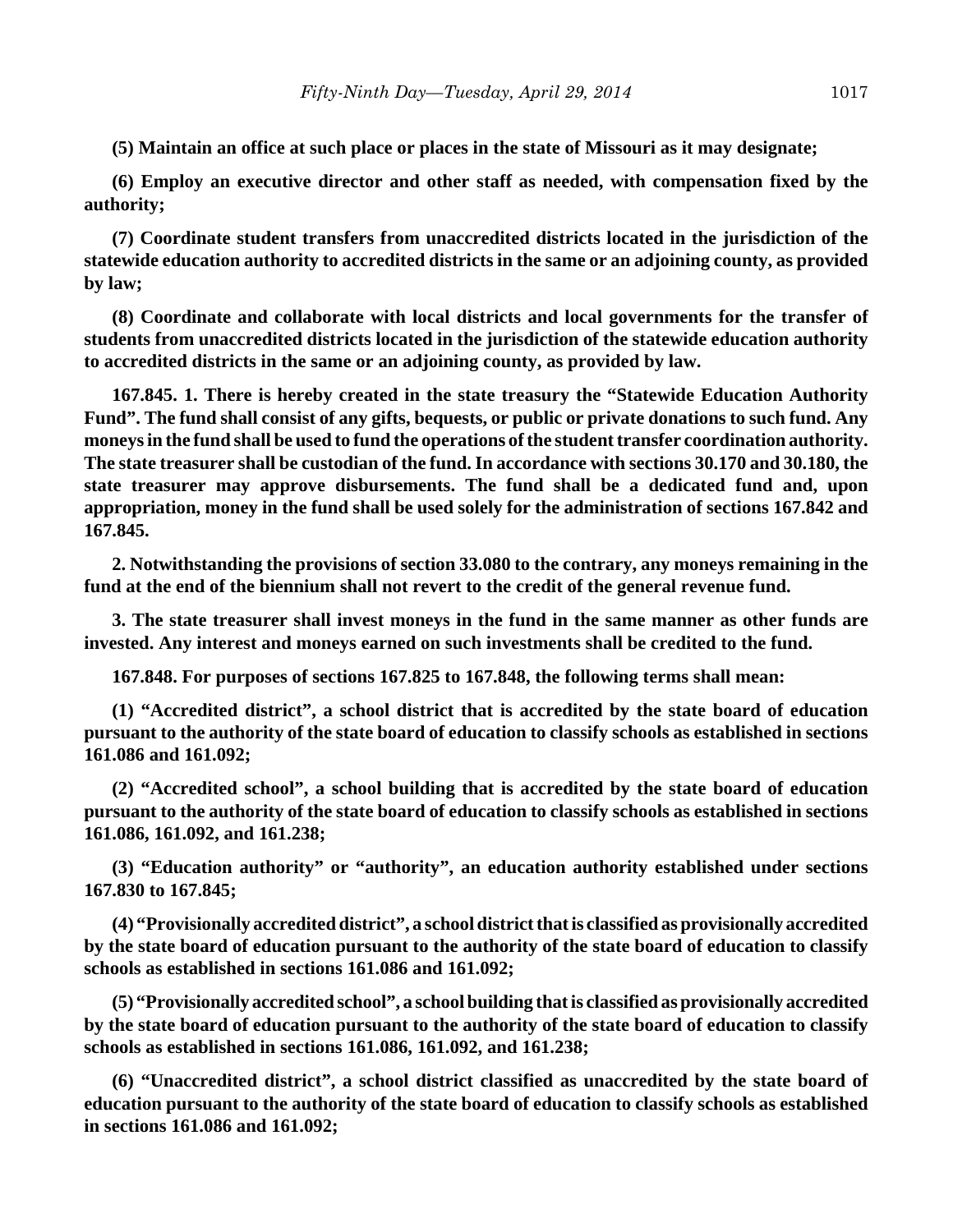**(5) Maintain an office at such place or places in the state of Missouri as it may designate;**

**(6) Employ an executive director and other staff as needed, with compensation fixed by the authority;**

**(7) Coordinate student transfers from unaccredited districts located in the jurisdiction of the statewide education authority to accredited districts in the same or an adjoining county, as provided by law;**

**(8) Coordinate and collaborate with local districts and local governments for the transfer of students from unaccredited districts located in the jurisdiction of the statewide education authority to accredited districts in the same or an adjoining county, as provided by law.**

**167.845. 1. There is hereby created in the state treasury the "Statewide Education Authority Fund". The fund shall consist of any gifts, bequests, or public or private donations to such fund. Any moneys in the fund shall be used to fund the operations of the student transfer coordination authority. The state treasurer shall be custodian of the fund. In accordance with sections 30.170 and 30.180, the state treasurer may approve disbursements. The fund shall be a dedicated fund and, upon appropriation, money in the fund shall be used solely for the administration of sections 167.842 and 167.845.**

**2. Notwithstanding the provisions of section 33.080 to the contrary, any moneys remaining in the fund at the end of the biennium shall not revert to the credit of the general revenue fund.**

**3. The state treasurer shall invest moneys in the fund in the same manner as other funds are invested. Any interest and moneys earned on such investments shall be credited to the fund.**

**167.848. For purposes of sections 167.825 to 167.848, the following terms shall mean:**

**(1) "Accredited district", a school district that is accredited by the state board of education pursuant to the authority of the state board of education to classify schools as established in sections 161.086 and 161.092;**

**(2) "Accredited school", a school building that is accredited by the state board of education pursuant to the authority of the state board of education to classify schools as established in sections 161.086, 161.092, and 161.238;**

**(3) "Education authority" or "authority", an education authority established under sections 167.830 to 167.845;**

**(4) "Provisionally accredited district", a school district that is classified as provisionally accredited by the state board of education pursuant to the authority of the state board of education to classify schools as established in sections 161.086 and 161.092;**

**(5) "Provisionally accredited school", a school building that is classified as provisionally accredited by the state board of education pursuant to the authority of the state board of education to classify schools as established in sections 161.086, 161.092, and 161.238;**

**(6) "Unaccredited district", a school district classified as unaccredited by the state board of education pursuant to the authority of the state board of education to classify schools as established in sections 161.086 and 161.092;**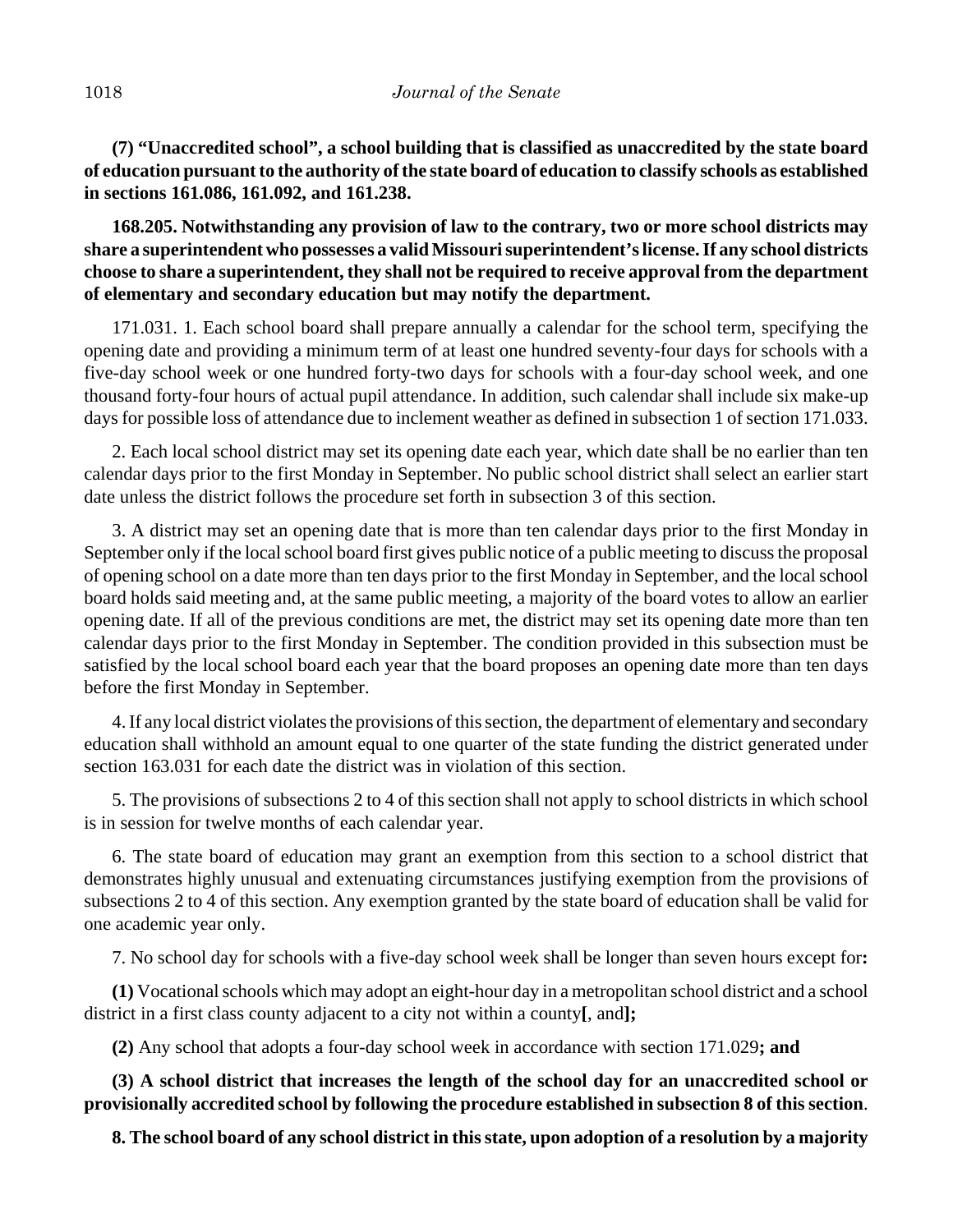**(7) "Unaccredited school", a school building that is classified as unaccredited by the state board of education pursuant to the authority of the state board of education to classify schools as established in sections 161.086, 161.092, and 161.238.**

**168.205. Notwithstanding any provision of law to the contrary, two or more school districts may share a superintendent who possesses a valid Missouri superintendent's license. If any school districts choose to share a superintendent, they shall not be required to receive approval from the department of elementary and secondary education but may notify the department.**

171.031. 1. Each school board shall prepare annually a calendar for the school term, specifying the opening date and providing a minimum term of at least one hundred seventy-four days for schools with a five-day school week or one hundred forty-two days for schools with a four-day school week, and one thousand forty-four hours of actual pupil attendance. In addition, such calendar shall include six make-up days for possible loss of attendance due to inclement weather as defined in subsection 1 of section 171.033.

2. Each local school district may set its opening date each year, which date shall be no earlier than ten calendar days prior to the first Monday in September. No public school district shall select an earlier start date unless the district follows the procedure set forth in subsection 3 of this section.

3. A district may set an opening date that is more than ten calendar days prior to the first Monday in September only if the local school board first gives public notice of a public meeting to discuss the proposal of opening school on a date more than ten days prior to the first Monday in September, and the local school board holds said meeting and, at the same public meeting, a majority of the board votes to allow an earlier opening date. If all of the previous conditions are met, the district may set its opening date more than ten calendar days prior to the first Monday in September. The condition provided in this subsection must be satisfied by the local school board each year that the board proposes an opening date more than ten days before the first Monday in September.

4. If any local district violates the provisions of this section, the department of elementary and secondary education shall withhold an amount equal to one quarter of the state funding the district generated under section 163.031 for each date the district was in violation of this section.

5. The provisions of subsections 2 to 4 of this section shall not apply to school districts in which school is in session for twelve months of each calendar year.

6. The state board of education may grant an exemption from this section to a school district that demonstrates highly unusual and extenuating circumstances justifying exemption from the provisions of subsections 2 to 4 of this section. Any exemption granted by the state board of education shall be valid for one academic year only.

7. No school day for schools with a five-day school week shall be longer than seven hours except for**:**

**(1)** Vocational schools which may adopt an eight-hour day in a metropolitan school district and a school district in a first class county adjacent to a city not within a county**[**, and**];**

**(2)** Any school that adopts a four-day school week in accordance with section 171.029**; and**

**(3) A school district that increases the length of the school day for an unaccredited school or provisionally accredited school by following the procedure established in subsection 8 of this section**.

**8. The school board of any school district in this state, upon adoption of a resolution by a majority**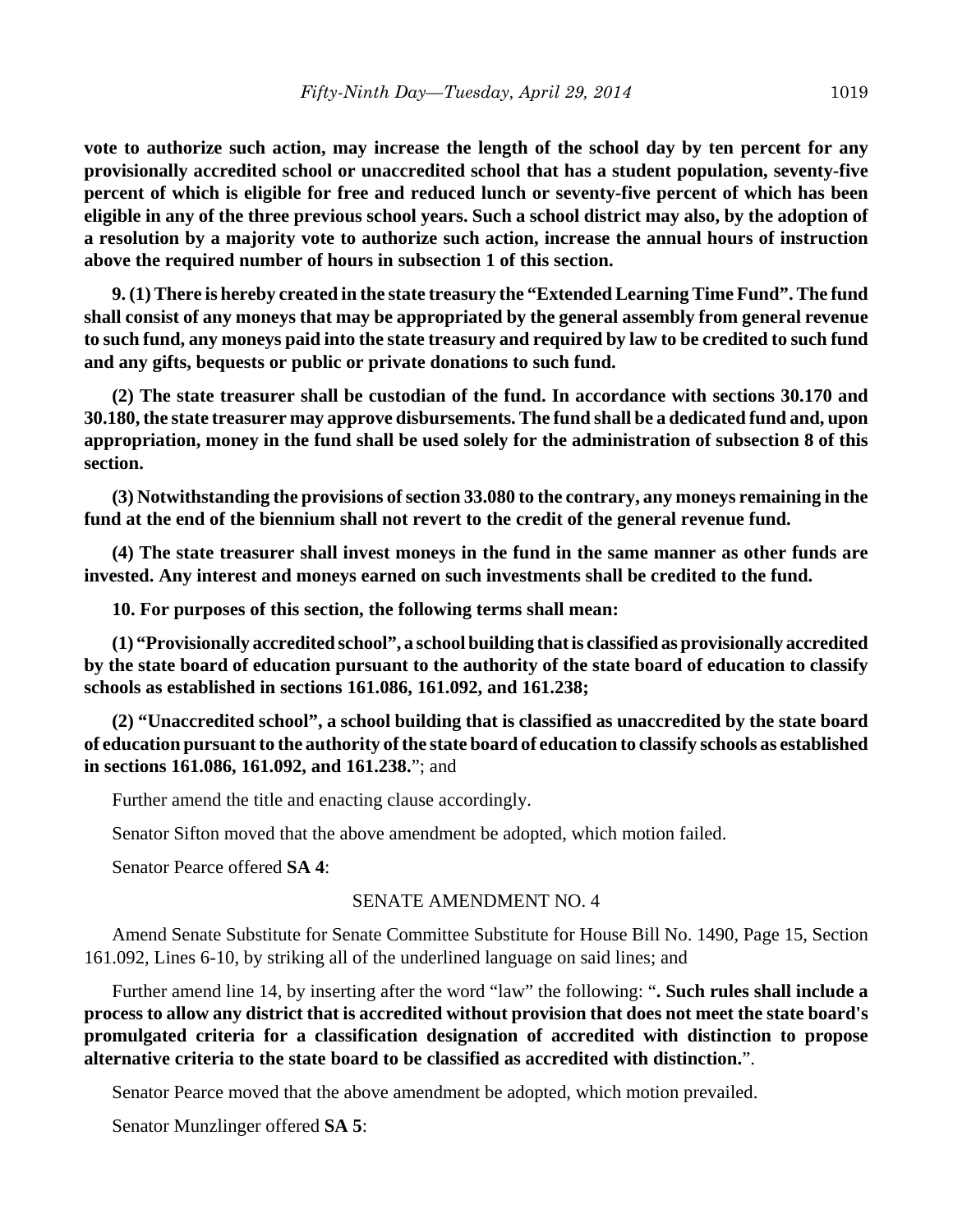**vote to authorize such action, may increase the length of the school day by ten percent for any provisionally accredited school or unaccredited school that has a student population, seventy-five percent of which is eligible for free and reduced lunch or seventy-five percent of which has been eligible in any of the three previous school years. Such a school district may also, by the adoption of a resolution by a majority vote to authorize such action, increase the annual hours of instruction above the required number of hours in subsection 1 of this section.** 

**9. (1) There is hereby created in the state treasury the "Extended Learning Time Fund". The fund shall consist of any moneys that may be appropriated by the general assembly from general revenue to such fund, any moneys paid into the state treasury and required by law to be credited to such fund and any gifts, bequests or public or private donations to such fund.**

**(2) The state treasurer shall be custodian of the fund. In accordance with sections 30.170 and 30.180, the state treasurer may approve disbursements. The fund shall be a dedicated fund and, upon appropriation, money in the fund shall be used solely for the administration of subsection 8 of this section.**

**(3) Notwithstanding the provisions of section 33.080 to the contrary, any moneys remaining in the fund at the end of the biennium shall not revert to the credit of the general revenue fund.**

**(4) The state treasurer shall invest moneys in the fund in the same manner as other funds are invested. Any interest and moneys earned on such investments shall be credited to the fund.**

**10. For purposes of this section, the following terms shall mean:**

**(1) "Provisionally accredited school", a school building that is classified as provisionally accredited by the state board of education pursuant to the authority of the state board of education to classify schools as established in sections 161.086, 161.092, and 161.238;**

**(2) "Unaccredited school", a school building that is classified as unaccredited by the state board of education pursuant to the authority of the state board of education to classify schools as established in sections 161.086, 161.092, and 161.238.**"; and

Further amend the title and enacting clause accordingly.

Senator Sifton moved that the above amendment be adopted, which motion failed.

Senator Pearce offered **SA 4**:

#### SENATE AMENDMENT NO. 4

Amend Senate Substitute for Senate Committee Substitute for House Bill No. 1490, Page 15, Section 161.092, Lines 6-10, by striking all of the underlined language on said lines; and

Further amend line 14, by inserting after the word "law" the following: "**. Such rules shall include a process to allow any district that is accredited without provision that does not meet the state board's promulgated criteria for a classification designation of accredited with distinction to propose alternative criteria to the state board to be classified as accredited with distinction.**".

Senator Pearce moved that the above amendment be adopted, which motion prevailed.

Senator Munzlinger offered **SA 5**: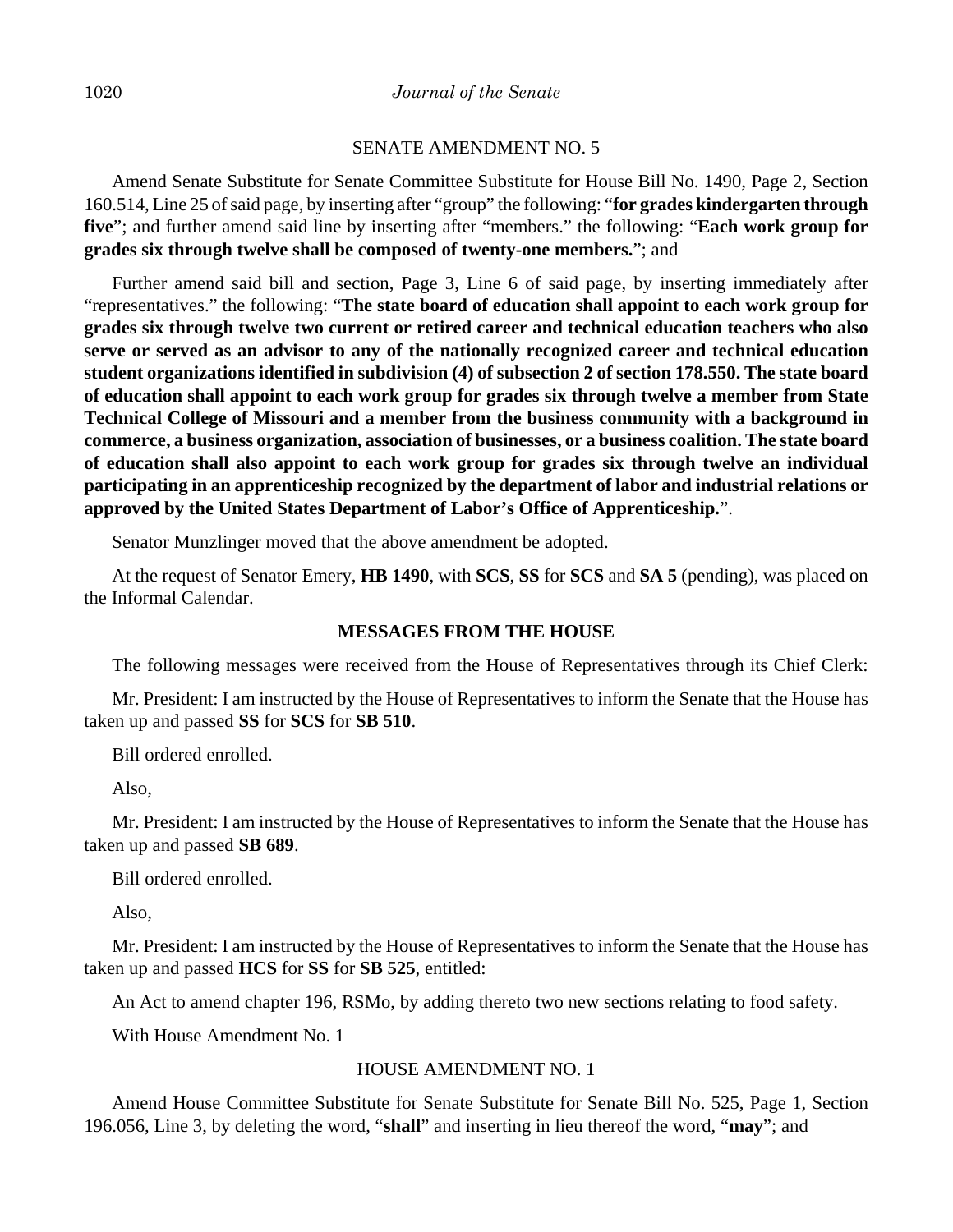#### SENATE AMENDMENT NO. 5

Amend Senate Substitute for Senate Committee Substitute for House Bill No. 1490, Page 2, Section 160.514, Line 25 of said page, by inserting after "group" the following: "**for grades kindergarten through five**"; and further amend said line by inserting after "members." the following: "**Each work group for grades six through twelve shall be composed of twenty-one members.**"; and

Further amend said bill and section, Page 3, Line 6 of said page, by inserting immediately after "representatives." the following: "**The state board of education shall appoint to each work group for grades six through twelve two current or retired career and technical education teachers who also serve or served as an advisor to any of the nationally recognized career and technical education student organizations identified in subdivision (4) of subsection 2 of section 178.550. The state board of education shall appoint to each work group for grades six through twelve a member from State Technical College of Missouri and a member from the business community with a background in commerce, a business organization, association of businesses, or a business coalition. The state board of education shall also appoint to each work group for grades six through twelve an individual participating in an apprenticeship recognized by the department of labor and industrial relations or approved by the United States Department of Labor's Office of Apprenticeship.**".

Senator Munzlinger moved that the above amendment be adopted.

At the request of Senator Emery, **HB 1490**, with **SCS**, **SS** for **SCS** and **SA 5** (pending), was placed on the Informal Calendar.

#### **MESSAGES FROM THE HOUSE**

The following messages were received from the House of Representatives through its Chief Clerk:

Mr. President: I am instructed by the House of Representatives to inform the Senate that the House has taken up and passed **SS** for **SCS** for **SB 510**.

Bill ordered enrolled.

Also,

Mr. President: I am instructed by the House of Representatives to inform the Senate that the House has taken up and passed **SB 689**.

Bill ordered enrolled.

Also,

Mr. President: I am instructed by the House of Representatives to inform the Senate that the House has taken up and passed **HCS** for **SS** for **SB 525**, entitled:

An Act to amend chapter 196, RSMo, by adding thereto two new sections relating to food safety.

With House Amendment No. 1

#### HOUSE AMENDMENT NO. 1

Amend House Committee Substitute for Senate Substitute for Senate Bill No. 525, Page 1, Section 196.056, Line 3, by deleting the word, "**shall**" and inserting in lieu thereof the word, "**may**"; and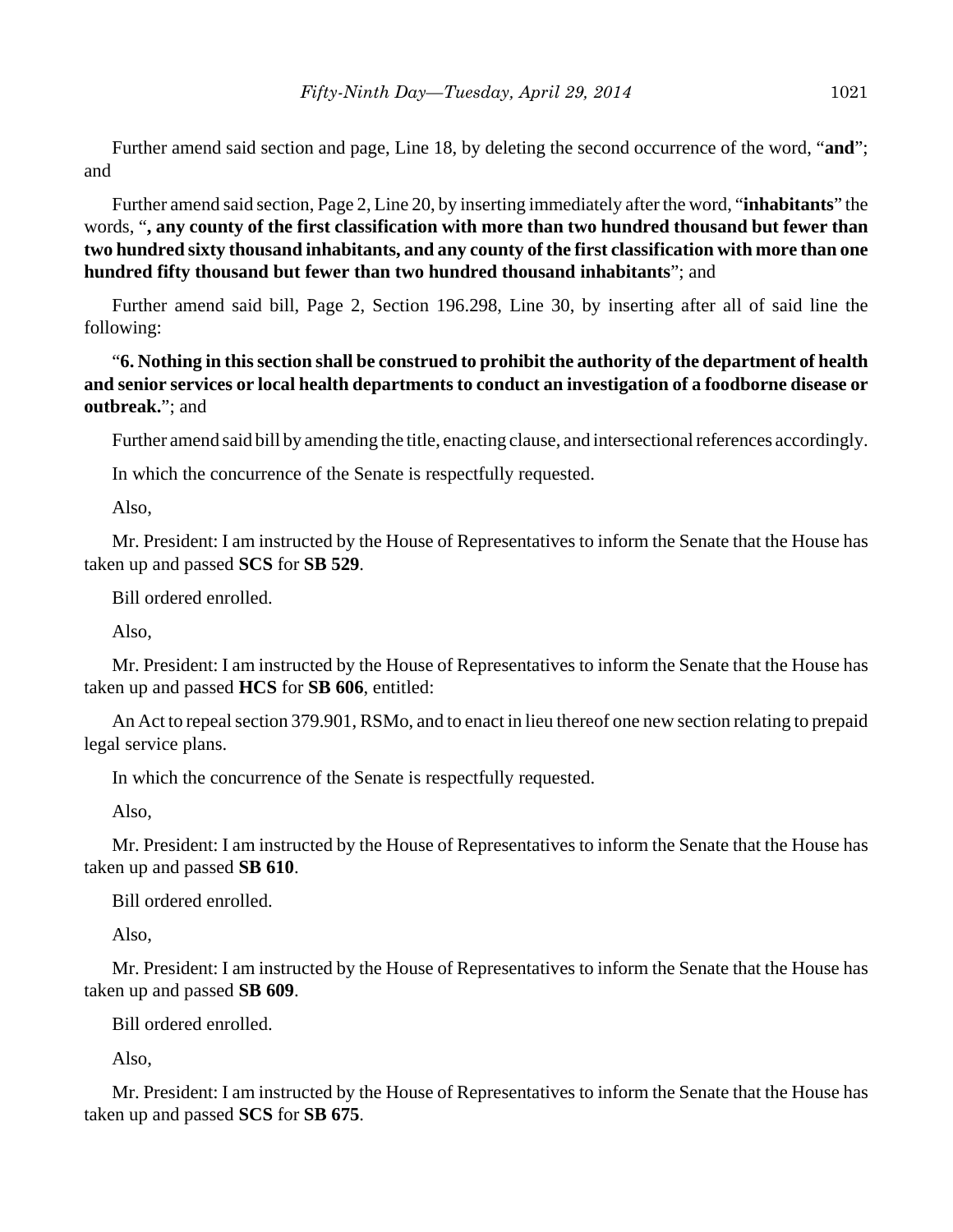Further amend said section and page, Line 18, by deleting the second occurrence of the word, "**and**"; and

Further amend said section, Page 2, Line 20, by inserting immediately after the word, "**inhabitants**" the words, "**, any county of the first classification with more than two hundred thousand but fewer than two hundred sixty thousand inhabitants, and any county of the first classification with more than one hundred fifty thousand but fewer than two hundred thousand inhabitants**"; and

Further amend said bill, Page 2, Section 196.298, Line 30, by inserting after all of said line the following:

"**6. Nothing in this section shall be construed to prohibit the authority of the department of health and senior services or local health departments to conduct an investigation of a foodborne disease or outbreak.**"; and

Further amend said bill by amending the title, enacting clause, and intersectional references accordingly.

In which the concurrence of the Senate is respectfully requested.

Also,

Mr. President: I am instructed by the House of Representatives to inform the Senate that the House has taken up and passed **SCS** for **SB 529**.

Bill ordered enrolled.

Also,

Mr. President: I am instructed by the House of Representatives to inform the Senate that the House has taken up and passed **HCS** for **SB 606**, entitled:

An Act to repeal section 379.901, RSMo, and to enact in lieu thereof one new section relating to prepaid legal service plans.

In which the concurrence of the Senate is respectfully requested.

Also,

Mr. President: I am instructed by the House of Representatives to inform the Senate that the House has taken up and passed **SB 610**.

Bill ordered enrolled.

Also,

Mr. President: I am instructed by the House of Representatives to inform the Senate that the House has taken up and passed **SB 609**.

Bill ordered enrolled.

Also,

Mr. President: I am instructed by the House of Representatives to inform the Senate that the House has taken up and passed **SCS** for **SB 675**.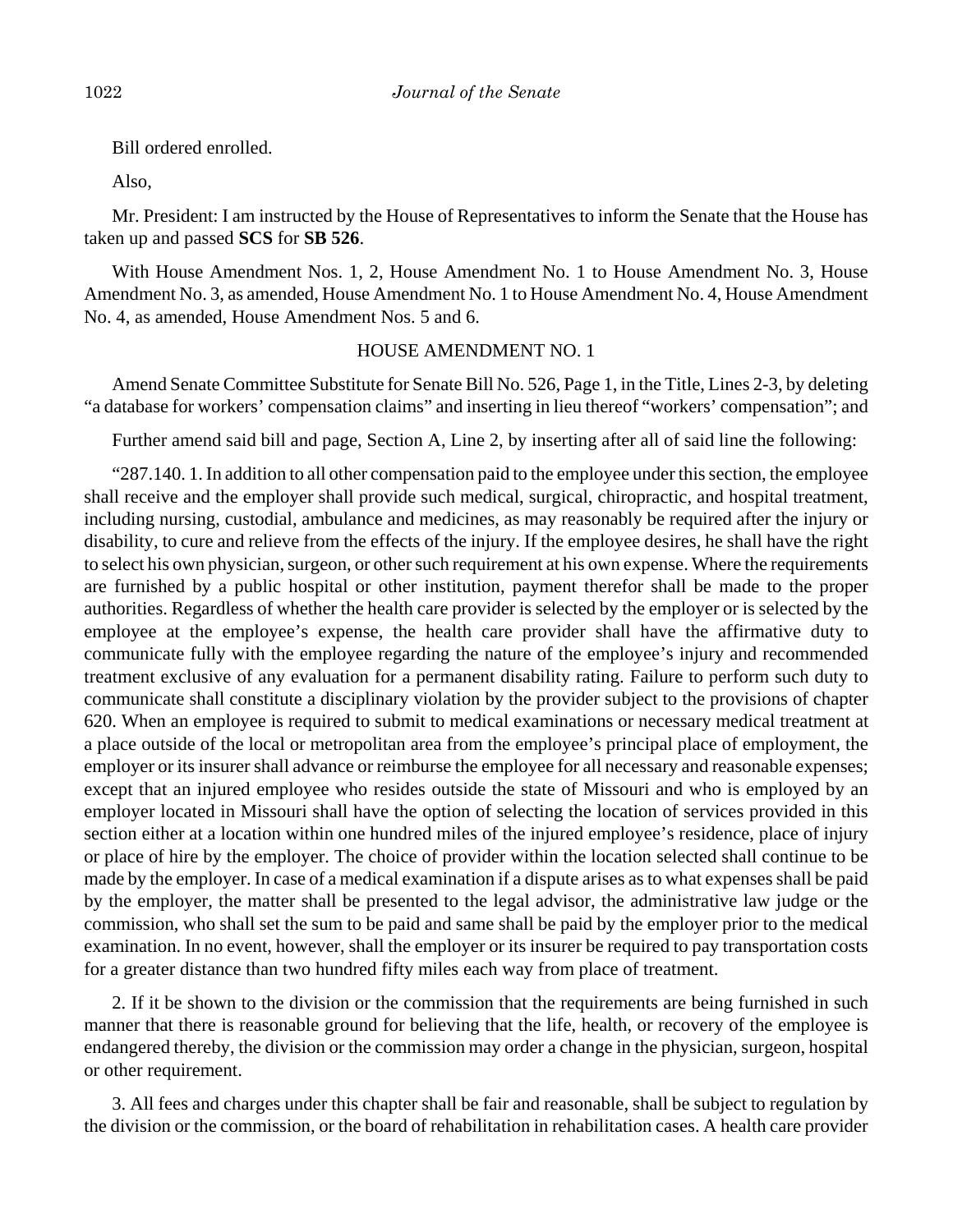Bill ordered enrolled.

Also,

Mr. President: I am instructed by the House of Representatives to inform the Senate that the House has taken up and passed **SCS** for **SB 526**.

With House Amendment Nos. 1, 2, House Amendment No. 1 to House Amendment No. 3, House Amendment No. 3, as amended, House Amendment No. 1 to House Amendment No. 4, House Amendment No. 4, as amended, House Amendment Nos. 5 and 6.

## HOUSE AMENDMENT NO. 1

Amend Senate Committee Substitute for Senate Bill No. 526, Page 1, in the Title, Lines 2-3, by deleting "a database for workers' compensation claims" and inserting in lieu thereof "workers' compensation"; and

Further amend said bill and page, Section A, Line 2, by inserting after all of said line the following:

"287.140. 1. In addition to all other compensation paid to the employee under this section, the employee shall receive and the employer shall provide such medical, surgical, chiropractic, and hospital treatment, including nursing, custodial, ambulance and medicines, as may reasonably be required after the injury or disability, to cure and relieve from the effects of the injury. If the employee desires, he shall have the right to select his own physician, surgeon, or other such requirement at his own expense. Where the requirements are furnished by a public hospital or other institution, payment therefor shall be made to the proper authorities. Regardless of whether the health care provider is selected by the employer or is selected by the employee at the employee's expense, the health care provider shall have the affirmative duty to communicate fully with the employee regarding the nature of the employee's injury and recommended treatment exclusive of any evaluation for a permanent disability rating. Failure to perform such duty to communicate shall constitute a disciplinary violation by the provider subject to the provisions of chapter 620. When an employee is required to submit to medical examinations or necessary medical treatment at a place outside of the local or metropolitan area from the employee's principal place of employment, the employer or its insurer shall advance or reimburse the employee for all necessary and reasonable expenses; except that an injured employee who resides outside the state of Missouri and who is employed by an employer located in Missouri shall have the option of selecting the location of services provided in this section either at a location within one hundred miles of the injured employee's residence, place of injury or place of hire by the employer. The choice of provider within the location selected shall continue to be made by the employer. In case of a medical examination if a dispute arises as to what expenses shall be paid by the employer, the matter shall be presented to the legal advisor, the administrative law judge or the commission, who shall set the sum to be paid and same shall be paid by the employer prior to the medical examination. In no event, however, shall the employer or its insurer be required to pay transportation costs for a greater distance than two hundred fifty miles each way from place of treatment.

2. If it be shown to the division or the commission that the requirements are being furnished in such manner that there is reasonable ground for believing that the life, health, or recovery of the employee is endangered thereby, the division or the commission may order a change in the physician, surgeon, hospital or other requirement.

3. All fees and charges under this chapter shall be fair and reasonable, shall be subject to regulation by the division or the commission, or the board of rehabilitation in rehabilitation cases. A health care provider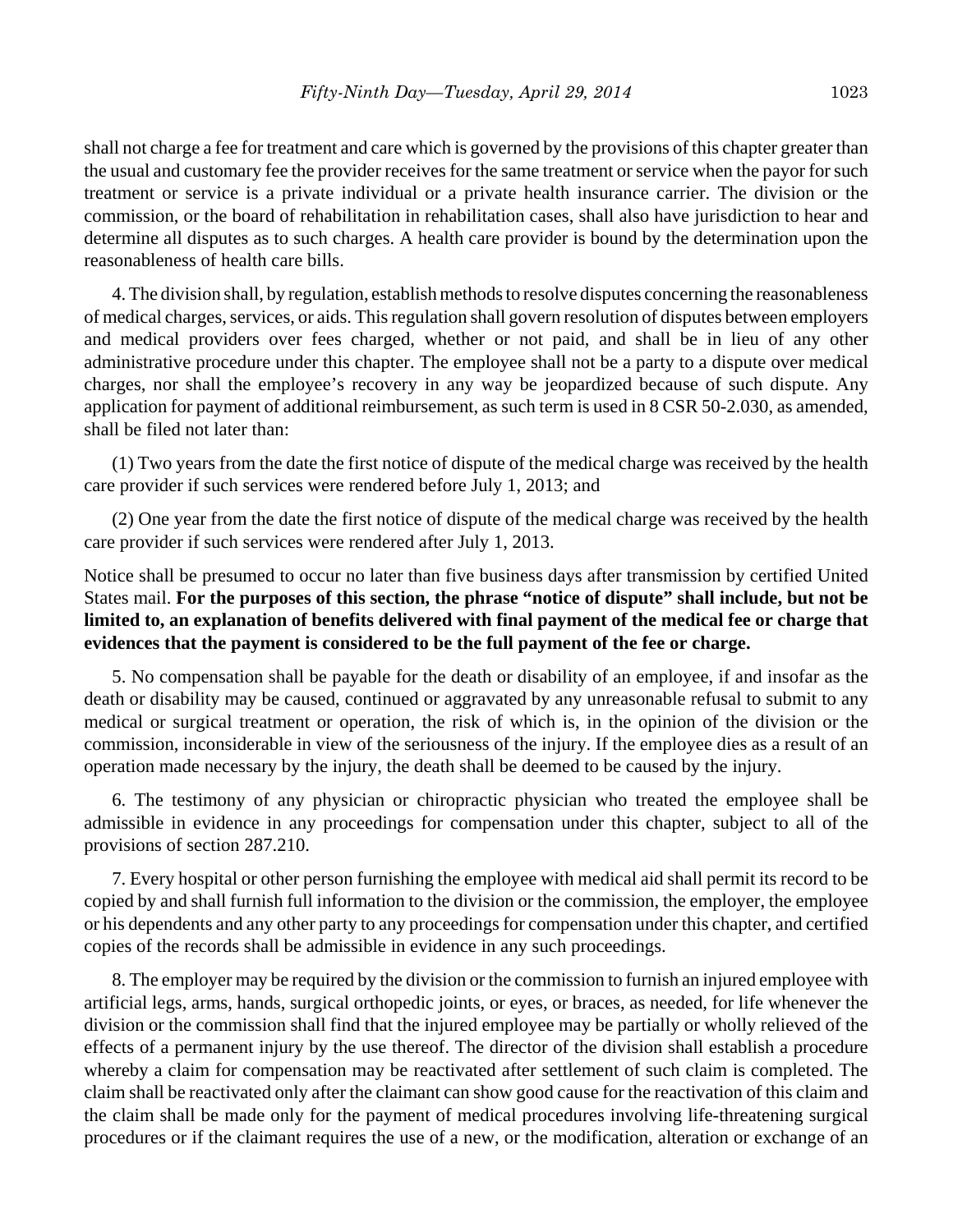shall not charge a fee for treatment and care which is governed by the provisions of this chapter greater than the usual and customary fee the provider receives for the same treatment or service when the payor for such treatment or service is a private individual or a private health insurance carrier. The division or the commission, or the board of rehabilitation in rehabilitation cases, shall also have jurisdiction to hear and determine all disputes as to such charges. A health care provider is bound by the determination upon the reasonableness of health care bills.

4. The division shall, by regulation, establish methods to resolve disputes concerning the reasonableness of medical charges, services, or aids. This regulation shall govern resolution of disputes between employers and medical providers over fees charged, whether or not paid, and shall be in lieu of any other administrative procedure under this chapter. The employee shall not be a party to a dispute over medical charges, nor shall the employee's recovery in any way be jeopardized because of such dispute. Any application for payment of additional reimbursement, as such term is used in 8 CSR 50-2.030, as amended, shall be filed not later than:

(1) Two years from the date the first notice of dispute of the medical charge was received by the health care provider if such services were rendered before July 1, 2013; and

(2) One year from the date the first notice of dispute of the medical charge was received by the health care provider if such services were rendered after July 1, 2013.

Notice shall be presumed to occur no later than five business days after transmission by certified United States mail. **For the purposes of this section, the phrase "notice of dispute" shall include, but not be limited to, an explanation of benefits delivered with final payment of the medical fee or charge that evidences that the payment is considered to be the full payment of the fee or charge.**

5. No compensation shall be payable for the death or disability of an employee, if and insofar as the death or disability may be caused, continued or aggravated by any unreasonable refusal to submit to any medical or surgical treatment or operation, the risk of which is, in the opinion of the division or the commission, inconsiderable in view of the seriousness of the injury. If the employee dies as a result of an operation made necessary by the injury, the death shall be deemed to be caused by the injury.

6. The testimony of any physician or chiropractic physician who treated the employee shall be admissible in evidence in any proceedings for compensation under this chapter, subject to all of the provisions of section 287.210.

7. Every hospital or other person furnishing the employee with medical aid shall permit its record to be copied by and shall furnish full information to the division or the commission, the employer, the employee or his dependents and any other party to any proceedings for compensation under this chapter, and certified copies of the records shall be admissible in evidence in any such proceedings.

8. The employer may be required by the division or the commission to furnish an injured employee with artificial legs, arms, hands, surgical orthopedic joints, or eyes, or braces, as needed, for life whenever the division or the commission shall find that the injured employee may be partially or wholly relieved of the effects of a permanent injury by the use thereof. The director of the division shall establish a procedure whereby a claim for compensation may be reactivated after settlement of such claim is completed. The claim shall be reactivated only after the claimant can show good cause for the reactivation of this claim and the claim shall be made only for the payment of medical procedures involving life-threatening surgical procedures or if the claimant requires the use of a new, or the modification, alteration or exchange of an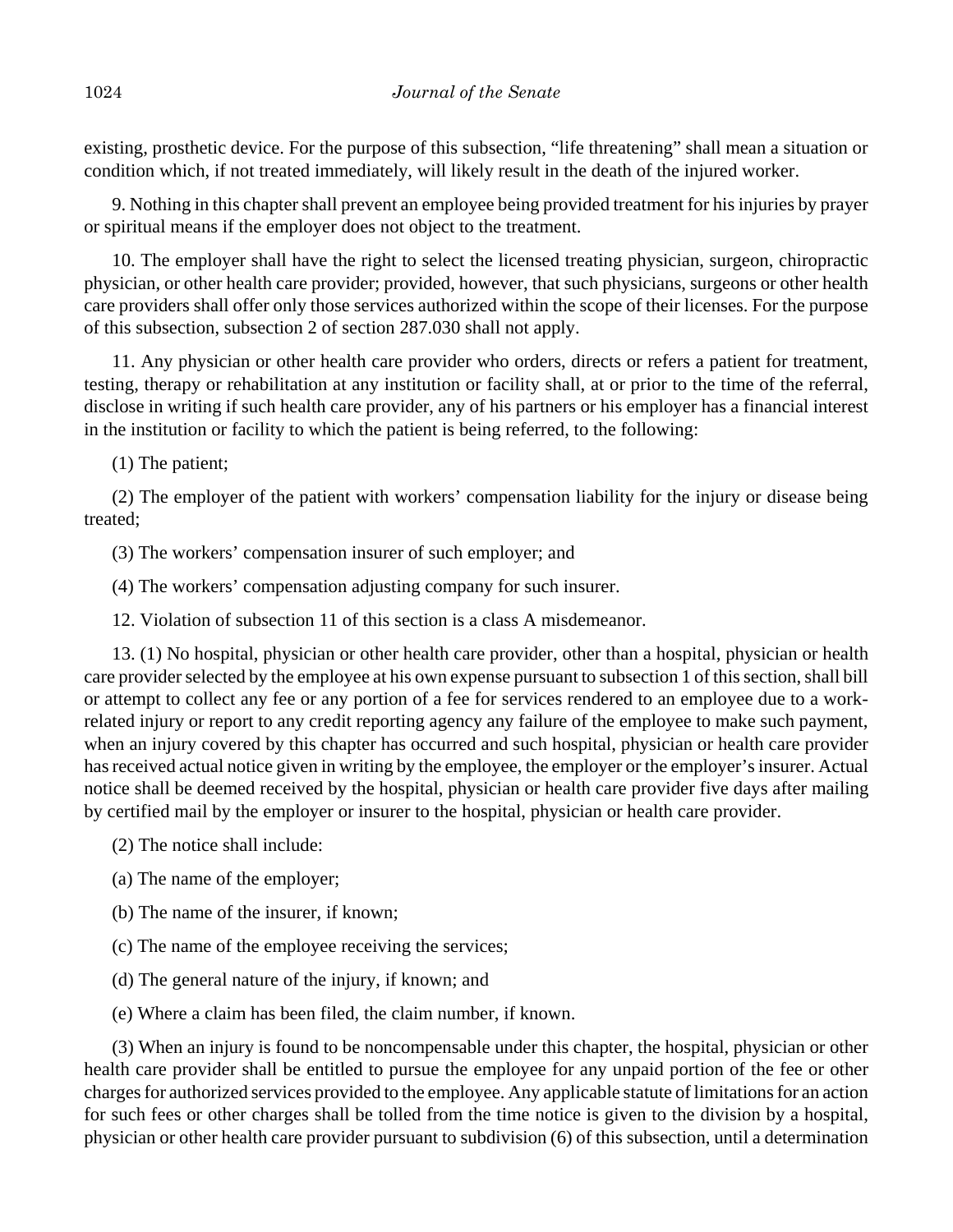existing, prosthetic device. For the purpose of this subsection, "life threatening" shall mean a situation or condition which, if not treated immediately, will likely result in the death of the injured worker.

9. Nothing in this chapter shall prevent an employee being provided treatment for his injuries by prayer or spiritual means if the employer does not object to the treatment.

10. The employer shall have the right to select the licensed treating physician, surgeon, chiropractic physician, or other health care provider; provided, however, that such physicians, surgeons or other health care providers shall offer only those services authorized within the scope of their licenses. For the purpose of this subsection, subsection 2 of section 287.030 shall not apply.

11. Any physician or other health care provider who orders, directs or refers a patient for treatment, testing, therapy or rehabilitation at any institution or facility shall, at or prior to the time of the referral, disclose in writing if such health care provider, any of his partners or his employer has a financial interest in the institution or facility to which the patient is being referred, to the following:

(1) The patient;

(2) The employer of the patient with workers' compensation liability for the injury or disease being treated;

(3) The workers' compensation insurer of such employer; and

(4) The workers' compensation adjusting company for such insurer.

12. Violation of subsection 11 of this section is a class A misdemeanor.

13. (1) No hospital, physician or other health care provider, other than a hospital, physician or health care provider selected by the employee at his own expense pursuant to subsection 1 of this section, shall bill or attempt to collect any fee or any portion of a fee for services rendered to an employee due to a workrelated injury or report to any credit reporting agency any failure of the employee to make such payment, when an injury covered by this chapter has occurred and such hospital, physician or health care provider has received actual notice given in writing by the employee, the employer or the employer's insurer. Actual notice shall be deemed received by the hospital, physician or health care provider five days after mailing by certified mail by the employer or insurer to the hospital, physician or health care provider.

(2) The notice shall include:

- (a) The name of the employer;
- (b) The name of the insurer, if known;
- (c) The name of the employee receiving the services;
- (d) The general nature of the injury, if known; and
- (e) Where a claim has been filed, the claim number, if known.

(3) When an injury is found to be noncompensable under this chapter, the hospital, physician or other health care provider shall be entitled to pursue the employee for any unpaid portion of the fee or other charges for authorized services provided to the employee. Any applicable statute of limitations for an action for such fees or other charges shall be tolled from the time notice is given to the division by a hospital, physician or other health care provider pursuant to subdivision (6) of this subsection, until a determination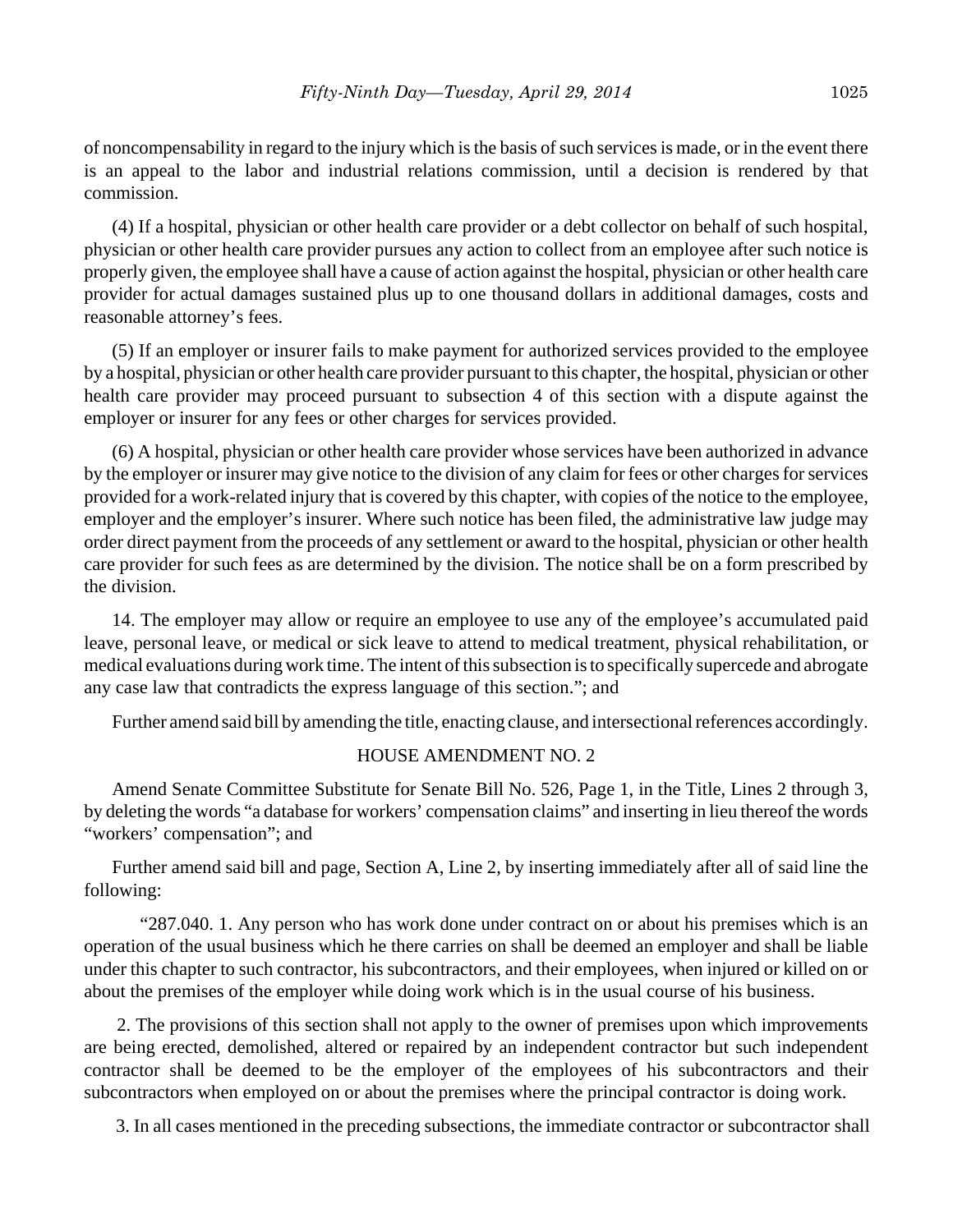of noncompensability in regard to the injury which is the basis of such services is made, or in the event there is an appeal to the labor and industrial relations commission, until a decision is rendered by that commission.

(4) If a hospital, physician or other health care provider or a debt collector on behalf of such hospital, physician or other health care provider pursues any action to collect from an employee after such notice is properly given, the employee shall have a cause of action against the hospital, physician or other health care provider for actual damages sustained plus up to one thousand dollars in additional damages, costs and reasonable attorney's fees.

(5) If an employer or insurer fails to make payment for authorized services provided to the employee by a hospital, physician or other health care provider pursuant to this chapter, the hospital, physician or other health care provider may proceed pursuant to subsection 4 of this section with a dispute against the employer or insurer for any fees or other charges for services provided.

(6) A hospital, physician or other health care provider whose services have been authorized in advance by the employer or insurer may give notice to the division of any claim for fees or other charges for services provided for a work-related injury that is covered by this chapter, with copies of the notice to the employee, employer and the employer's insurer. Where such notice has been filed, the administrative law judge may order direct payment from the proceeds of any settlement or award to the hospital, physician or other health care provider for such fees as are determined by the division. The notice shall be on a form prescribed by the division.

14. The employer may allow or require an employee to use any of the employee's accumulated paid leave, personal leave, or medical or sick leave to attend to medical treatment, physical rehabilitation, or medical evaluations during work time. The intent of this subsection is to specifically supercede and abrogate any case law that contradicts the express language of this section."; and

Further amend said bill by amending the title, enacting clause, and intersectional references accordingly.

#### HOUSE AMENDMENT NO. 2

Amend Senate Committee Substitute for Senate Bill No. 526, Page 1, in the Title, Lines 2 through 3, by deleting the words "a database for workers' compensation claims" and inserting in lieu thereof the words "workers' compensation"; and

Further amend said bill and page, Section A, Line 2, by inserting immediately after all of said line the following:

"287.040. 1. Any person who has work done under contract on or about his premises which is an operation of the usual business which he there carries on shall be deemed an employer and shall be liable under this chapter to such contractor, his subcontractors, and their employees, when injured or killed on or about the premises of the employer while doing work which is in the usual course of his business.

 2. The provisions of this section shall not apply to the owner of premises upon which improvements are being erected, demolished, altered or repaired by an independent contractor but such independent contractor shall be deemed to be the employer of the employees of his subcontractors and their subcontractors when employed on or about the premises where the principal contractor is doing work.

3. In all cases mentioned in the preceding subsections, the immediate contractor or subcontractor shall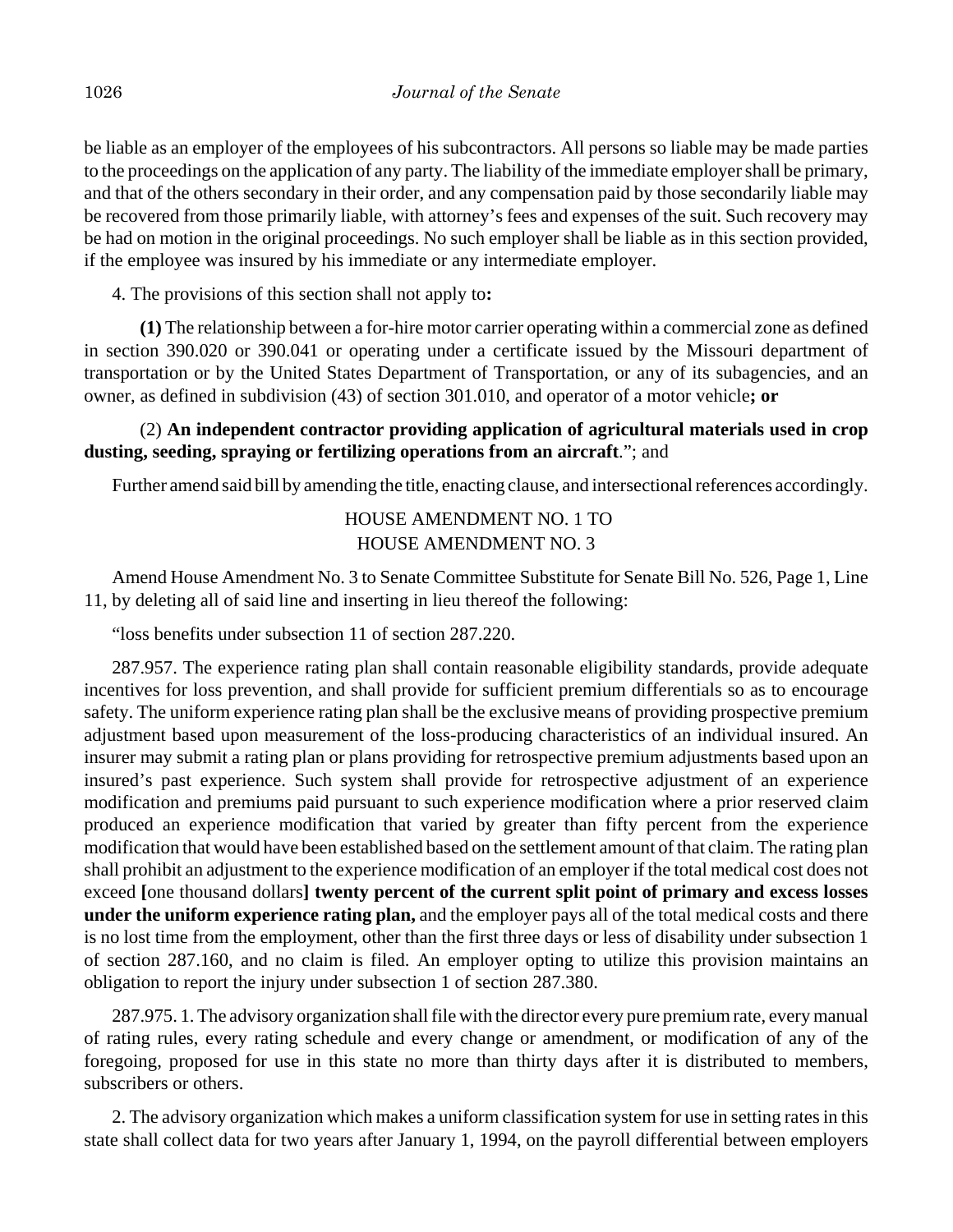be liable as an employer of the employees of his subcontractors. All persons so liable may be made parties to the proceedings on the application of any party. The liability of the immediate employer shall be primary, and that of the others secondary in their order, and any compensation paid by those secondarily liable may be recovered from those primarily liable, with attorney's fees and expenses of the suit. Such recovery may be had on motion in the original proceedings. No such employer shall be liable as in this section provided, if the employee was insured by his immediate or any intermediate employer.

4. The provisions of this section shall not apply to**:**

**(1)** The relationship between a for-hire motor carrier operating within a commercial zone as defined in section 390.020 or 390.041 or operating under a certificate issued by the Missouri department of transportation or by the United States Department of Transportation, or any of its subagencies, and an owner, as defined in subdivision (43) of section 301.010, and operator of a motor vehicle**; or**

## (2) **An independent contractor providing application of agricultural materials used in crop dusting, seeding, spraying or fertilizing operations from an aircraft**."; and

Further amend said bill by amending the title, enacting clause, and intersectional references accordingly.

 HOUSE AMENDMENT NO. 1 TO HOUSE AMENDMENT NO. 3

Amend House Amendment No. 3 to Senate Committee Substitute for Senate Bill No. 526, Page 1, Line 11, by deleting all of said line and inserting in lieu thereof the following:

"loss benefits under subsection 11 of section 287.220.

287.957. The experience rating plan shall contain reasonable eligibility standards, provide adequate incentives for loss prevention, and shall provide for sufficient premium differentials so as to encourage safety. The uniform experience rating plan shall be the exclusive means of providing prospective premium adjustment based upon measurement of the loss-producing characteristics of an individual insured. An insurer may submit a rating plan or plans providing for retrospective premium adjustments based upon an insured's past experience. Such system shall provide for retrospective adjustment of an experience modification and premiums paid pursuant to such experience modification where a prior reserved claim produced an experience modification that varied by greater than fifty percent from the experience modification that would have been established based on the settlement amount of that claim. The rating plan shall prohibit an adjustment to the experience modification of an employer if the total medical cost does not exceed **[**one thousand dollars**] twenty percent of the current split point of primary and excess losses under the uniform experience rating plan,** and the employer pays all of the total medical costs and there is no lost time from the employment, other than the first three days or less of disability under subsection 1 of section 287.160, and no claim is filed. An employer opting to utilize this provision maintains an obligation to report the injury under subsection 1 of section 287.380.

287.975. 1. The advisory organization shall file with the director every pure premium rate, every manual of rating rules, every rating schedule and every change or amendment, or modification of any of the foregoing, proposed for use in this state no more than thirty days after it is distributed to members, subscribers or others.

2. The advisory organization which makes a uniform classification system for use in setting rates in this state shall collect data for two years after January 1, 1994, on the payroll differential between employers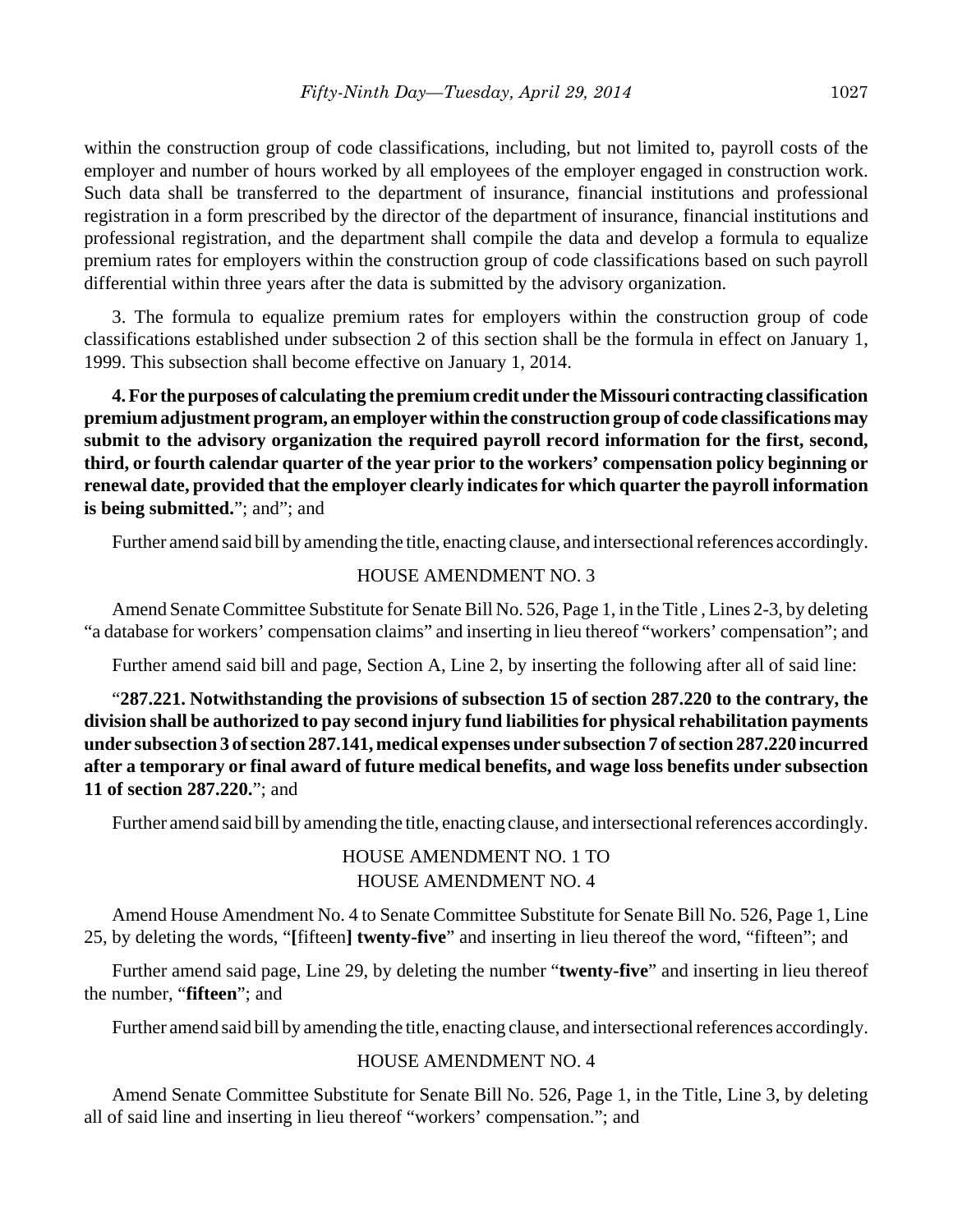within the construction group of code classifications, including, but not limited to, payroll costs of the employer and number of hours worked by all employees of the employer engaged in construction work. Such data shall be transferred to the department of insurance, financial institutions and professional registration in a form prescribed by the director of the department of insurance, financial institutions and professional registration, and the department shall compile the data and develop a formula to equalize premium rates for employers within the construction group of code classifications based on such payroll differential within three years after the data is submitted by the advisory organization.

3. The formula to equalize premium rates for employers within the construction group of code classifications established under subsection 2 of this section shall be the formula in effect on January 1, 1999. This subsection shall become effective on January 1, 2014.

**4. For the purposes of calculating the premium credit under the Missouri contracting classification premium adjustment program, an employer within the construction group of code classifications may submit to the advisory organization the required payroll record information for the first, second, third, or fourth calendar quarter of the year prior to the workers' compensation policy beginning or renewal date, provided that the employer clearly indicates for which quarter the payroll information** is being submitted."; and"; and

Further amend said bill by amending the title, enacting clause, and intersectional references accordingly.

## HOUSE AMENDMENT NO. 3

Amend Senate Committee Substitute for Senate Bill No. 526, Page 1, in the Title , Lines 2-3, by deleting "a database for workers' compensation claims" and inserting in lieu thereof "workers' compensation"; and

Further amend said bill and page, Section A, Line 2, by inserting the following after all of said line:

"**287.221. Notwithstanding the provisions of subsection 15 of section 287.220 to the contrary, the division shall be authorized to pay second injury fund liabilities for physical rehabilitation payments under subsection 3 of section 287.141, medical expenses under subsection 7 of section 287.220 incurred after a temporary or final award of future medical benefits, and wage loss benefits under subsection 11 of section 287.220.**"; and

Further amend said bill by amending the title, enacting clause, and intersectional references accordingly.

## HOUSE AMENDMENT NO. 1 TO HOUSE AMENDMENT NO. 4

Amend House Amendment No. 4 to Senate Committee Substitute for Senate Bill No. 526, Page 1, Line 25, by deleting the words, "**[**fifteen**] twenty-five**" and inserting in lieu thereof the word, "fifteen"; and

Further amend said page, Line 29, by deleting the number "**twenty-five**" and inserting in lieu thereof the number, "**fifteen**"; and

Further amend said bill by amending the title, enacting clause, and intersectional references accordingly.

## HOUSE AMENDMENT NO. 4

Amend Senate Committee Substitute for Senate Bill No. 526, Page 1, in the Title, Line 3, by deleting all of said line and inserting in lieu thereof "workers' compensation."; and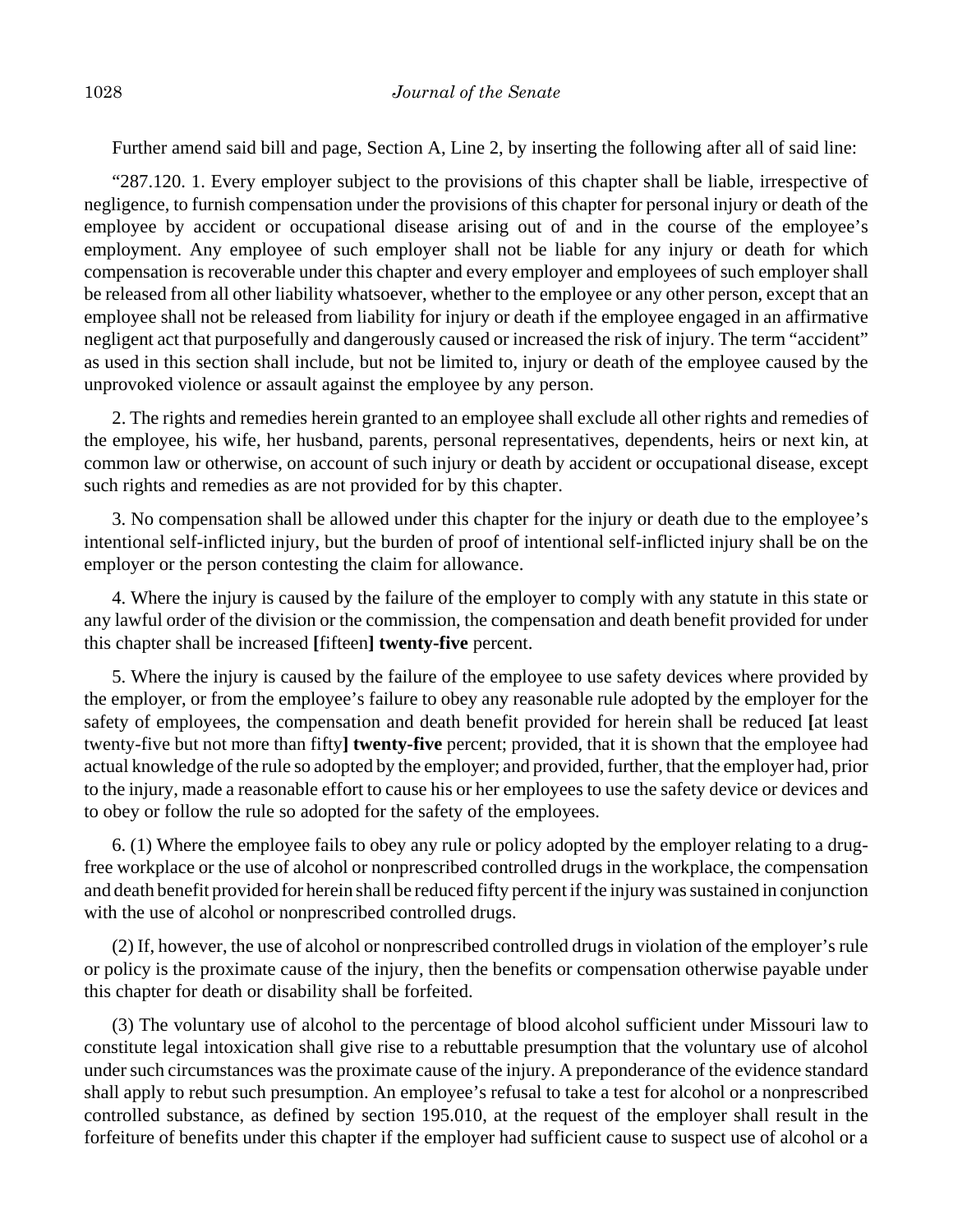Further amend said bill and page, Section A, Line 2, by inserting the following after all of said line:

"287.120. 1. Every employer subject to the provisions of this chapter shall be liable, irrespective of negligence, to furnish compensation under the provisions of this chapter for personal injury or death of the employee by accident or occupational disease arising out of and in the course of the employee's employment. Any employee of such employer shall not be liable for any injury or death for which compensation is recoverable under this chapter and every employer and employees of such employer shall be released from all other liability whatsoever, whether to the employee or any other person, except that an employee shall not be released from liability for injury or death if the employee engaged in an affirmative negligent act that purposefully and dangerously caused or increased the risk of injury. The term "accident" as used in this section shall include, but not be limited to, injury or death of the employee caused by the unprovoked violence or assault against the employee by any person.

2. The rights and remedies herein granted to an employee shall exclude all other rights and remedies of the employee, his wife, her husband, parents, personal representatives, dependents, heirs or next kin, at common law or otherwise, on account of such injury or death by accident or occupational disease, except such rights and remedies as are not provided for by this chapter.

3. No compensation shall be allowed under this chapter for the injury or death due to the employee's intentional self-inflicted injury, but the burden of proof of intentional self-inflicted injury shall be on the employer or the person contesting the claim for allowance.

4. Where the injury is caused by the failure of the employer to comply with any statute in this state or any lawful order of the division or the commission, the compensation and death benefit provided for under this chapter shall be increased **[**fifteen**] twenty-five** percent.

5. Where the injury is caused by the failure of the employee to use safety devices where provided by the employer, or from the employee's failure to obey any reasonable rule adopted by the employer for the safety of employees, the compensation and death benefit provided for herein shall be reduced **[**at least twenty-five but not more than fifty**] twenty-five** percent; provided, that it is shown that the employee had actual knowledge of the rule so adopted by the employer; and provided, further, that the employer had, prior to the injury, made a reasonable effort to cause his or her employees to use the safety device or devices and to obey or follow the rule so adopted for the safety of the employees.

6. (1) Where the employee fails to obey any rule or policy adopted by the employer relating to a drugfree workplace or the use of alcohol or nonprescribed controlled drugs in the workplace, the compensation and death benefit provided for herein shall be reduced fifty percent if the injury was sustained in conjunction with the use of alcohol or nonprescribed controlled drugs.

(2) If, however, the use of alcohol or nonprescribed controlled drugs in violation of the employer's rule or policy is the proximate cause of the injury, then the benefits or compensation otherwise payable under this chapter for death or disability shall be forfeited.

(3) The voluntary use of alcohol to the percentage of blood alcohol sufficient under Missouri law to constitute legal intoxication shall give rise to a rebuttable presumption that the voluntary use of alcohol under such circumstances was the proximate cause of the injury. A preponderance of the evidence standard shall apply to rebut such presumption. An employee's refusal to take a test for alcohol or a nonprescribed controlled substance, as defined by section 195.010, at the request of the employer shall result in the forfeiture of benefits under this chapter if the employer had sufficient cause to suspect use of alcohol or a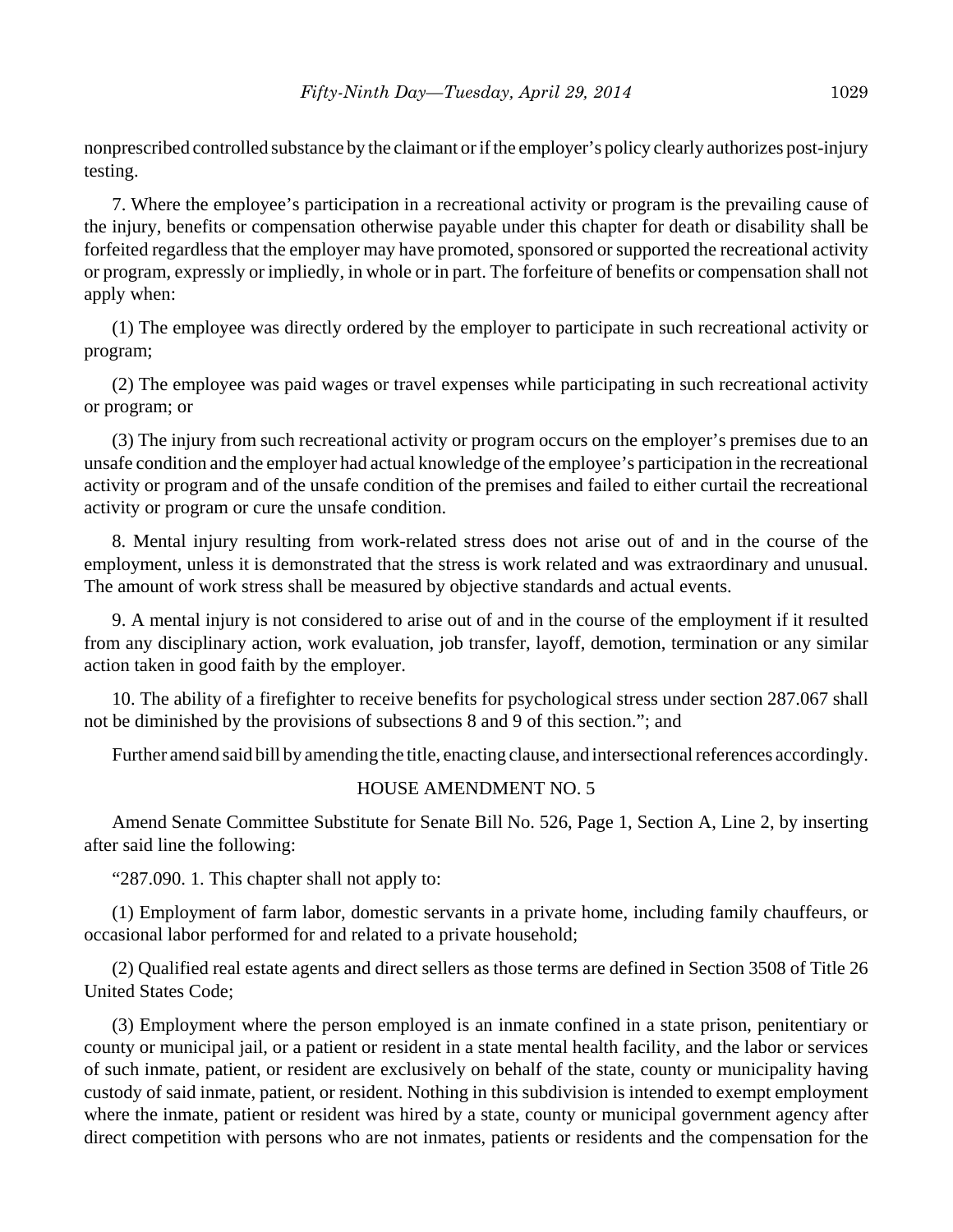nonprescribed controlled substance by the claimant or if the employer's policy clearly authorizes post-injury testing.

7. Where the employee's participation in a recreational activity or program is the prevailing cause of the injury, benefits or compensation otherwise payable under this chapter for death or disability shall be forfeited regardless that the employer may have promoted, sponsored or supported the recreational activity or program, expressly or impliedly, in whole or in part. The forfeiture of benefits or compensation shall not apply when:

(1) The employee was directly ordered by the employer to participate in such recreational activity or program;

(2) The employee was paid wages or travel expenses while participating in such recreational activity or program; or

(3) The injury from such recreational activity or program occurs on the employer's premises due to an unsafe condition and the employer had actual knowledge of the employee's participation in the recreational activity or program and of the unsafe condition of the premises and failed to either curtail the recreational activity or program or cure the unsafe condition.

8. Mental injury resulting from work-related stress does not arise out of and in the course of the employment, unless it is demonstrated that the stress is work related and was extraordinary and unusual. The amount of work stress shall be measured by objective standards and actual events.

9. A mental injury is not considered to arise out of and in the course of the employment if it resulted from any disciplinary action, work evaluation, job transfer, layoff, demotion, termination or any similar action taken in good faith by the employer.

10. The ability of a firefighter to receive benefits for psychological stress under section 287.067 shall not be diminished by the provisions of subsections 8 and 9 of this section."; and

Further amend said bill by amending the title, enacting clause, and intersectional references accordingly.

## HOUSE AMENDMENT NO. 5

Amend Senate Committee Substitute for Senate Bill No. 526, Page 1, Section A, Line 2, by inserting after said line the following:

"287.090. 1. This chapter shall not apply to:

(1) Employment of farm labor, domestic servants in a private home, including family chauffeurs, or occasional labor performed for and related to a private household;

(2) Qualified real estate agents and direct sellers as those terms are defined in Section 3508 of Title 26 United States Code;

(3) Employment where the person employed is an inmate confined in a state prison, penitentiary or county or municipal jail, or a patient or resident in a state mental health facility, and the labor or services of such inmate, patient, or resident are exclusively on behalf of the state, county or municipality having custody of said inmate, patient, or resident. Nothing in this subdivision is intended to exempt employment where the inmate, patient or resident was hired by a state, county or municipal government agency after direct competition with persons who are not inmates, patients or residents and the compensation for the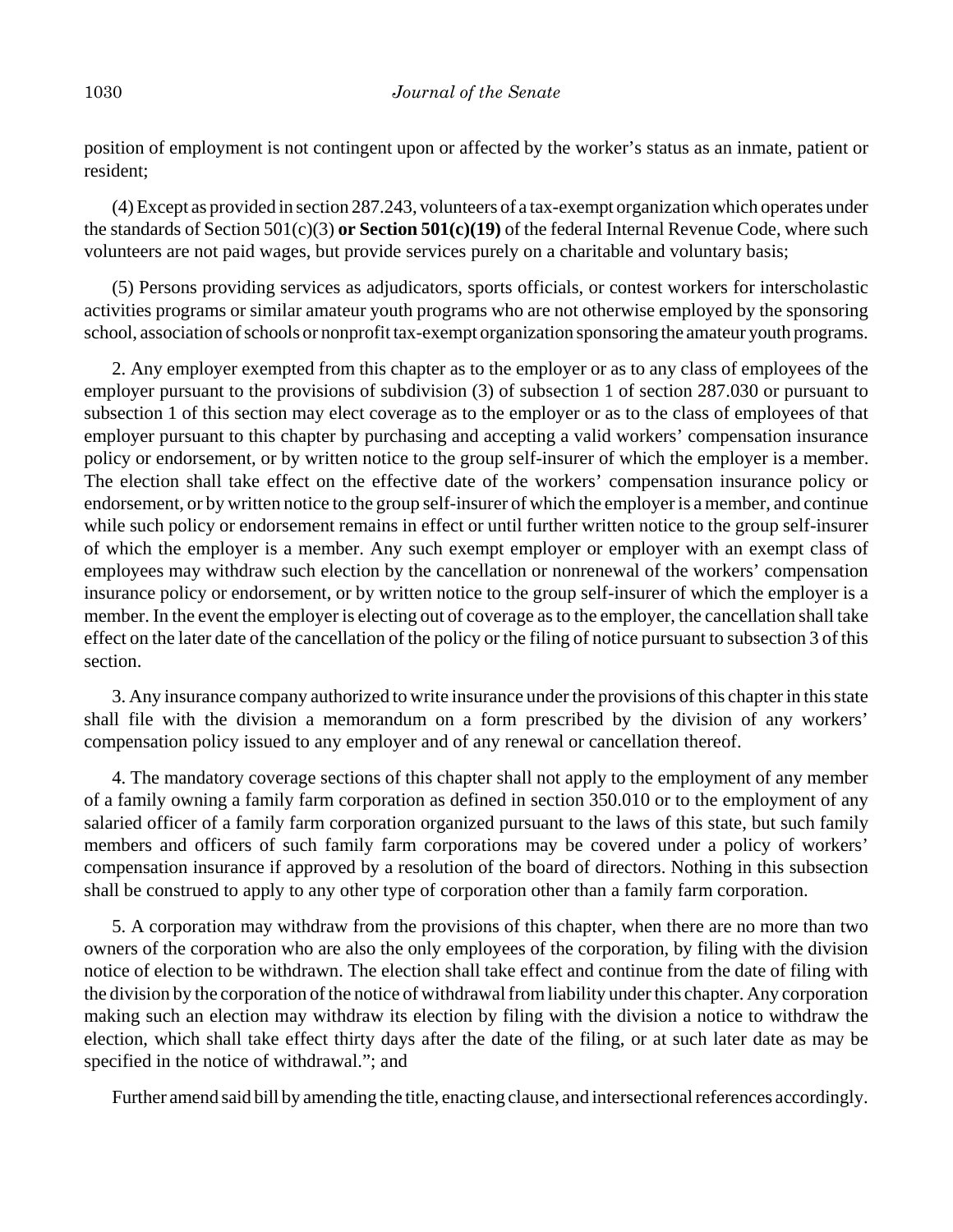position of employment is not contingent upon or affected by the worker's status as an inmate, patient or resident;

(4) Except as provided in section 287.243, volunteers of a tax-exempt organization which operates under the standards of Section 501(c)(3) **or Section 501(c)(19)** of the federal Internal Revenue Code, where such volunteers are not paid wages, but provide services purely on a charitable and voluntary basis;

(5) Persons providing services as adjudicators, sports officials, or contest workers for interscholastic activities programs or similar amateur youth programs who are not otherwise employed by the sponsoring school, association of schools or nonprofit tax-exempt organization sponsoring the amateur youth programs.

2. Any employer exempted from this chapter as to the employer or as to any class of employees of the employer pursuant to the provisions of subdivision (3) of subsection 1 of section 287.030 or pursuant to subsection 1 of this section may elect coverage as to the employer or as to the class of employees of that employer pursuant to this chapter by purchasing and accepting a valid workers' compensation insurance policy or endorsement, or by written notice to the group self-insurer of which the employer is a member. The election shall take effect on the effective date of the workers' compensation insurance policy or endorsement, or by written notice to the group self-insurer of which the employer is a member, and continue while such policy or endorsement remains in effect or until further written notice to the group self-insurer of which the employer is a member. Any such exempt employer or employer with an exempt class of employees may withdraw such election by the cancellation or nonrenewal of the workers' compensation insurance policy or endorsement, or by written notice to the group self-insurer of which the employer is a member. In the event the employer is electing out of coverage as to the employer, the cancellation shall take effect on the later date of the cancellation of the policy or the filing of notice pursuant to subsection 3 of this section.

3. Any insurance company authorized to write insurance under the provisions of this chapter in this state shall file with the division a memorandum on a form prescribed by the division of any workers' compensation policy issued to any employer and of any renewal or cancellation thereof.

4. The mandatory coverage sections of this chapter shall not apply to the employment of any member of a family owning a family farm corporation as defined in section 350.010 or to the employment of any salaried officer of a family farm corporation organized pursuant to the laws of this state, but such family members and officers of such family farm corporations may be covered under a policy of workers' compensation insurance if approved by a resolution of the board of directors. Nothing in this subsection shall be construed to apply to any other type of corporation other than a family farm corporation.

5. A corporation may withdraw from the provisions of this chapter, when there are no more than two owners of the corporation who are also the only employees of the corporation, by filing with the division notice of election to be withdrawn. The election shall take effect and continue from the date of filing with the division by the corporation of the notice of withdrawal from liability under this chapter. Any corporation making such an election may withdraw its election by filing with the division a notice to withdraw the election, which shall take effect thirty days after the date of the filing, or at such later date as may be specified in the notice of withdrawal."; and

Further amend said bill by amending the title, enacting clause, and intersectional references accordingly.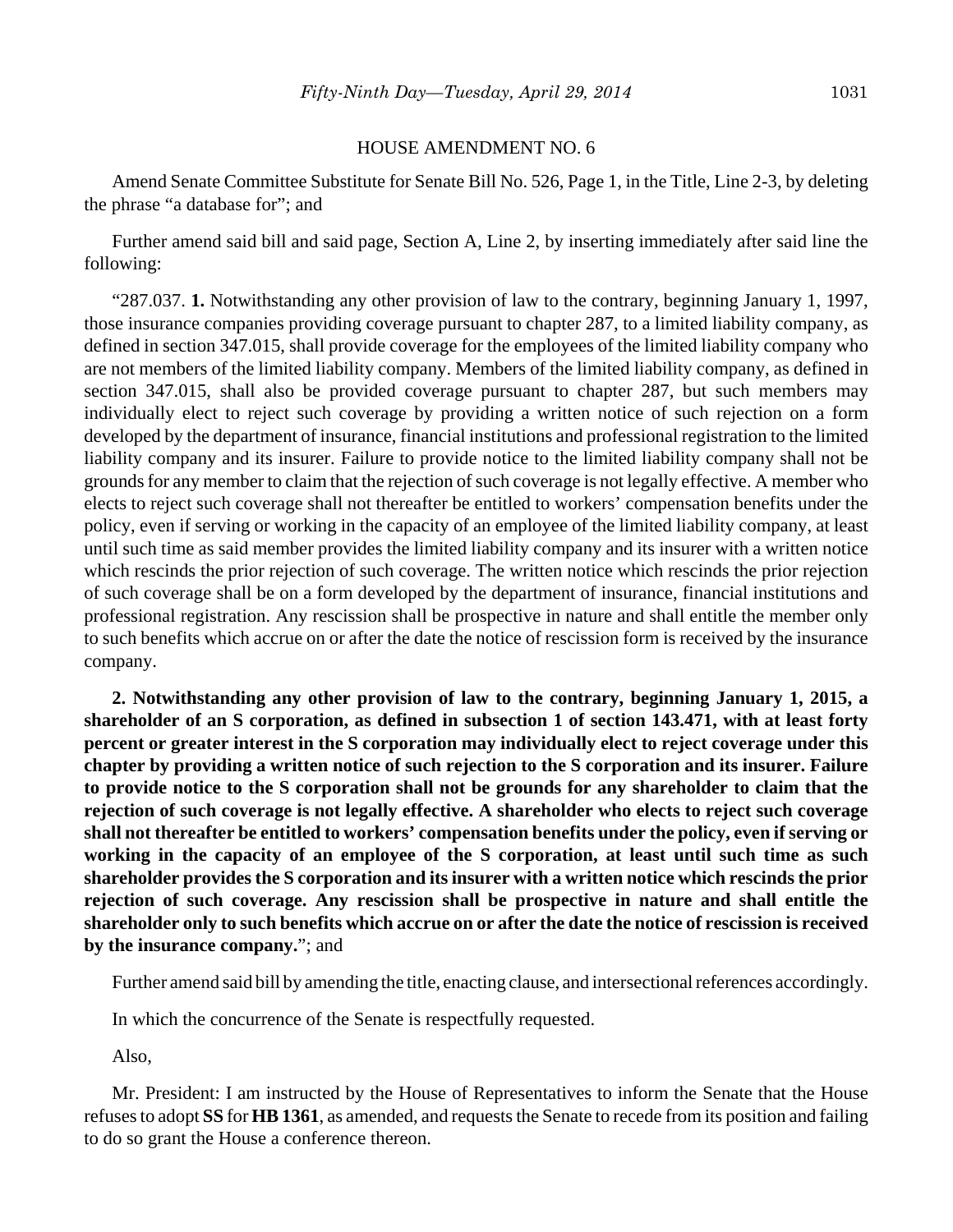#### HOUSE AMENDMENT NO. 6

Amend Senate Committee Substitute for Senate Bill No. 526, Page 1, in the Title, Line 2-3, by deleting the phrase "a database for"; and

Further amend said bill and said page, Section A, Line 2, by inserting immediately after said line the following:

"287.037. **1.** Notwithstanding any other provision of law to the contrary, beginning January 1, 1997, those insurance companies providing coverage pursuant to chapter 287, to a limited liability company, as defined in section 347.015, shall provide coverage for the employees of the limited liability company who are not members of the limited liability company. Members of the limited liability company, as defined in section 347.015, shall also be provided coverage pursuant to chapter 287, but such members may individually elect to reject such coverage by providing a written notice of such rejection on a form developed by the department of insurance, financial institutions and professional registration to the limited liability company and its insurer. Failure to provide notice to the limited liability company shall not be grounds for any member to claim that the rejection of such coverage is not legally effective. A member who elects to reject such coverage shall not thereafter be entitled to workers' compensation benefits under the policy, even if serving or working in the capacity of an employee of the limited liability company, at least until such time as said member provides the limited liability company and its insurer with a written notice which rescinds the prior rejection of such coverage. The written notice which rescinds the prior rejection of such coverage shall be on a form developed by the department of insurance, financial institutions and professional registration. Any rescission shall be prospective in nature and shall entitle the member only to such benefits which accrue on or after the date the notice of rescission form is received by the insurance company.

**2. Notwithstanding any other provision of law to the contrary, beginning January 1, 2015, a shareholder of an S corporation, as defined in subsection 1 of section 143.471, with at least forty percent or greater interest in the S corporation may individually elect to reject coverage under this chapter by providing a written notice of such rejection to the S corporation and its insurer. Failure to provide notice to the S corporation shall not be grounds for any shareholder to claim that the rejection of such coverage is not legally effective. A shareholder who elects to reject such coverage shall not thereafter be entitled to workers' compensation benefits under the policy, even if serving or working in the capacity of an employee of the S corporation, at least until such time as such shareholder provides the S corporation and its insurer with a written notice which rescinds the prior rejection of such coverage. Any rescission shall be prospective in nature and shall entitle the shareholder only to such benefits which accrue on or after the date the notice of rescission is received by the insurance company.**"; and

Further amend said bill by amending the title, enacting clause, and intersectional references accordingly.

In which the concurrence of the Senate is respectfully requested.

Also,

Mr. President: I am instructed by the House of Representatives to inform the Senate that the House refuses to adopt **SS** for **HB 1361**, as amended, and requests the Senate to recede from its position and failing to do so grant the House a conference thereon.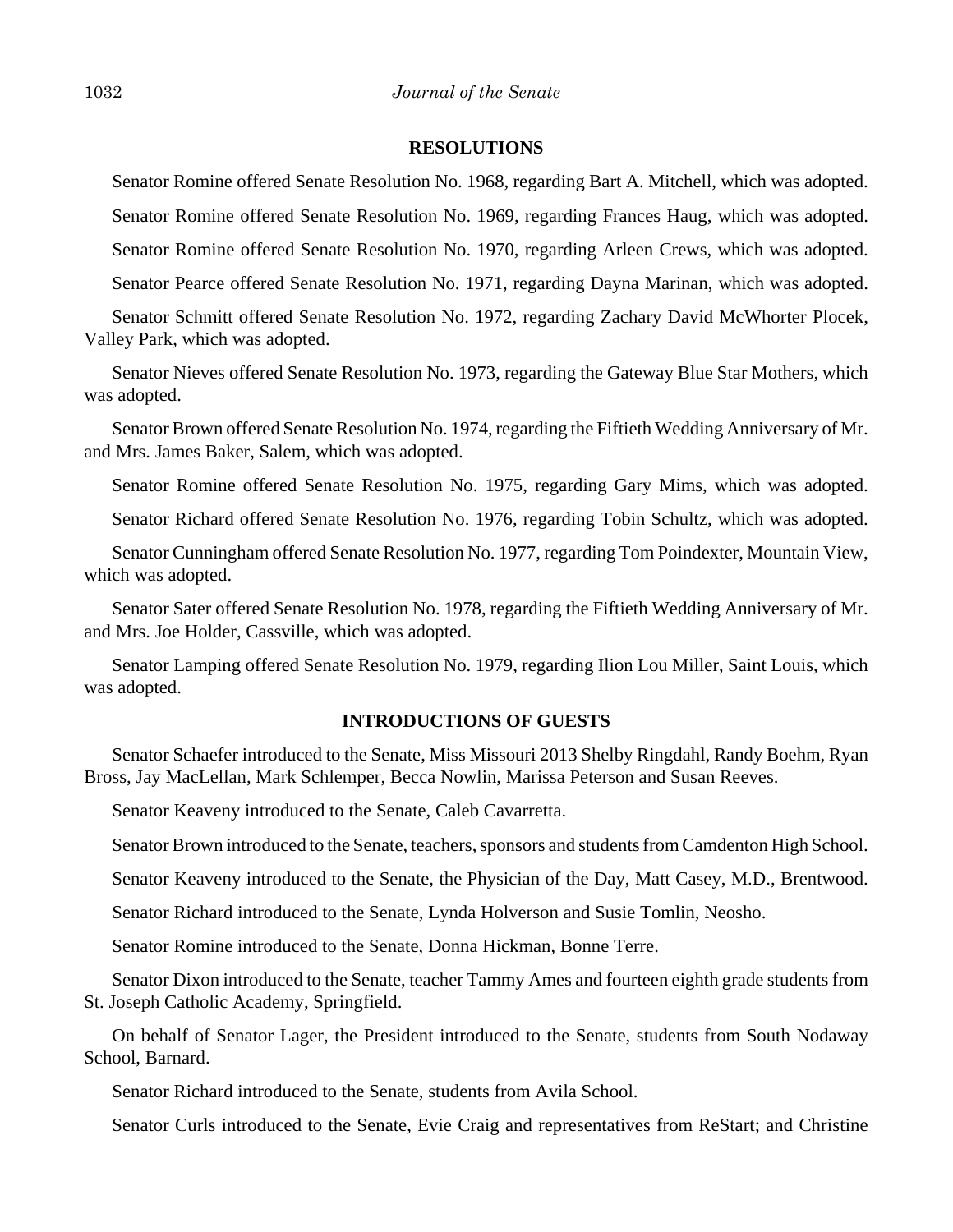#### **RESOLUTIONS**

Senator Romine offered Senate Resolution No. 1968, regarding Bart A. Mitchell, which was adopted.

Senator Romine offered Senate Resolution No. 1969, regarding Frances Haug, which was adopted.

Senator Romine offered Senate Resolution No. 1970, regarding Arleen Crews, which was adopted.

Senator Pearce offered Senate Resolution No. 1971, regarding Dayna Marinan, which was adopted.

Senator Schmitt offered Senate Resolution No. 1972, regarding Zachary David McWhorter Plocek, Valley Park, which was adopted.

Senator Nieves offered Senate Resolution No. 1973, regarding the Gateway Blue Star Mothers, which was adopted.

Senator Brown offered Senate Resolution No. 1974, regarding the Fiftieth Wedding Anniversary of Mr. and Mrs. James Baker, Salem, which was adopted.

Senator Romine offered Senate Resolution No. 1975, regarding Gary Mims, which was adopted.

Senator Richard offered Senate Resolution No. 1976, regarding Tobin Schultz, which was adopted.

Senator Cunningham offered Senate Resolution No. 1977, regarding Tom Poindexter, Mountain View, which was adopted.

Senator Sater offered Senate Resolution No. 1978, regarding the Fiftieth Wedding Anniversary of Mr. and Mrs. Joe Holder, Cassville, which was adopted.

Senator Lamping offered Senate Resolution No. 1979, regarding Ilion Lou Miller, Saint Louis, which was adopted.

## **INTRODUCTIONS OF GUESTS**

Senator Schaefer introduced to the Senate, Miss Missouri 2013 Shelby Ringdahl, Randy Boehm, Ryan Bross, Jay MacLellan, Mark Schlemper, Becca Nowlin, Marissa Peterson and Susan Reeves.

Senator Keaveny introduced to the Senate, Caleb Cavarretta.

Senator Brown introduced to the Senate, teachers, sponsors and students from Camdenton High School.

Senator Keaveny introduced to the Senate, the Physician of the Day, Matt Casey, M.D., Brentwood.

Senator Richard introduced to the Senate, Lynda Holverson and Susie Tomlin, Neosho.

Senator Romine introduced to the Senate, Donna Hickman, Bonne Terre.

Senator Dixon introduced to the Senate, teacher Tammy Ames and fourteen eighth grade students from St. Joseph Catholic Academy, Springfield.

On behalf of Senator Lager, the President introduced to the Senate, students from South Nodaway School, Barnard.

Senator Richard introduced to the Senate, students from Avila School.

Senator Curls introduced to the Senate, Evie Craig and representatives from ReStart; and Christine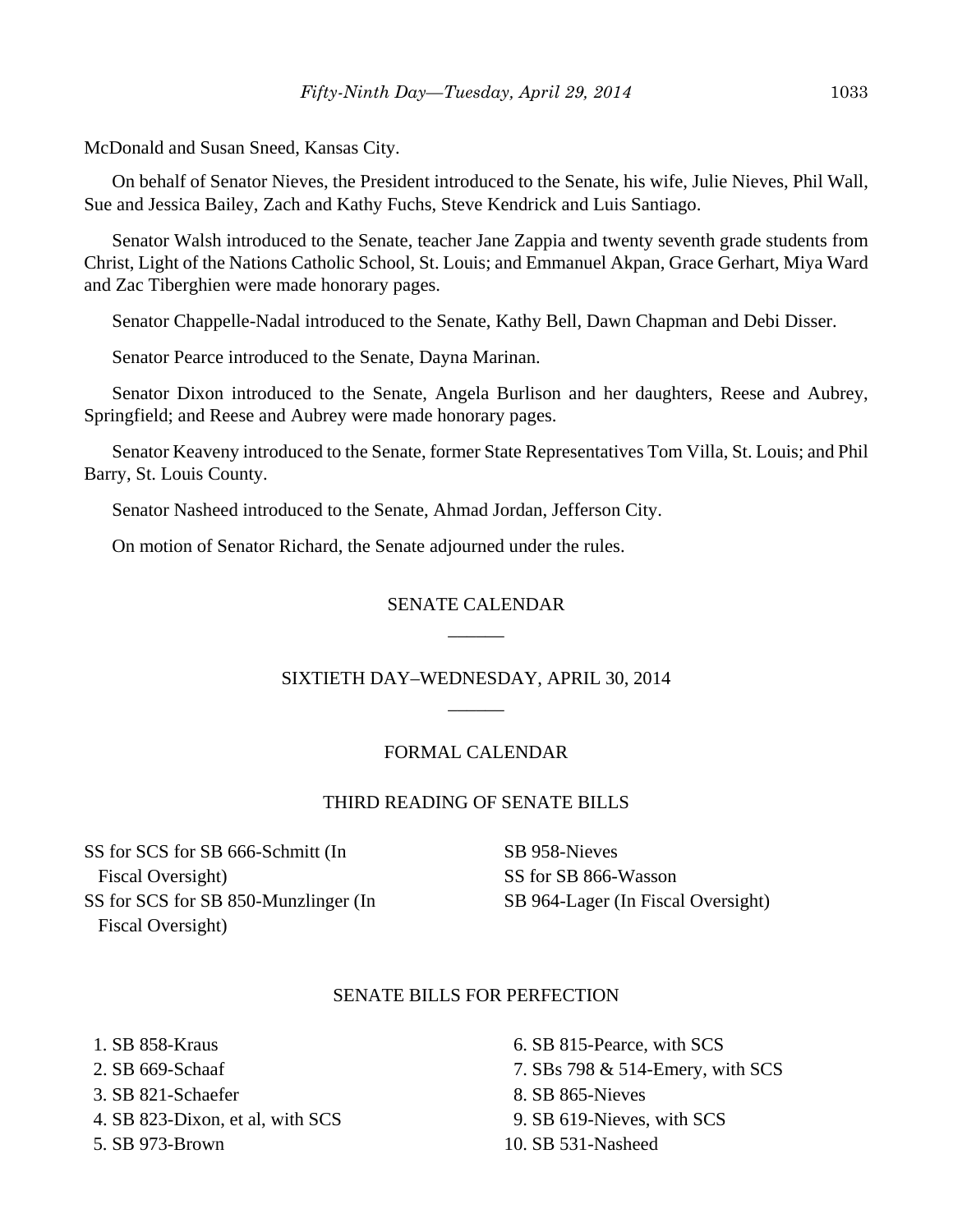McDonald and Susan Sneed, Kansas City.

On behalf of Senator Nieves, the President introduced to the Senate, his wife, Julie Nieves, Phil Wall, Sue and Jessica Bailey, Zach and Kathy Fuchs, Steve Kendrick and Luis Santiago.

Senator Walsh introduced to the Senate, teacher Jane Zappia and twenty seventh grade students from Christ, Light of the Nations Catholic School, St. Louis; and Emmanuel Akpan, Grace Gerhart, Miya Ward and Zac Tiberghien were made honorary pages.

Senator Chappelle-Nadal introduced to the Senate, Kathy Bell, Dawn Chapman and Debi Disser.

Senator Pearce introduced to the Senate, Dayna Marinan.

Senator Dixon introduced to the Senate, Angela Burlison and her daughters, Reese and Aubrey, Springfield; and Reese and Aubrey were made honorary pages.

Senator Keaveny introduced to the Senate, former State Representatives Tom Villa, St. Louis; and Phil Barry, St. Louis County.

Senator Nasheed introduced to the Senate, Ahmad Jordan, Jefferson City.

On motion of Senator Richard, the Senate adjourned under the rules.

## SENATE CALENDAR \_\_\_\_\_\_

## SIXTIETH DAY–WEDNESDAY, APRIL 30, 2014 \_\_\_\_\_\_

#### FORMAL CALENDAR

#### THIRD READING OF SENATE BILLS

SS for SCS for SB 666-Schmitt (In Fiscal Oversight) SS for SCS for SB 850-Munzlinger (In Fiscal Oversight)

SB 958-Nieves SS for SB 866-Wasson SB 964-Lager (In Fiscal Oversight)

#### SENATE BILLS FOR PERFECTION

 1. SB 858-Kraus 2. SB 669-Schaaf 3. SB 821-Schaefer 4. SB 823-Dixon, et al, with SCS

5. SB 973-Brown

- 6. SB 815-Pearce, with SCS
- 7. SBs 798 & 514-Emery, with SCS
- 8. SB 865-Nieves
- 9. SB 619-Nieves, with SCS
- 10. SB 531-Nasheed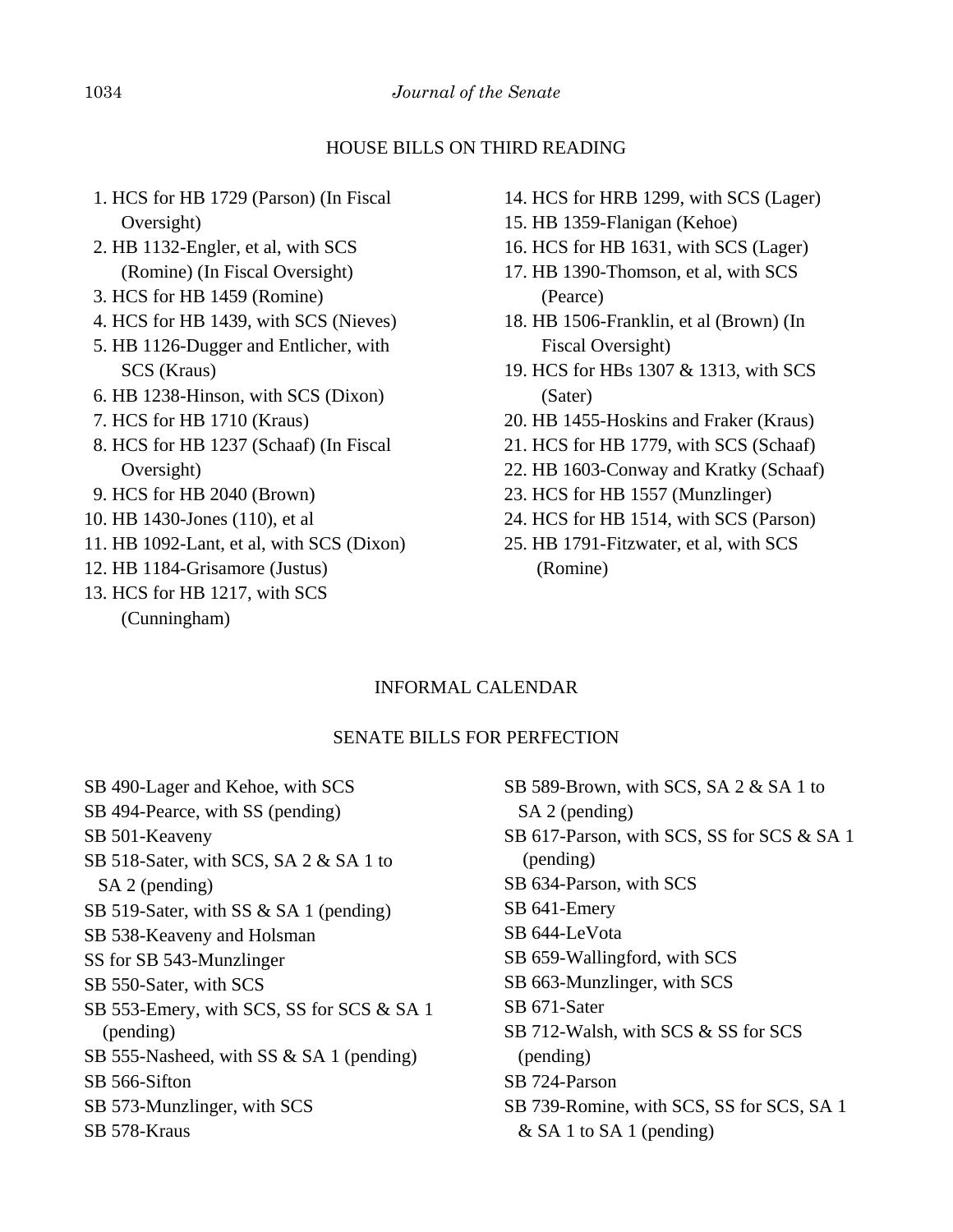## HOUSE BILLS ON THIRD READING

- 1. HCS for HB 1729 (Parson) (In Fiscal Oversight)
- 2. HB 1132-Engler, et al, with SCS (Romine) (In Fiscal Oversight)
- 3. HCS for HB 1459 (Romine)
- 4. HCS for HB 1439, with SCS (Nieves)
- 5. HB 1126-Dugger and Entlicher, with SCS (Kraus)
- 6. HB 1238-Hinson, with SCS (Dixon)
- 7. HCS for HB 1710 (Kraus)
- 8. HCS for HB 1237 (Schaaf) (In Fiscal Oversight)
- 9. HCS for HB 2040 (Brown)
- 10. HB 1430-Jones (110), et al
- 11. HB 1092-Lant, et al, with SCS (Dixon)
- 12. HB 1184-Grisamore (Justus)
- 13. HCS for HB 1217, with SCS (Cunningham)
- 14. HCS for HRB 1299, with SCS (Lager)
- 15. HB 1359-Flanigan (Kehoe)
- 16. HCS for HB 1631, with SCS (Lager)
- 17. HB 1390-Thomson, et al, with SCS (Pearce)
- 18. HB 1506-Franklin, et al (Brown) (In Fiscal Oversight)
- 19. HCS for HBs 1307 & 1313, with SCS (Sater)
- 20. HB 1455-Hoskins and Fraker (Kraus)
- 21. HCS for HB 1779, with SCS (Schaaf)
- 22. HB 1603-Conway and Kratky (Schaaf)
- 23. HCS for HB 1557 (Munzlinger)
- 24. HCS for HB 1514, with SCS (Parson)
- 25. HB 1791-Fitzwater, et al, with SCS (Romine)

# INFORMAL CALENDAR

# SENATE BILLS FOR PERFECTION

SB 490-Lager and Kehoe, with SCS SB 494-Pearce, with SS (pending) SB 501-Keaveny SB 518-Sater, with SCS, SA 2 & SA 1 to SA 2 (pending) SB 519-Sater, with SS & SA 1 (pending) SB 538-Keaveny and Holsman SS for SB 543-Munzlinger SB 550-Sater, with SCS SB 553-Emery, with SCS, SS for SCS & SA 1 (pending) SB 555-Nasheed, with SS & SA 1 (pending) SB 566-Sifton SB 573-Munzlinger, with SCS SB 578-Kraus

| SB 589-Brown, with SCS, SA $2 \& S A 1$ to |
|--------------------------------------------|
| SA 2 (pending)                             |
| SB 617-Parson, with SCS, SS for SCS & SA 1 |
| (pending)                                  |
| SB 634-Parson, with SCS                    |
| SB 641-Emery                               |
| SB 644-LeVota                              |
| SB 659-Wallingford, with SCS               |
| SB 663-Munzlinger, with SCS                |
| SB 671-Sater                               |
| SB 712-Walsh, with SCS & SS for SCS        |
| (pending)                                  |
| SB 724-Parson                              |
| SB 739-Romine, with SCS, SS for SCS, SA 1  |
| $&$ SA 1 to SA 1 (pending)                 |
|                                            |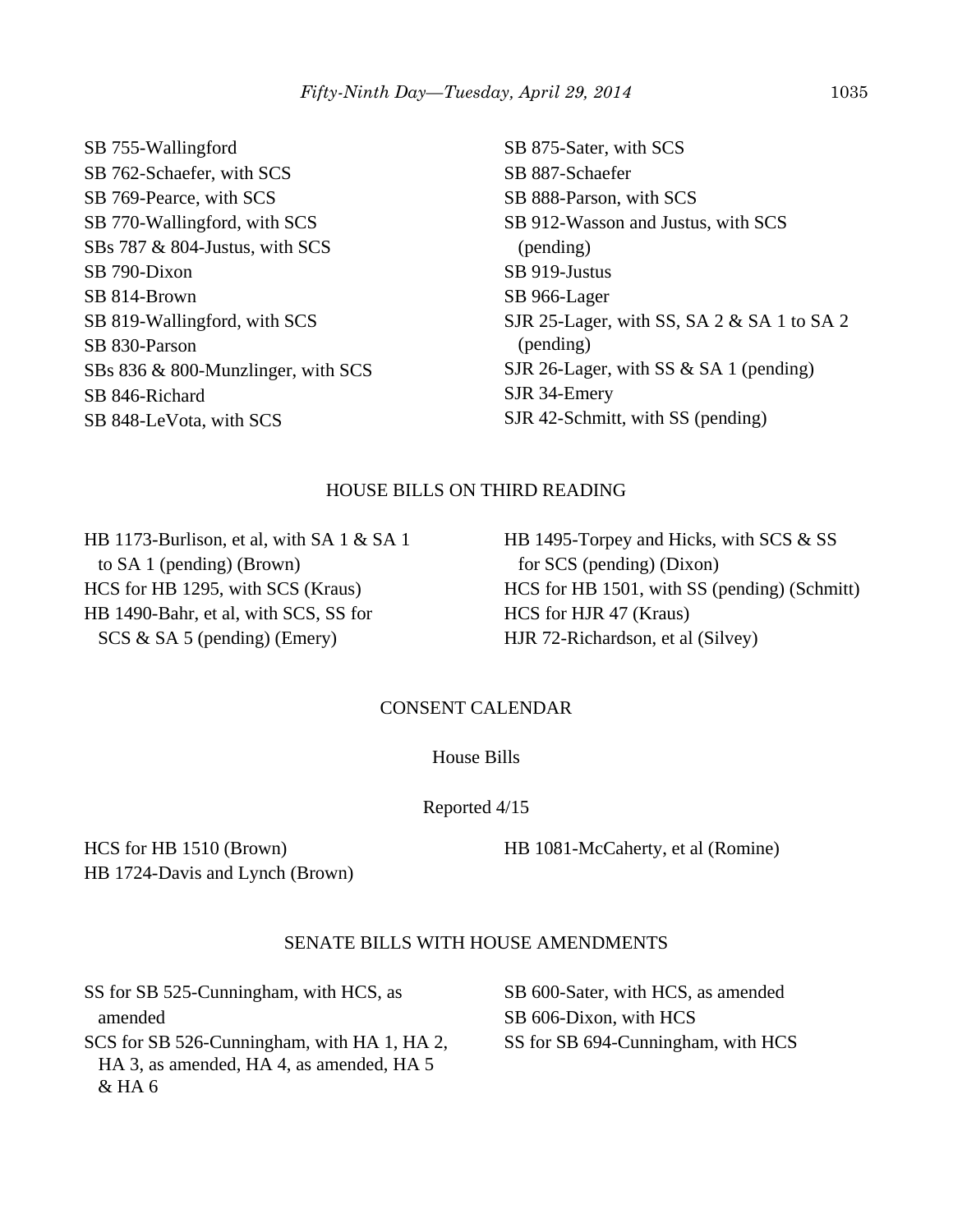SB 755-Wallingford SB 762-Schaefer, with SCS SB 769-Pearce, with SCS SB 770-Wallingford, with SCS SBs 787 & 804-Justus, with SCS SB 790-Dixon SB 814-Brown SB 819-Wallingford, with SCS SB 830-Parson SBs 836 & 800-Munzlinger, with SCS SB 846-Richard SB 848-LeVota, with SCS

SB 875-Sater, with SCS SB 887-Schaefer SB 888-Parson, with SCS SB 912-Wasson and Justus, with SCS (pending) SB 919-Justus SB 966-Lager SJR 25-Lager, with SS, SA 2 & SA 1 to SA 2 (pending) SJR 26-Lager, with SS & SA 1 (pending) SJR 34-Emery SJR 42-Schmitt, with SS (pending)

## HOUSE BILLS ON THIRD READING

HB 1173-Burlison, et al, with SA 1 & SA 1 to SA 1 (pending) (Brown) HCS for HB 1295, with SCS (Kraus) HB 1490-Bahr, et al, with SCS, SS for SCS & SA 5 (pending) (Emery)

HB 1495-Torpey and Hicks, with SCS & SS for SCS (pending) (Dixon) HCS for HB 1501, with SS (pending) (Schmitt) HCS for HJR 47 (Kraus) HJR 72-Richardson, et al (Silvey)

#### CONSENT CALENDAR

House Bills

Reported 4/15

HCS for HB 1510 (Brown) HB 1724-Davis and Lynch (Brown) HB 1081-McCaherty, et al (Romine)

## SENATE BILLS WITH HOUSE AMENDMENTS

SS for SB 525-Cunningham, with HCS, as amended SCS for SB 526-Cunningham, with HA 1, HA 2, HA 3, as amended, HA 4, as amended, HA 5 & HA 6

SB 600-Sater, with HCS, as amended SB 606-Dixon, with HCS SS for SB 694-Cunningham, with HCS